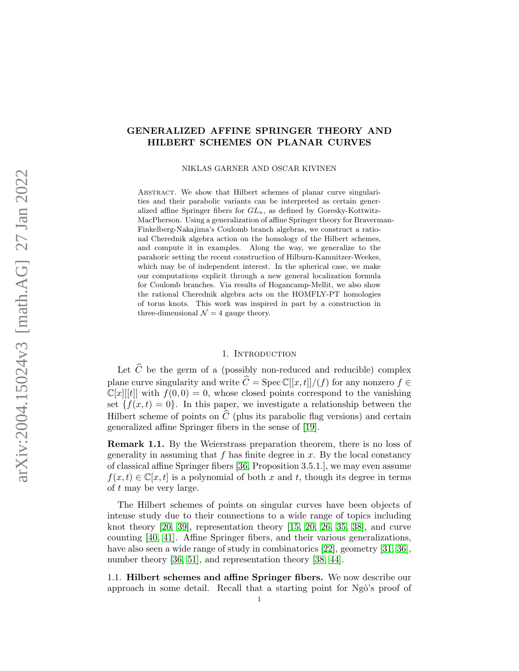# GENERALIZED AFFINE SPRINGER THEORY AND HILBERT SCHEMES ON PLANAR CURVES

NIKLAS GARNER AND OSCAR KIVINEN

ABSTRACT. We show that Hilbert schemes of planar curve singularities and their parabolic variants can be interpreted as certain generalized affine Springer fibers for  $GL_n$ , as defined by Goresky-Kottwitz-MacPherson. Using a generalization of affine Springer theory for Braverman-Finkelberg-Nakajima's Coulomb branch algebras, we construct a rational Cherednik algebra action on the homology of the Hilbert schemes, and compute it in examples. Along the way, we generalize to the parahoric setting the recent construction of Hilburn-Kamnitzer-Weekes, which may be of independent interest. In the spherical case, we make our computations explicit through a new general localization formula for Coulomb branches. Via results of Hogancamp-Mellit, we also show the rational Cherednik algebra acts on the HOMFLY-PT homologies of torus knots. This work was inspired in part by a construction in three-dimensional  $\mathcal{N} = 4$  gauge theory.

# 1. INTRODUCTION

Let  $\widehat{C}$  be the germ of a (possibly non-reduced and reducible) complex plane curve singularity and write  $\widehat{C} = \text{Spec } \mathbb{C}[[x, t]]/(f)$  for any nonzero  $f \in$  $\mathbb{C}[x][[t]]$  with  $f(0,0) = 0$ , whose closed points correspond to the vanishing set  $\{f(x,t)=0\}$ . In this paper, we investigate a relationship between the Hilbert scheme of points on  $\widehat{C}$  (plus its parabolic flag versions) and certain generalized affine Springer fibers in the sense of [\[19\]](#page-48-0).

Remark 1.1. By the Weierstrass preparation theorem, there is no loss of generality in assuming that  $f$  has finite degree in  $x$ . By the local constancy of classical affine Springer fibers [\[36,](#page-49-0) Proposition 3.5.1.], we may even assume  $f(x, t) \in \mathbb{C}[x, t]$  is a polynomial of both x and t, though its degree in terms of t may be very large.

The Hilbert schemes of points on singular curves have been objects of intense study due to their connections to a wide range of topics including knot theory [\[20,](#page-48-1) [39\]](#page-49-1), representation theory [\[15,](#page-47-0) [20,](#page-48-1) [26,](#page-48-2) [35,](#page-49-2) [38\]](#page-49-3), and curve counting [\[40,](#page-49-4) [41\]](#page-49-5). Affine Springer fibers, and their various generalizations, have also seen a wide range of study in combinatorics [\[22\]](#page-48-3), geometry [\[31,](#page-48-4) [36\]](#page-49-0), number theory [\[36,](#page-49-0) [51\]](#page-50-0), and representation theory [\[38,](#page-49-3) [44\]](#page-49-6).

1.1. Hilbert schemes and affine Springer fibers. We now describe our approach in some detail. Recall that a starting point for  $Ng\hat{o}$ 's proof of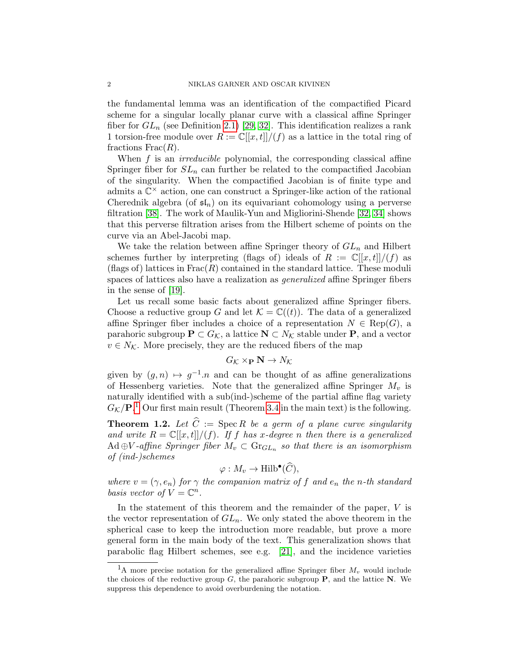the fundamental lemma was an identification of the compactified Picard scheme for a singular locally planar curve with a classical affine Springer fiber for  $GL_n$  (see Definition [2.1\)](#page-7-0) [\[29,](#page-48-5) [32\]](#page-48-6). This identification realizes a rank 1 torsion-free module over  $R := \mathbb{C}[[x,t]]/(f)$  as a lattice in the total ring of fractions  $Frac(R)$ .

When  $f$  is an *irreducible* polynomial, the corresponding classical affine Springer fiber for  $SL_n$  can further be related to the compactified Jacobian of the singularity. When the compactified Jacobian is of finite type and admits a  $\mathbb{C}^{\times}$  action, one can construct a Springer-like action of the rational Cherednik algebra (of  $\mathfrak{sl}_n$ ) on its equivariant cohomology using a perverse filtration [\[38\]](#page-49-3). The work of Maulik-Yun and Migliorini-Shende [\[32,](#page-48-6) [34\]](#page-49-7) shows that this perverse filtration arises from the Hilbert scheme of points on the curve via an Abel-Jacobi map.

We take the relation between affine Springer theory of  $GL_n$  and Hilbert schemes further by interpreting (flags of) ideals of  $R := \mathbb{C}[[x,t]]/(f)$  as (flags of) lattices in  $Frac(R)$  contained in the standard lattice. These moduli spaces of lattices also have a realization as generalized affine Springer fibers in the sense of [\[19\]](#page-48-0).

Let us recall some basic facts about generalized affine Springer fibers. Choose a reductive group G and let  $\mathcal{K} = \mathbb{C}((t))$ . The data of a generalized affine Springer fiber includes a choice of a representation  $N \in \text{Rep}(G)$ , a parahoric subgroup  $\mathbf{P} \subset G_{\mathcal{K}}$ , a lattice  $\mathbf{N} \subset N_{\mathcal{K}}$  stable under  $\mathbf{P}$ , and a vector  $v \in N_{\mathcal{K}}$ . More precisely, they are the reduced fibers of the map

$$
G_{\mathcal{K}} \times_{\mathbf{P}} \mathbf{N} \to N_{\mathcal{K}}
$$

given by  $(g, n) \mapsto g^{-1} \cdot n$  and can be thought of as affine generalizations of Hessenberg varieties. Note that the generalized affine Springer  $M_v$  is naturally identified with a sub(ind-)scheme of the partial affine flag variety  $G_{\mathcal{K}}/P$ .<sup>[1](#page-1-0)</sup> Our first main result (Theorem [3.4](#page-9-0) in the main text) is the following.

<span id="page-1-1"></span>**Theorem 1.2.** Let  $\widehat{C} := \operatorname{Spec} R$  be a germ of a plane curve singularity and write  $R = \mathbb{C}[[x,t]]/(f)$ . If f has x-degree n then there is a generalized  $\operatorname{Ad} \oplus V$ -affine Springer fiber  $M_v \subset \operatorname{Gr}_{GL_n}$  so that there is an isomorphism of (ind-)schemes

$$
\varphi: M_v \to \text{Hilb}^{\bullet}(\widehat{C}),
$$

where  $v = (\gamma, e_n)$  for  $\gamma$  the companion matrix of f and  $e_n$  the n-th standard basis vector of  $V = \mathbb{C}^n$ .

In the statement of this theorem and the remainder of the paper,  $V$  is the vector representation of  $GL_n$ . We only stated the above theorem in the spherical case to keep the introduction more readable, but prove a more general form in the main body of the text. This generalization shows that parabolic flag Hilbert schemes, see e.g. [\[21\]](#page-48-7), and the incidence varieties

<span id="page-1-0"></span><sup>&</sup>lt;sup>1</sup>A more precise notation for the generalized affine Springer fiber  $M_v$  would include the choices of the reductive group  $G$ , the parahoric subgroup **P**, and the lattice **N**. We suppress this dependence to avoid overburdening the notation.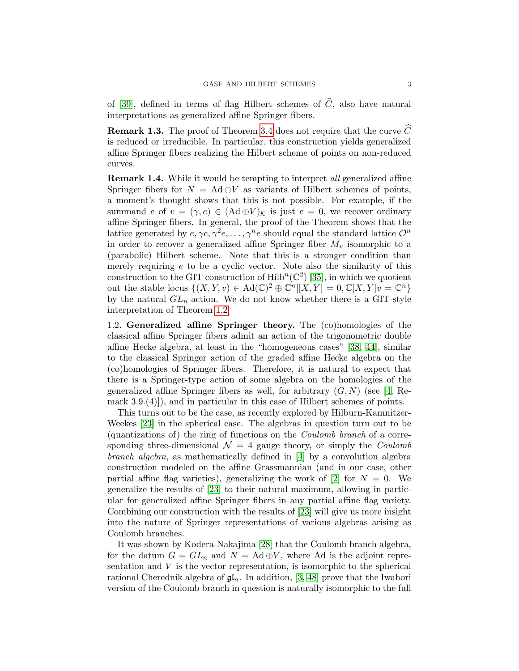of [\[39\]](#page-49-1), defined in terms of flag Hilbert schemes of  $\widehat{C}$ , also have natural interpretations as generalized affine Springer fibers.

**Remark 1.3.** The proof of Theorem [3.4](#page-9-0) does not require that the curve  $\hat{C}$ is reduced or irreducible. In particular, this construction yields generalized affine Springer fibers realizing the Hilbert scheme of points on non-reduced curves.

**Remark 1.4.** While it would be tempting to interpret all generalized affine Springer fibers for  $N = \text{Ad} \oplus V$  as variants of Hilbert schemes of points, a moment's thought shows that this is not possible. For example, if the summand e of  $v = (\gamma, e) \in (Ad \oplus V)_\mathcal{K}$  is just  $e = 0$ , we recover ordinary affine Springer fibers. In general, the proof of the Theorem shows that the lattice generated by  $e, \gamma e, \gamma^2 e, \dots, \gamma^n e$  should equal the standard lattice  $\mathcal{O}^n$ in order to recover a generalized affine Springer fiber  $M_v$  isomorphic to a (parabolic) Hilbert scheme. Note that this is a stronger condition than merely requiring e to be a cyclic vector. Note also the similarity of this construction to the GIT construction of  $\mathrm{Hilb}^n(\mathbb{C}^2)$  [\[35\]](#page-49-2), in which we quotient out the stable locus  $\{(X,Y,v) \in \text{Ad}(\mathbb{C})^2 \oplus \mathbb{C}^n | [X,Y] = 0, \mathbb{C}[X,Y]v = \mathbb{C}^n\}$ by the natural  $GL_n$ -action. We do not know whether there is a GIT-style interpretation of Theorem [1.2.](#page-1-1)

1.2. Generalized affine Springer theory. The (co)homologies of the classical affine Springer fibers admit an action of the trigonometric double affine Hecke algebra, at least in the "homogeneous cases" [\[38,](#page-49-3) [44\]](#page-49-6), similar to the classical Springer action of the graded affine Hecke algebra on the (co)homologies of Springer fibers. Therefore, it is natural to expect that there is a Springer-type action of some algebra on the homologies of the generalized affine Springer fibers as well, for arbitrary  $(G, N)$  (see [\[4,](#page-46-0) Remark 3.9.(4)]), and in particular in this case of Hilbert schemes of points.

This turns out to be the case, as recently explored by Hilburn-Kamnitzer-Weekes [\[23\]](#page-48-8) in the spherical case. The algebras in question turn out to be (quantizations of) the ring of functions on the Coulomb branch of a corresponding three-dimensional  $\mathcal{N} = 4$  gauge theory, or simply the *Coulomb* branch algebra, as mathematically defined in [\[4\]](#page-46-0) by a convolution algebra construction modeled on the affine Grassmannian (and in our case, other partial affine flag varieties), generalizing the work of [\[2\]](#page-46-1) for  $N = 0$ . We generalize the results of [\[23\]](#page-48-8) to their natural maximum, allowing in particular for generalized affine Springer fibers in any partial affine flag variety. Combining our construction with the results of [\[23\]](#page-48-8) will give us more insight into the nature of Springer representations of various algebras arising as Coulomb branches.

It was shown by Kodera-Nakajima [\[28\]](#page-48-9) that the Coulomb branch algebra, for the datum  $G = GL_n$  and  $N = \text{Ad} \oplus V$ , where Ad is the adjoint representation and  $V$  is the vector representation, is isomorphic to the spherical rational Cherednik algebra of  $\mathfrak{gl}_n$ . In addition, [\[3,](#page-46-2) [48\]](#page-50-1) prove that the Iwahori version of the Coulomb branch in question is naturally isomorphic to the full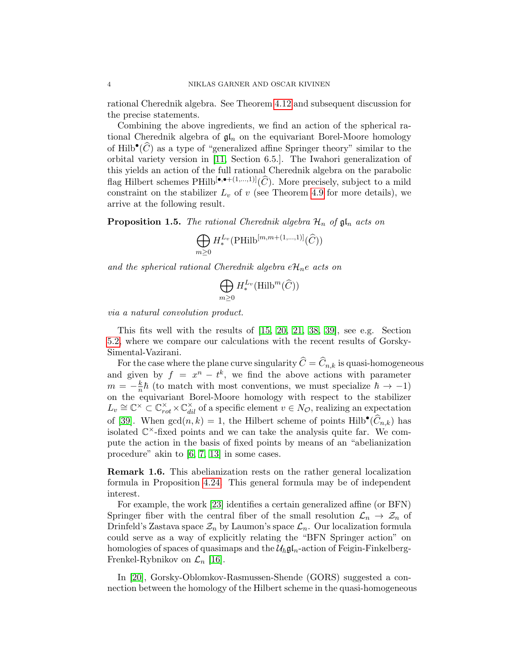rational Cherednik algebra. See Theorem [4.12](#page-20-0) and subsequent discussion for the precise statements.

Combining the above ingredients, we find an action of the spherical rational Cherednik algebra of  $\mathfrak{gl}_n$  on the equivariant Borel-Moore homology of Hilb<sup>•</sup> $(\widehat{C})$  as a type of "generalized affine Springer theory" similar to the orbital variety version in [\[11,](#page-47-1) Section 6.5.]. The Iwahori generalization of this yields an action of the full rational Cherednik algebra on the parabolic flag Hilbert schemes  $\text{PHilb}[\bullet,\bullet+(1,\ldots,1)](\widehat{C})$ . More precisely, subject to a mild constraint on the stabilizer  $L_v$  of v (see Theorem [4.9](#page-18-0) for more details), we arrive at the following result.

**Proposition 1.5.** The rational Cherednik algebra  $\mathcal{H}_n$  of  $\mathfrak{gl}_n$  acts on

$$
\bigoplus_{m\geq 0} H^{L_v}_{*}(\text{PHilb}^{[m,m+(1,\ldots,1)]}(\widehat{C}))
$$

and the spherical rational Cherednik algebra  $e\mathcal{H}_n e$  acts on

$$
\bigoplus_{m\geq 0} H_*^{L_v}(\mathrm{Hilb}^m(\widehat{C}))
$$

via a natural convolution product.

This fits well with the results of [\[15,](#page-47-0) [20,](#page-48-1) [21,](#page-48-7) [38,](#page-49-3) [39\]](#page-49-1), see e.g. Section [5.2,](#page-36-0) where we compare our calculations with the recent results of Gorsky-Simental-Vazirani.

For the case where the plane curve singularity  $\hat{C} = \hat{C}_{n,k}$  is quasi-homogeneous and given by  $f = x^n - t^k$ , we find the above actions with parameter  $m = -\frac{k}{n}$  $\frac{k}{n}\hbar$  (to match with most conventions, we must specialize  $\hbar \to -1$ ) on the equivariant Borel-Moore homology with respect to the stabilizer  $L_v \cong \mathbb{C}^\times \subset \mathbb{C}^\times_{rot} \times \mathbb{C}^\times_{dil}$  of a specific element  $v \in N_{\mathcal{O}}$ , realizing an expectation of [\[39\]](#page-49-1). When  $gcd(n, k) = 1$ , the Hilbert scheme of points  $Hilb^{\bullet}(\widehat{C}_{n,k})$  has isolated  $\mathbb{C}^{\times}$ -fixed points and we can take the analysis quite far. We compute the action in the basis of fixed points by means of an "abelianization procedure" akin to [\[6,](#page-47-2) [7,](#page-47-3) [13\]](#page-47-4) in some cases.

Remark 1.6. This abelianization rests on the rather general localization formula in Proposition [4.24.](#page-25-0) This general formula may be of independent interest.

For example, the work [\[23\]](#page-48-8) identifies a certain generalized affine (or BFN) Springer fiber with the central fiber of the small resolution  $\mathcal{L}_n \to \mathcal{Z}_n$  of Drinfeld's Zastava space  $\mathcal{Z}_n$  by Laumon's space  $\mathcal{L}_n$ . Our localization formula could serve as a way of explicitly relating the "BFN Springer action" on homologies of spaces of quasimaps and the  $\mathcal{U}_{\hbar} \mathfrak{gl}_n$ -action of Feigin-Finkelberg-Frenkel-Rybnikov on  $\mathcal{L}_n$  [\[16\]](#page-47-5).

In [\[20\]](#page-48-1), Gorsky-Oblomkov-Rasmussen-Shende (GORS) suggested a connection between the homology of the Hilbert scheme in the quasi-homogeneous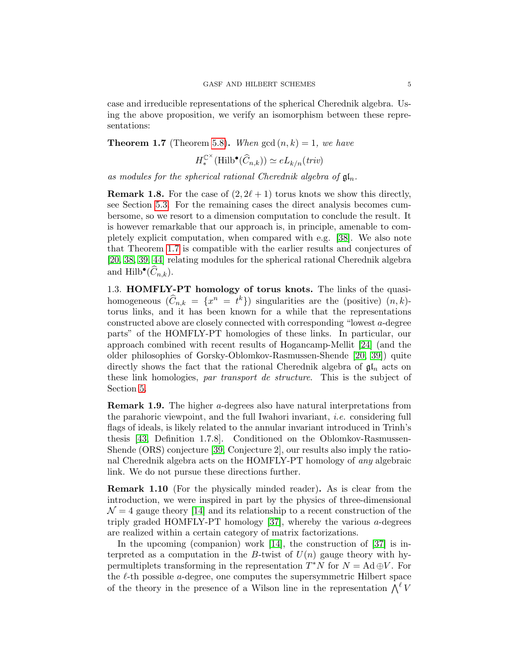case and irreducible representations of the spherical Cherednik algebra. Using the above proposition, we verify an isomorphism between these representations:

<span id="page-4-0"></span>**Theorem 1.7** (Theorem [5.8\)](#page-34-0). When  $gcd(n, k) = 1$ , we have

$$
H_*^{\mathbb{C}^{\times}}(\mathrm{Hilb}^{\bullet}(\widehat{C}_{n,k})) \simeq eL_{k/n}(triv)
$$

as modules for the spherical rational Cherednik algebra of  $\mathfrak{gl}_n$ .

**Remark 1.8.** For the case of  $(2, 2\ell + 1)$  torus knots we show this directly, see Section [5.3.](#page-37-0) For the remaining cases the direct analysis becomes cumbersome, so we resort to a dimension computation to conclude the result. It is however remarkable that our approach is, in principle, amenable to completely explicit computation, when compared with e.g. [\[38\]](#page-49-3). We also note that Theorem [1.7](#page-4-0) is compatible with the earlier results and conjectures of [\[20,](#page-48-1) [38,](#page-49-3) [39,](#page-49-1) [44\]](#page-49-6) relating modules for the spherical rational Cherednik algebra and  $\text{Hilb}^{\bullet}(\widehat{C}_{n,k}).$ 

1.3. HOMFLY-PT homology of torus knots. The links of the quasihomogeneous  $(\widehat{C}_{n,k} = \{x^n = t^k\})$  singularities are the (positive)  $(n, k)$ torus links, and it has been known for a while that the representations constructed above are closely connected with corresponding "lowest a-degree parts" of the HOMFLY-PT homologies of these links. In particular, our approach combined with recent results of Hogancamp-Mellit [\[24\]](#page-48-10) (and the older philosophies of Gorsky-Oblomkov-Rasmussen-Shende [\[20,](#page-48-1) [39\]](#page-49-1)) quite directly shows the fact that the rational Cherednik algebra of  $\mathfrak{gl}_n$  acts on these link homologies, par transport de structure. This is the subject of Section [5.](#page-30-0)

Remark 1.9. The higher a-degrees also have natural interpretations from the parahoric viewpoint, and the full Iwahori invariant, i.e. considering full flags of ideals, is likely related to the annular invariant introduced in Trinh's thesis [\[43,](#page-49-8) Definition 1.7.8]. Conditioned on the Oblomkov-Rasmussen-Shende (ORS) conjecture [\[39,](#page-49-1) Conjecture 2], our results also imply the rational Cherednik algebra acts on the HOMFLY-PT homology of any algebraic link. We do not pursue these directions further.

Remark 1.10 (For the physically minded reader). As is clear from the introduction, we were inspired in part by the physics of three-dimensional  $\mathcal{N} = 4$  gauge theory [\[14\]](#page-47-6) and its relationship to a recent construction of the triply graded HOMFLY-PT homology  $[37]$ , whereby the various *a*-degrees are realized within a certain category of matrix factorizations.

In the upcoming (companion) work [\[14\]](#page-47-6), the construction of [\[37\]](#page-49-9) is interpreted as a computation in the B-twist of  $U(n)$  gauge theory with hypermultiplets transforming in the representation  $T^*N$  for  $N = \text{Ad} \oplus V$ . For the  $\ell$ -th possible *a*-degree, one computes the supersymmetric Hilbert space of the theory in the presence of a Wilson line in the representation  $\bigwedge^{\ell} V$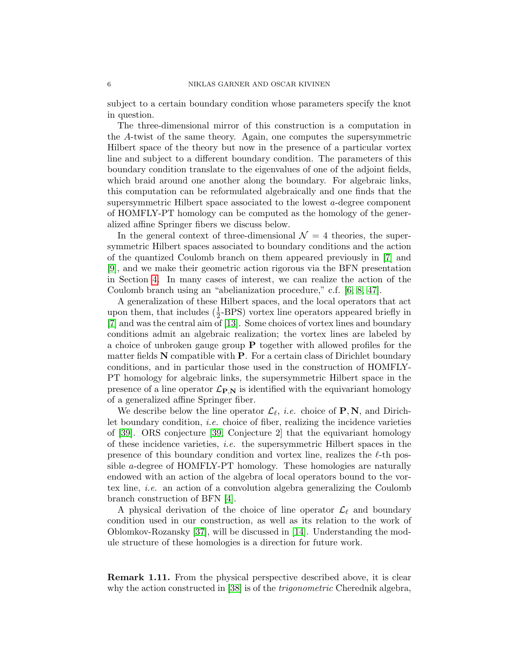subject to a certain boundary condition whose parameters specify the knot in question.

The three-dimensional mirror of this construction is a computation in the A-twist of the same theory. Again, one computes the supersymmetric Hilbert space of the theory but now in the presence of a particular vortex line and subject to a different boundary condition. The parameters of this boundary condition translate to the eigenvalues of one of the adjoint fields, which braid around one another along the boundary. For algebraic links, this computation can be reformulated algebraically and one finds that the supersymmetric Hilbert space associated to the lowest  $a$ -degree component of HOMFLY-PT homology can be computed as the homology of the generalized affine Springer fibers we discuss below.

In the general context of three-dimensional  $\mathcal{N} = 4$  theories, the supersymmetric Hilbert spaces associated to boundary conditions and the action of the quantized Coulomb branch on them appeared previously in [\[7\]](#page-47-3) and [\[9\]](#page-47-7), and we make their geometric action rigorous via the BFN presentation in Section [4.](#page-16-0) In many cases of interest, we can realize the action of the Coulomb branch using an "abelianization procedure," c.f. [\[6,](#page-47-2) [8,](#page-47-8) [47\]](#page-49-10).

A generalization of these Hilbert spaces, and the local operators that act upon them, that includes  $(\frac{1}{2}$ -BPS) vortex line operators appeared briefly in [\[7\]](#page-47-3) and was the central aim of [\[13\]](#page-47-4). Some choices of vortex lines and boundary conditions admit an algebraic realization; the vortex lines are labeled by a choice of unbroken gauge group P together with allowed profiles for the matter fields  $N$  compatible with  $P$ . For a certain class of Dirichlet boundary conditions, and in particular those used in the construction of HOMFLY-PT homology for algebraic links, the supersymmetric Hilbert space in the presence of a line operator  $\mathcal{L}_{P,N}$  is identified with the equivariant homology of a generalized affine Springer fiber.

We describe below the line operator  $\mathcal{L}_{\ell}$ , *i.e.* choice of **P**, **N**, and Dirichlet boundary condition, *i.e.* choice of fiber, realizing the incidence varieties of [\[39\]](#page-49-1). ORS conjecture [\[39,](#page-49-1) Conjecture 2] that the equivariant homology of these incidence varieties, i.e. the supersymmetric Hilbert spaces in the presence of this boundary condition and vortex line, realizes the  $\ell$ -th possible a-degree of HOMFLY-PT homology. These homologies are naturally endowed with an action of the algebra of local operators bound to the vortex line, i.e. an action of a convolution algebra generalizing the Coulomb branch construction of BFN [\[4\]](#page-46-0).

A physical derivation of the choice of line operator  $\mathcal{L}_{\ell}$  and boundary condition used in our construction, as well as its relation to the work of Oblomkov-Rozansky [\[37\]](#page-49-9), will be discussed in [\[14\]](#page-47-6). Understanding the module structure of these homologies is a direction for future work.

Remark 1.11. From the physical perspective described above, it is clear why the action constructed in [\[38\]](#page-49-3) is of the *trigonometric* Cherednik algebra,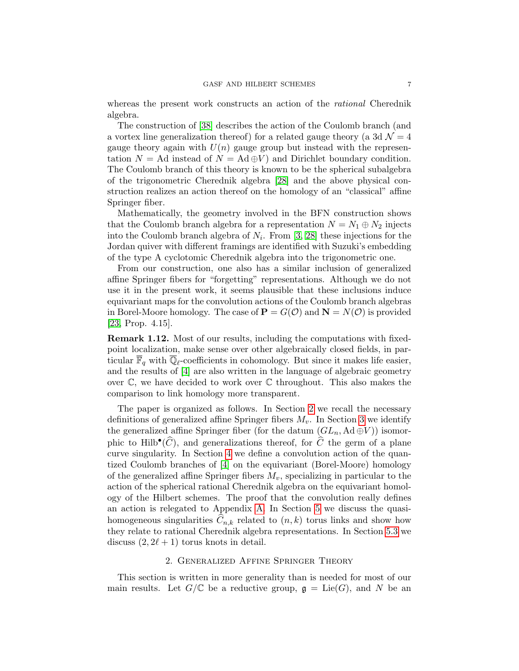whereas the present work constructs an action of the rational Cherednik algebra.

The construction of [\[38\]](#page-49-3) describes the action of the Coulomb branch (and a vortex line generalization thereof) for a related gauge theory (a 3d  $\mathcal{N}=4$ gauge theory again with  $U(n)$  gauge group but instead with the representation  $N = \text{Ad}$  instead of  $N = \text{Ad} \oplus V$  and Dirichlet boundary condition. The Coulomb branch of this theory is known to be the spherical subalgebra of the trigonometric Cherednik algebra [\[28\]](#page-48-9) and the above physical construction realizes an action thereof on the homology of an "classical" affine Springer fiber.

Mathematically, the geometry involved in the BFN construction shows that the Coulomb branch algebra for a representation  $N = N_1 \oplus N_2$  injects into the Coulomb branch algebra of  $N_i$ . From [\[3,](#page-46-2) [28\]](#page-48-9) these injections for the Jordan quiver with different framings are identified with Suzuki's embedding of the type A cyclotomic Cherednik algebra into the trigonometric one.

From our construction, one also has a similar inclusion of generalized affine Springer fibers for "forgetting" representations. Although we do not use it in the present work, it seems plausible that these inclusions induce equivariant maps for the convolution actions of the Coulomb branch algebras in Borel-Moore homology. The case of  $P = G(\mathcal{O})$  and  $N = N(\mathcal{O})$  is provided [\[23,](#page-48-8) Prop. 4.15].

Remark 1.12. Most of our results, including the computations with fixedpoint localization, make sense over other algebraically closed fields, in particular  $\mathbb{F}_q$  with  $\mathbb{Q}_\ell$ -coefficients in cohomology. But since it makes life easier, and the results of [\[4\]](#page-46-0) are also written in the language of algebraic geometry over  $\mathbb{C}$ , we have decided to work over  $\mathbb{C}$  throughout. This also makes the comparison to link homology more transparent.

The paper is organized as follows. In Section [2](#page-6-0) we recall the necessary definitions of generalized affine Springer fibers  $M_v$ . In Section [3](#page-8-0) we identify the generalized affine Springer fiber (for the datum  $(GL_n, \operatorname{Ad} \oplus V)$ ) isomorphic to Hilb<sup>•</sup>( $\widehat{C}$ ), and generalizations thereof, for  $\widehat{C}$  the germ of a plane curve singularity. In Section [4](#page-16-0) we define a convolution action of the quantized Coulomb branches of [\[4\]](#page-46-0) on the equivariant (Borel-Moore) homology of the generalized affine Springer fibers  $M_v$ , specializing in particular to the action of the spherical rational Cherednik algebra on the equivariant homology of the Hilbert schemes. The proof that the convolution really defines an action is relegated to Appendix [A.](#page-42-0) In Section [5](#page-30-0) we discuss the quasihomogeneous singularities  $\widehat{C}_{n,k}$  related to  $(n, k)$  torus links and show how they relate to rational Cherednik algebra representations. In Section [5.3](#page-37-0) we discuss  $(2, 2\ell + 1)$  torus knots in detail.

## 2. Generalized Affine Springer Theory

<span id="page-6-0"></span>This section is written in more generality than is needed for most of our main results. Let  $G/\mathbb{C}$  be a reductive group,  $\mathfrak{g} = \mathrm{Lie}(G)$ , and N be an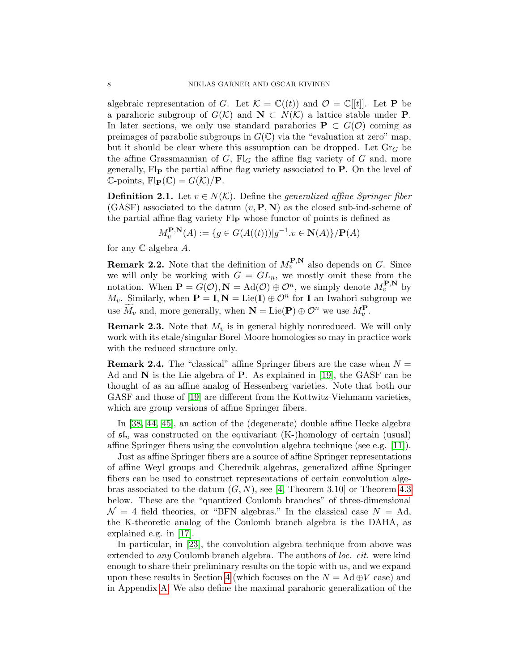algebraic representation of G. Let  $\mathcal{K} = \mathbb{C}((t))$  and  $\mathcal{O} = \mathbb{C}[[t]]$ . Let **P** be a parahoric subgroup of  $G(\mathcal{K})$  and  $\mathbf{N} \subset N(\mathcal{K})$  a lattice stable under **P**. In later sections, we only use standard parahorics  $P \subset G(\mathcal{O})$  coming as preimages of parabolic subgroups in  $G(\mathbb{C})$  via the "evaluation at zero" map, but it should be clear where this assumption can be dropped. Let  $\text{Gr}_G$  be the affine Grassmannian of  $G$ ,  $Fl<sub>G</sub>$  the affine flag variety of  $G$  and, more generally,  $\operatorname{Fl}_{\mathbf{P}}$  the partial affine flag variety associated to  $\mathbf{P}$ . On the level of  $\mathbb{C}\text{-points}, \text{Fl}_{\mathbf{P}}(\mathbb{C}) = G(\mathcal{K})/\mathbf{P}.$ 

<span id="page-7-0"></span>**Definition 2.1.** Let  $v \in N(\mathcal{K})$ . Define the *generalized affine Springer fiber*  $(GASF)$  associated to the datum  $(v, P, N)$  as the closed sub-ind-scheme of the partial affine flag variety Fl<sub>P</sub> whose functor of points is defined as

$$
M_v^{\mathbf{P},\mathbf{N}}(A) := \{ g \in G(A((t))) | g^{-1}.v \in \mathbf{N}(A) \} / \mathbf{P}(A)
$$

for any C-algebra A.

**Remark 2.2.** Note that the definition of  $M_v^{\mathbf{P},\mathbf{N}}$  also depends on G. Since we will only be working with  $G = GL_n$ , we mostly omit these from the notation. When  $\mathbf{P} = G(\mathcal{O}), \mathbf{N} = \text{Ad}(\mathcal{O}) \oplus \mathcal{O}^n$ , we simply denote  $M_v^{\mathbf{P}, \mathbf{N}}$  by  $M_v$ . Similarly, when  $\mathbf{P} = \mathbf{I}, \mathbf{N} = \text{Lie}(\mathbf{I}) \oplus \mathcal{O}^n$  for **I** an Iwahori subgroup we use  $\widetilde{M}_v$  and, more generally, when  $\mathbf{N} = \text{Lie}(\mathbf{P}) \oplus \mathcal{O}^n$  we use  $M_v^{\mathbf{P}}$ .

**Remark 2.3.** Note that  $M_v$  is in general highly nonreduced. We will only work with its etale/singular Borel-Moore homologies so may in practice work with the reduced structure only.

**Remark 2.4.** The "classical" affine Springer fibers are the case when  $N =$ Ad and  $N$  is the Lie algebra of  $P$ . As explained in [\[19\]](#page-48-0), the GASF can be thought of as an affine analog of Hessenberg varieties. Note that both our GASF and those of [\[19\]](#page-48-0) are different from the Kottwitz-Viehmann varieties, which are group versions of affine Springer fibers.

In [\[38,](#page-49-3) [44,](#page-49-6) [45\]](#page-49-11), an action of the (degenerate) double affine Hecke algebra of  $\mathfrak{sl}_n$  was constructed on the equivariant (K-)homology of certain (usual) affine Springer fibers using the convolution algebra technique (see e.g. [\[11\]](#page-47-1)).

Just as affine Springer fibers are a source of affine Springer representations of affine Weyl groups and Cherednik algebras, generalized affine Springer fibers can be used to construct representations of certain convolution algebras associated to the datum  $(G, N)$ , see [\[4,](#page-46-0) Theorem 3.10] or Theorem [4.3](#page-16-1) below. These are the "quantized Coulomb branches" of three-dimensional  $\mathcal{N} = 4$  field theories, or "BFN algebras." In the classical case  $N = Ad$ , the K-theoretic analog of the Coulomb branch algebra is the DAHA, as explained e.g. in [\[17\]](#page-47-9).

In particular, in [\[23\]](#page-48-8), the convolution algebra technique from above was extended to any Coulomb branch algebra. The authors of loc. cit. were kind enough to share their preliminary results on the topic with us, and we expand upon these results in Section [4](#page-16-0) (which focuses on the  $N = \text{Ad} \oplus V$  case) and in Appendix [A.](#page-42-0) We also define the maximal parahoric generalization of the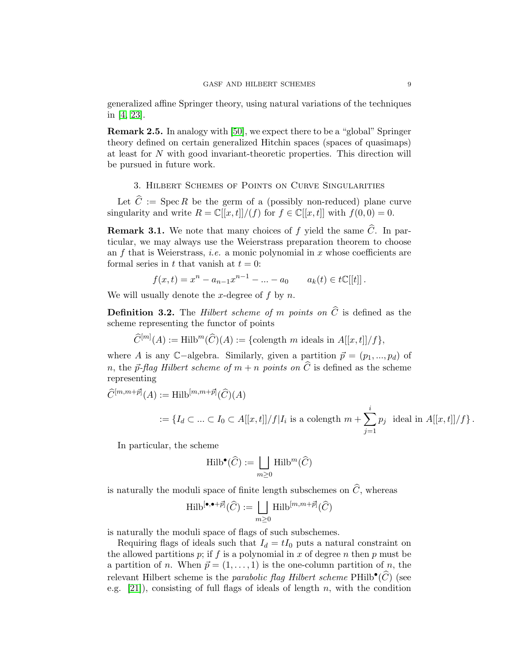generalized affine Springer theory, using natural variations of the techniques in [\[4,](#page-46-0) [23\]](#page-48-8).

Remark 2.5. In analogy with [\[50\]](#page-50-2), we expect there to be a "global" Springer theory defined on certain generalized Hitchin spaces (spaces of quasimaps) at least for N with good invariant-theoretic properties. This direction will be pursued in future work.

# 3. Hilbert Schemes of Points on Curve Singularities

<span id="page-8-0"></span>Let  $\hat{C} := \operatorname{Spec} R$  be the germ of a (possibly non-reduced) plane curve singularity and write  $R = \mathbb{C}[[x,t]]/(f)$  for  $f \in \mathbb{C}[[x,t]]$  with  $f(0,0) = 0$ .

<span id="page-8-1"></span>**Remark 3.1.** We note that many choices of f yield the same  $\widehat{C}$ . In particular, we may always use the Weierstrass preparation theorem to choose an  $f$  that is Weierstrass, *i.e.* a monic polynomial in  $x$  whose coefficients are formal series in t that vanish at  $t = 0$ :

$$
f(x,t) = x^{n} - a_{n-1}x^{n-1} - \dots - a_0 \qquad a_k(t) \in t\mathbb{C}[[t]]\,.
$$

We will usually denote the x-degree of f by n.

**Definition 3.2.** The *Hilbert scheme of m points on*  $\widehat{C}$  is defined as the scheme representing the functor of points

 $\widehat{C}^{[m]}(A) := \text{Hilb}^m(\widehat{C})(A) := \{\text{colength } m \text{ ideals in } A[[x,t]]/f\},\$ 

where A is any C−algebra. Similarly, given a partition  $\vec{p} = (p_1, ..., p_d)$  of n, the  $\vec{p}$ -flag Hilbert scheme of  $m + n$  points on  $\hat{C}$  is defined as the scheme representing

$$
\widehat{C}^{[m,m+\vec{p}]}(A) := \text{Hilb}^{[m,m+\vec{p}]}(\widehat{C})(A)
$$
  

$$
:= \{ I_d \subset \dots \subset I_0 \subset A[[x,t]]/f | I_i \text{ is a colength } m + \sum_{j=1}^i p_j \text{ ideal in } A[[x,t]]/f \}.
$$

In particular, the scheme

$$
\operatorname{Hilb}^{\bullet}(\widehat{C}) := \bigsqcup_{m \geq 0} \operatorname{Hilb}^m(\widehat{C})
$$

is naturally the moduli space of finite length subschemes on  $\widehat{C}$ , whereas

$$
\operatorname{Hilb}^{[\bullet,\bullet+\vec{p}]}(\widehat{C}) := \bigsqcup_{m\geq 0} \operatorname{Hilb}^{[m,m+\vec{p}]}(\widehat{C})
$$

is naturally the moduli space of flags of such subschemes.

Requiring flags of ideals such that  $I_d = tI_0$  puts a natural constraint on the allowed partitions  $p$ ; if  $f$  is a polynomial in  $x$  of degree  $n$  then  $p$  must be a partition of n. When  $\vec{p} = (1, \ldots, 1)$  is the one-column partition of n, the relevant Hilbert scheme is the parabolic flag Hilbert scheme  $\text{PHilb}^{\bullet}(\widehat{C})$  (see e.g. [\[21\]](#page-48-7)), consisting of full flags of ideals of length n, with the condition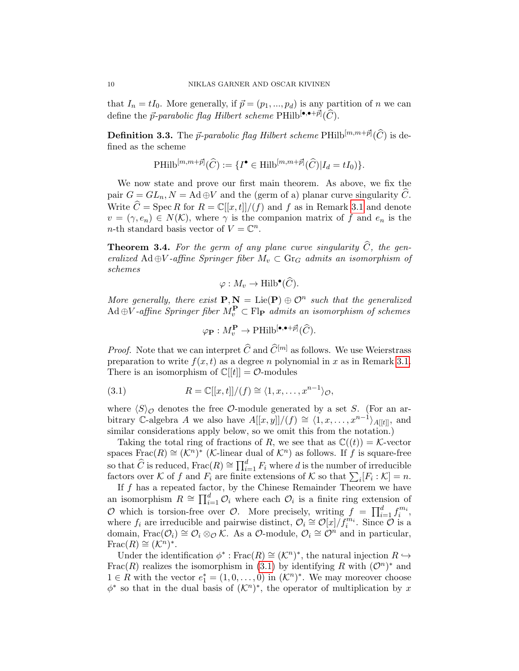that  $I_n = tI_0$ . More generally, if  $\vec{p} = (p_1, ..., p_d)$  is any partition of n we can define the  $\vec{p}$ -parabolic flag Hilbert scheme PHilb $[\bullet,\bullet+\vec{p}](\widehat{C})$ .

<span id="page-9-2"></span>**Definition 3.3.** The  $\vec{p}$ -parabolic flag Hilbert scheme  $\text{PHilb}^{[m,m+\vec{p}]}(\widehat{C})$  is defined as the scheme

$$
\text{PHilb}^{[m,m+\vec{p}]}(\widehat{C}) := \{I^{\bullet} \in \text{Hilb}^{[m,m+\vec{p}]}(\widehat{C}) | I_d = tI_0) \}.
$$

We now state and prove our first main theorem. As above, we fix the pair  $G = GL_n$ ,  $N = \text{Ad} \oplus V$  and the (germ of a) planar curve singularity C. Write  $\hat{C} = \text{Spec } R$  for  $R = \mathbb{C}[[x, t]]/(f)$  and f as in Remark [3.1](#page-8-1) and denote  $v = (\gamma, e_n) \in N(K)$ , where  $\gamma$  is the companion matrix of f and  $e_n$  is the *n*-th standard basis vector of  $V = \mathbb{C}^n$ .

<span id="page-9-0"></span>**Theorem 3.4.** For the germ of any plane curve singularity  $\widehat{C}$ , the generalized Ad ⊕V-affine Springer fiber  $M_v \subset \mathbb{G}$  admits an isomorphism of schemes

$$
\varphi: M_v \to \text{Hilb}^{\bullet}(\widehat{C}).
$$

More generally, there exist  $P, N = Lie(P) \oplus O^n$  such that the generalized  $Ad \oplus V$ -affine Springer fiber  $M_v^{\mathbf{P}} \subset \mathrm{Fl}_{\mathbf{P}}$  admits an isomorphism of schemes

<span id="page-9-1"></span>
$$
\varphi_{\mathbf{P}} : M_{v}^{\mathbf{P}} \to \mathrm{PHilb}^{[\bullet,\bullet+\vec{p}]}(\widehat{C}).
$$

*Proof.* Note that we can interpret  $\widehat{C}$  and  $\widehat{C}^{[m]}$  as follows. We use Weierstrass preparation to write  $f(x, t)$  as a degree n polynomial in x as in Remark [3.1.](#page-8-1) There is an isomorphism of  $\mathbb{C}[[t]] = \mathcal{O}$ -modules

(3.1) 
$$
R = \mathbb{C}[[x,t]]/(f) \cong \langle 1, x, \dots, x^{n-1} \rangle_{\mathcal{O}},
$$

where  $\langle S \rangle_{\mathcal{O}}$  denotes the free  $\mathcal{O}$ -module generated by a set S. (For an arbitrary C-algebra A we also have  $A[[x, y]]/(f) \cong \langle 1, x, \ldots, x^{n-1} \rangle_{A[[t]]}$ , and similar considerations apply below, so we omit this from the notation.)

Taking the total ring of fractions of R, we see that as  $\mathbb{C}((t)) = \mathcal{K}$ -vector spaces Frac $(R) \cong (\mathcal{K}^n)^*$  (*K*-linear dual of  $\mathcal{K}^n$ ) as follows. If f is square-free so that  $\widehat{C}$  is reduced, Frac $(R) \cong \prod_{i=1}^d F_i$  where d is the number of irreducible factors over K of f and  $F_i$  are finite extensions of K so that  $\sum_i [F_i : K] = n$ .

If  $f$  has a repeated factor, by the Chinese Remainder Theorem we have an isomorphism  $R \cong \prod_{i=1}^d \mathcal{O}_i$  where each  $\mathcal{O}_i$  is a finite ring extension of O which is torsion-free over O. More precisely, writing  $f = \prod_{i=1}^d f_i^{m_i}$ , where  $f_i$  are irreducible and pairwise distinct,  $\mathcal{O}_i \cong \mathcal{O}[x]/f_i^{m_i}$ . Since  $\mathcal{O}$  is a domain, Frac $(\mathcal{O}_i) \cong \mathcal{O}_i \otimes_{\mathcal{O}} \mathcal{K}$ . As a  $\mathcal{O}\text{-module}, \mathcal{O}_i \cong \mathcal{O}^n$  and in particular, Frac $(R) \cong (\mathcal{K}^n)^*$ .

Under the identification  $\phi^*$ : Frac $(R) \cong (\mathcal{K}^n)^*$ , the natural injection  $R \hookrightarrow$ Frac(R) realizes the isomorphism in [\(3.1\)](#page-9-1) by identifying R with  $(\mathcal{O}^n)^*$  and 1 ∈ R with the vector  $e_1^* = (1, 0, ..., 0)$  in  $(\mathcal{K}^n)^*$ . We may moreover choose  $\phi^*$  so that in the dual basis of  $(\mathcal{K}^n)^*$ , the operator of multiplication by x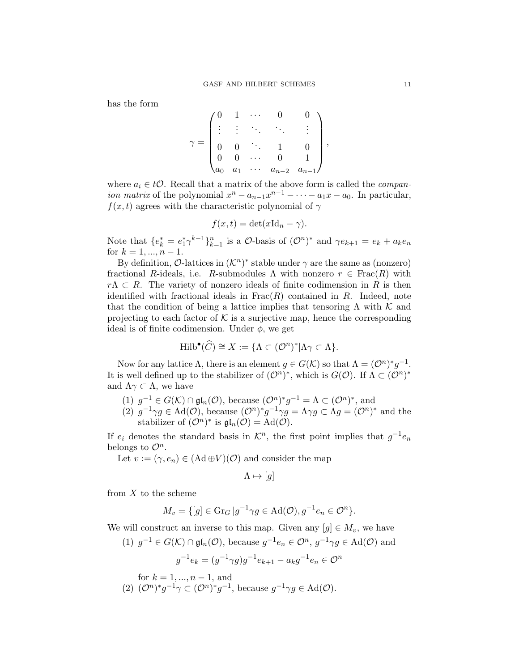has the form

$$
\gamma = \begin{pmatrix} 0 & 1 & \cdots & 0 & 0 \\ \vdots & \vdots & \ddots & \ddots & \vdots \\ 0 & 0 & \ddots & 1 & 0 \\ 0 & 0 & \cdots & 0 & 1 \\ a_0 & a_1 & \cdots & a_{n-2} & a_{n-1} \end{pmatrix},
$$

where  $a_i \in t\mathcal{O}$ . Recall that a matrix of the above form is called the *compan*ion matrix of the polynomial  $x^n - a_{n-1}x^{n-1} - \cdots - a_1x - a_0$ . In particular,  $f(x, t)$  agrees with the characteristic polynomial of  $\gamma$ 

$$
f(x,t) = \det(x\mathrm{Id}_n - \gamma).
$$

Note that  ${e_k^* = e_1^* \gamma^{k-1}}_{k=1}^n$  is a *O*-basis of  $(O^n)^*$  and  $\gamma e_{k+1} = e_k + a_k e_n$ for  $k = 1, ..., n - 1$ .

By definition,  $\mathcal{O}\text{-lattices in } (\mathcal{K}^n)^*$  stable under  $\gamma$  are the same as (nonzero) fractional R-ideals, i.e. R-submodules  $\Lambda$  with nonzero  $r \in Frac(R)$  with  $r\Lambda \subset R$ . The variety of nonzero ideals of finite codimension in R is then identified with fractional ideals in  $Frac(R)$  contained in R. Indeed, note that the condition of being a lattice implies that tensoring  $\Lambda$  with  $\mathcal K$  and projecting to each factor of  $K$  is a surjective map, hence the corresponding ideal is of finite codimension. Under  $\phi$ , we get

$$
\mathrm{Hilb}^{\bullet}(\widehat{C}) \cong X := \{ \Lambda \subset (\mathcal{O}^n)^* | \Lambda \gamma \subset \Lambda \}.
$$

Now for any lattice  $\Lambda$ , there is an element  $g \in G(\mathcal{K})$  so that  $\Lambda = (\mathcal{O}^n)^* g^{-1}$ . It is well defined up to the stabilizer of  $(\mathcal{O}^n)^*$ , which is  $G(\mathcal{O})$ . If  $\Lambda \subset (\mathcal{O}^n)^*$ and  $\Lambda \gamma \subset \Lambda$ , we have

- (1)  $g^{-1} \in G(\mathcal{K}) \cap \mathfrak{gl}_n(\mathcal{O}),$  because  $(\mathcal{O}^n)^* g^{-1} = \Lambda \subset (\mathcal{O}^n)^*$ , and
- (2)  $g^{-1}\gamma g \in \text{Ad}(\mathcal{O}),$  because  $(\mathcal{O}^n)^* g^{-1} \gamma g = \Lambda \gamma g \subset \Lambda g = (\mathcal{O}^n)^*$  and the stabilizer of  $(\mathcal{O}^n)^*$  is  $\mathfrak{gl}_n(\mathcal{O}) = \mathrm{Ad}(\mathcal{O}).$

If  $e_i$  denotes the standard basis in  $\mathcal{K}^n$ , the first point implies that  $g^{-1}e_n$ belongs to  $\mathcal{O}^n$ .

Let  $v := (\gamma, e_n) \in (Ad \oplus V)({\cal O})$  and consider the map

$$
\Lambda \mapsto [g]
$$

from  $X$  to the scheme

$$
M_v = \{ [g] \in \text{Gr}_G \, | g^{-1} \gamma g \in \text{Ad}(\mathcal{O}), g^{-1} e_n \in \mathcal{O}^n \}.
$$

We will construct an inverse to this map. Given any  $[g] \in M_v$ , we have

(1)  $g^{-1} \in G(\mathcal{K}) \cap \mathfrak{gl}_n(\mathcal{O}),$  because  $g^{-1}e_n \in \mathcal{O}^n$ ,  $g^{-1}\gamma g \in \text{Ad}(\mathcal{O})$  and  $g^{-1}e_k = (g^{-1}\gamma g)g^{-1}e_{k+1} - a_k g^{-1}e_n \in \mathcal{O}^n$ 

for 
$$
k = 1, ..., n-1
$$
, and

(2)  $(\mathcal{O}^n)^* g^{-1} \gamma \subset (\mathcal{O}^n)^* g^{-1}$ , because  $g^{-1} \gamma g \in \text{Ad}(\mathcal{O})$ .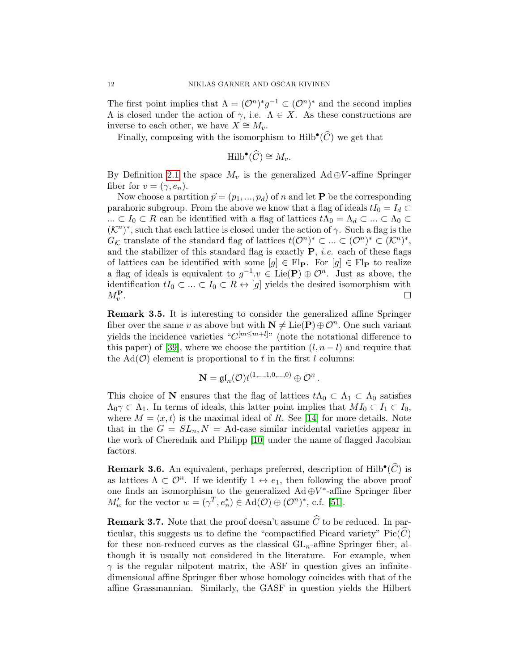The first point implies that  $\Lambda = (\mathcal{O}^n)^* g^{-1} \subset (\mathcal{O}^n)^*$  and the second implies  $Λ$  is closed under the action of  $γ$ , i.e.  $Λ ∈ X$ . As these constructions are inverse to each other, we have  $X \cong M_v$ .

Finally, composing with the isomorphism to  $\text{Hilb}^{\bullet}(\widehat{C})$  we get that

$$
\mathrm{Hilb}^{\bullet}(\widehat{C}) \cong M_v.
$$

By Definition [2.1](#page-7-0) the space  $M_v$  is the generalized Ad ⊕V-affine Springer fiber for  $v = (\gamma, e_n)$ .

Now choose a partition  $\vec{p} = (p_1, ..., p_d)$  of n and let **P** be the corresponding parahoric subgroup. From the above we know that a flag of ideals  $tI_0 = I_d \subset$ ...  $\subset I_0 \subset R$  can be identified with a flag of lattices  $t\Lambda_0 = \Lambda_d \subset ... \subset \Lambda_0 \subset$  $(K<sup>n</sup>)<sup>*</sup>$ , such that each lattice is closed under the action of  $\gamma$ . Such a flag is the  $G_{\mathcal{K}}$  translate of the standard flag of lattices  $t(\mathcal{O}^n)^* \subset \ldots \subset (\mathcal{O}^n)^* \subset (\mathcal{K}^n)^*$ , and the stabilizer of this standard flag is exactly  $P$ , *i.e.* each of these flags of lattices can be identified with some  $[g] \in \mathrm{Fl}_{\mathbf{P}}$ . For  $[g] \in \mathrm{Fl}_{\mathbf{P}}$  to realize a flag of ideals is equivalent to  $g^{-1}.v \in \text{Lie}(\mathbf{P}) \oplus \mathcal{O}^n$ . Just as above, the identification  $tI_0 \subset \ldots \subset I_0 \subset R \leftrightarrow [g]$  yields the desired isomorphism with  $M^{\mathbf{P}}$ .  $M_v^{\mathbf{P}}$ . В последните последните последните последните последните последните последните последните последните последн<br>В последните последните последните последните последните последните последните последните последните последнит

<span id="page-11-0"></span>Remark 3.5. It is interesting to consider the generalized affine Springer fiber over the same v as above but with  $N \neq \text{Lie}(P) \oplus \mathcal{O}^n$ . One such variant yields the incidence varieties " $C^{[m \leq m+l]}$ " (note the notational difference to this paper) of [\[39\]](#page-49-1), where we choose the partition  $(l, n-l)$  and require that the  $\text{Ad}(\mathcal{O})$  element is proportional to t in the first l columns:

$$
\mathbf{N} = \mathfrak{gl}_n(\mathcal{O}) t^{(1,\ldots,1,0,\ldots,0)} \oplus \mathcal{O}^n.
$$

This choice of N ensures that the flag of lattices  $t\Lambda_0 \subset \Lambda_1 \subset \Lambda_0$  satisfies  $\Lambda_0 \gamma \subset \Lambda_1$ . In terms of ideals, this latter point implies that  $MI_0 \subset I_1 \subset I_0$ , where  $M = \langle x, t \rangle$  is the maximal ideal of R. See [\[14\]](#page-47-6) for more details. Note that in the  $G = SL_n$ ,  $N = \text{Ad-case similar incidental varieties appear in}$ the work of Cherednik and Philipp [\[10\]](#page-47-10) under the name of flagged Jacobian factors.

**Remark 3.6.** An equivalent, perhaps preferred, description of Hilb<sup>•</sup> $(\widehat{C})$  is as lattices  $\Lambda \subset \mathcal{O}^n$ . If we identify  $1 \leftrightarrow e_1$ , then following the above proof one finds an isomorphism to the generalized  $Ad \oplus V^*$ -affine Springer fiber  $M'_w$  for the vector  $w = (\gamma^T, e_n^*) \in \text{Ad}(\mathcal{O}) \oplus (\mathcal{O}^n)^*$ , c.f. [\[51\]](#page-50-0).

**Remark 3.7.** Note that the proof doesn't assume  $\widehat{C}$  to be reduced. In particular, this suggests us to define the "compactified Picard variety"  $\overline{\text{Pic}}(\widehat{C})$ for these non-reduced curves as the classical  $GL_n$ -affine Springer fiber, although it is usually not considered in the literature. For example, when  $\gamma$  is the regular nilpotent matrix, the ASF in question gives an infinitedimensional affine Springer fiber whose homology coincides with that of the affine Grassmannian. Similarly, the GASF in question yields the Hilbert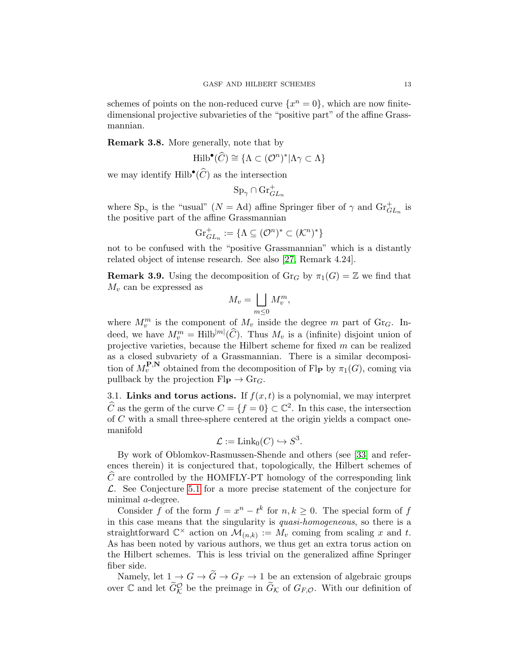schemes of points on the non-reduced curve  $\{x^n = 0\}$ , which are now finitedimensional projective subvarieties of the "positive part" of the affine Grassmannian.

Remark 3.8. More generally, note that by

$$
\mathrm{Hilb}^{\bullet}(\widehat{C}) \cong \{ \Lambda \subset (\mathcal{O}^n)^* | \Lambda \gamma \subset \Lambda \}
$$

we may identify  $\text{Hilb}^{\bullet}(\widehat{C})$  as the intersection

$$
\mathrm{Sp}_\gamma\cap\mathrm{Gr}_{GL_n}^+
$$

where  $\text{Sp}_{\gamma}$  is the "usual" ( $N = \text{Ad}$ ) affine Springer fiber of  $\gamma$  and  $\text{Gr}_{GL_n}^+$  is the positive part of the affine Grassmannian

$$
\mathrm{Gr}^+_{GL_n}:=\{\Lambda\subseteq (\mathcal{O}^n)^*\subset (\mathcal{K}^n)^*\}
$$

not to be confused with the "positive Grassmannian" which is a distantly related object of intense research. See also [\[27,](#page-48-11) Remark 4.24].

**Remark 3.9.** Using the decomposition of  $\text{Gr}_G$  by  $\pi_1(G) = \mathbb{Z}$  we find that  $M_v$  can be expressed as

$$
M_v = \bigsqcup_{m \le 0} M_v^m,
$$

where  $M_v^m$  is the component of  $M_v$  inside the degree m part of Gr<sub>G</sub>. Indeed, we have  $M_v^m = \text{Hilb}^{|m|}(\widehat{C})$ . Thus  $M_v$  is a (infinite) disjoint union of projective varieties, because the Hilbert scheme for fixed  $m$  can be realized as a closed subvariety of a Grassmannian. There is a similar decomposition of  $M_v^{\mathbf{P},\mathbf{N}}$  obtained from the decomposition of Fl<sub>P</sub> by  $\pi_1(G)$ , coming via pullback by the projection  $\text{Fl}_{\mathbf{P}} \to \text{Gr}_G$ .

3.1. Links and torus actions. If  $f(x, t)$  is a polynomial, we may interpret  $\widehat{C}$  as the germ of the curve  $C = \{f = 0\} \subset \mathbb{C}^2$ . In this case, the intersection of C with a small three-sphere centered at the origin yields a compact onemanifold

$$
\mathcal{L} := \mathrm{Link}_0(C) \hookrightarrow S^3.
$$

By work of Oblomkov-Rasmussen-Shende and others (see [\[33\]](#page-49-12) and references therein) it is conjectured that, topologically, the Hilbert schemes of  $\hat{C}$  are controlled by the HOMFLY-PT homology of the corresponding link  $\mathcal{L}$ . See Conjecture [5.1](#page-30-1) for a more precise statement of the conjecture for minimal a-degree.

Consider f of the form  $f = x^n - t^k$  for  $n, k \ge 0$ . The special form of f in this case means that the singularity is quasi-homogeneous, so there is a straightforward  $\mathbb{C}^{\times}$  action on  $\mathcal{M}_{(n,k)} := M_v$  coming from scaling x and t. As has been noted by various authors, we thus get an extra torus action on the Hilbert schemes. This is less trivial on the generalized affine Springer fiber side.

Namely, let  $1 \rightarrow G \rightarrow G \rightarrow G_F \rightarrow 1$  be an extension of algebraic groups over  $\mathbb C$  and let  $\widetilde{G}_{\mathcal{K}}^{\mathcal{O}}$  be the preimage in  $\widetilde{G}_{\mathcal{K}}$  of  $G_{F,\mathcal{O}}$ . With our definition of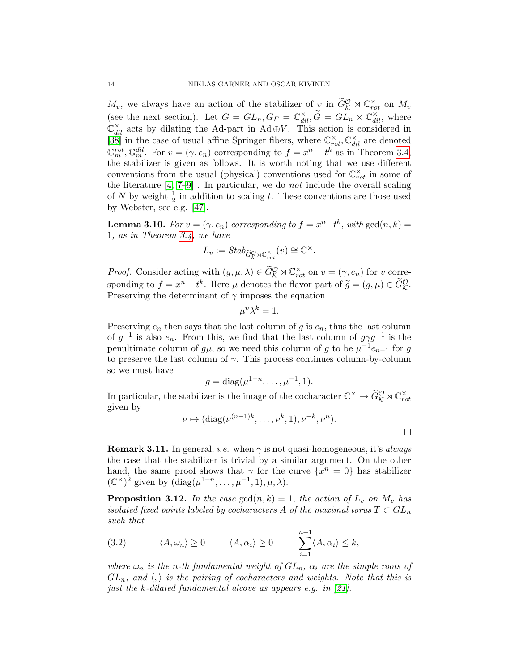$M_v$ , we always have an action of the stabilizer of  $\chi$  in  $\widetilde{G}_{\mathcal{K}}^{\mathcal{O}} \rtimes \mathbb{C}_{rot}^{\times}$  on  $M_v$ (see the next section). Let  $G = GL_n, G_F = \mathbb{C}^\times_{dil}, \widetilde{G} = GL_n \times \mathbb{C}^\times_{dil}$ , where  $\mathbb{C}_{dil}^{\times}$  acts by dilating the Ad-part in Ad  $\oplus V$ . This action is considered in [\[38\]](#page-49-3) in the case of usual affine Springer fibers, where  $\mathbb{C}_{rot}^{\times}$ ,  $\mathbb{C}_{ddl}^{\times}$  are denoted  $\mathbb{G}_m^{rot}, \mathbb{G}_m^{dil}$ . For  $v = (\gamma, e_n)$  corresponding to  $f = x^n - t^k$  as in Theorem [3.4,](#page-9-0) the stabilizer is given as follows. It is worth noting that we use different conventions from the usual (physical) conventions used for  $\mathbb{C}_{rot}^{\times}$  in some of the literature  $[4, 7-9]$  $[4, 7-9]$ . In particular, we do *not* include the overall scaling of N by weight  $\frac{1}{2}$  in addition to scaling t. These conventions are those used by Webster, see e.g. [\[47\]](#page-49-10).

<span id="page-13-1"></span>**Lemma 3.10.** For  $v = (\gamma, e_n)$  corresponding to  $f = x^n - t^k$ , with  $gcd(n, k) =$ 1, as in Theorem [3.4,](#page-9-0) we have

$$
L_v := \mathop{Stab}\nolimits_{\widetilde{G}_{\mathcal{K}}^{\mathcal{O}} \rtimes \mathbb{C}^\times_{rot}}(v) \cong \mathbb{C}^\times.
$$

*Proof.* Consider acting with  $(g, \mu, \lambda) \in \widetilde{G}_{\mathcal{K}}^{\mathcal{O}} \rtimes \mathbb{C}^{\times}_{rot}$  on  $v = (\gamma, e_n)$  for v corresponding to  $f = x^n - t^k$ . Here  $\mu$  denotes the flavor part of  $\widetilde{g} = (g, \mu) \in \widetilde{G}_{\mathcal{K}}^{\mathcal{O}}$ . Preserving the determinant of  $\gamma$  imposes the equation

$$
\mu^n \lambda^k = 1.
$$

Preserving  $e_n$  then says that the last column of g is  $e_n$ , thus the last column of  $g^{-1}$  is also  $e_n$ . From this, we find that the last column of  $g\gamma g^{-1}$  is the penultimate column of  $g\mu$ , so we need this column of g to be  $\mu^{-1}e_{n-1}$  for g to preserve the last column of  $\gamma$ . This process continues column-by-column so we must have

$$
g = \text{diag}(\mu^{1-n}, \dots, \mu^{-1}, 1).
$$

In particular, the stabilizer is the image of the cocharacter  $\mathbb{C}^{\times} \to \widetilde{G}_{\mathcal{K}}^{\mathcal{O}} \rtimes \mathbb{C}_{rot}^{\times}$ given by

$$
\nu \mapsto (\mathrm{diag}(\nu^{(n-1)k}, \dots, \nu^k, 1), \nu^{-k}, \nu^n).
$$

**Remark 3.11.** In general, *i.e.* when  $\gamma$  is not quasi-homogeneous, it's *always* the case that the stabilizer is trivial by a similar argument. On the other hand, the same proof shows that  $\gamma$  for the curve  $\{x^n = 0\}$  has stabilizer  $(\mathbb{C}^{\times})^2$  given by  $(\text{diag}(\mu^{1-n}, \ldots, \mu^{-1}, 1), \mu, \lambda)$ .

<span id="page-13-2"></span>**Proposition 3.12.** In the case  $gcd(n, k) = 1$ , the action of  $L_v$  on  $M_v$  has isolated fixed points labeled by cocharacters A of the maximal torus  $T \subset GL_n$ such that

<span id="page-13-0"></span>(3.2) 
$$
\langle A, \omega_n \rangle \ge 0
$$
  $\langle A, \alpha_i \rangle \ge 0$   $\sum_{i=1}^{n-1} \langle A, \alpha_i \rangle \le k$ ,

where  $\omega_n$  is the n-th fundamental weight of  $GL_n$ ,  $\alpha_i$  are the simple roots of  $GL_n$ , and  $\langle \cdot \rangle$  is the pairing of cocharacters and weights. Note that this is just the k-dilated fundamental alcove as appears e.g. in [\[21\]](#page-48-7).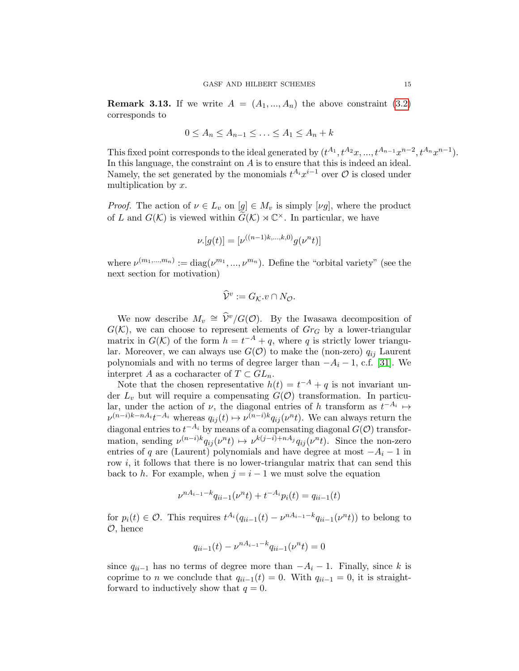**Remark 3.13.** If we write  $A = (A_1, ..., A_n)$  the above constraint [\(3.2\)](#page-13-0) corresponds to

$$
0 \le A_n \le A_{n-1} \le \ldots \le A_1 \le A_n + k
$$

This fixed point corresponds to the ideal generated by  $(t^{A_1}, t^{A_2}x, ..., t^{A_{n-1}}x^{n-2}, t^{A_n}x^{n-1}).$ In this language, the constraint on  $A$  is to ensure that this is indeed an ideal. Namely, the set generated by the monomials  $t^{A_i}x^{i-1}$  over  $\mathcal O$  is closed under multiplication by x.

*Proof.* The action of  $\nu \in L_v$  on  $[g] \in M_v$  is simply  $[\nu g]$ , where the product of L and  $G(\mathcal{K})$  is viewed within  $G(\mathcal{K}) \rtimes \mathbb{C}^{\times}$ . In particular, we have

$$
\nu.[g(t)] = [\nu^{((n-1)k,\dots,k,0)}g(\nu^n t)]
$$

where  $\nu^{(m_1,...,m_n)} := \text{diag}(\nu^{m_1},...,\nu^{m_n}).$  Define the "orbital variety" (see the next section for motivation)

$$
\widehat{\mathcal{V}}^v := G_{\mathcal{K}}.v \cap N_{\mathcal{O}}.
$$

We now describe  $M_v \cong \hat{V}^v/G(\mathcal{O})$ . By the Iwasawa decomposition of  $G(\mathcal{K})$ , we can choose to represent elements of  $Gr_G$  by a lower-triangular matrix in  $G(\mathcal{K})$  of the form  $h = t^{-A} + q$ , where q is strictly lower triangular. Moreover, we can always use  $G(\mathcal{O})$  to make the (non-zero)  $q_{ij}$  Laurent polynomials and with no terms of degree larger than  $-A_i - 1$ , c.f. [\[31\]](#page-48-4). We interpret A as a cocharacter of  $T \subset GL_n$ .

Note that the chosen representative  $h(t) = t^{-A} + q$  is not invariant under  $L_v$  but will require a compensating  $G(\mathcal{O})$  transformation. In particular, under the action of  $\nu$ , the diagonal entries of h transform as  $t^{-A_i} \mapsto$  $\nu^{(n-i)k-nA_i}t^{-A_i}$  whereas  $q_{ij}(t) \mapsto \nu^{(n-i)k}q_{ij}(\nu^n t)$ . We can always return the diagonal entries to  $t^{-A_i}$  by means of a compensating diagonal  $G(\mathcal{O})$  transformation, sending  $\nu^{(n-i)k} q_{ij}(\nu^n t) \mapsto \nu^{k(j-i)+nA_j} q_{ij}(\nu^n t)$ . Since the non-zero entries of q are (Laurent) polynomials and have degree at most  $-A_i - 1$  in row  $i$ , it follows that there is no lower-triangular matrix that can send this back to h. For example, when  $j = i - 1$  we must solve the equation

$$
\nu^{nA_{i-1}-k}q_{ii-1}(\nu^{n}t) + t^{-A_i}p_i(t) = q_{ii-1}(t)
$$

for  $p_i(t) \in \mathcal{O}$ . This requires  $t^{A_i}(q_{ii-1}(t) - \nu^{nA_{i-1}-k}q_{ii-1}(\nu^{n}t))$  to belong to O, hence

$$
q_{ii-1}(t) - \nu^{nA_{i-1} - k} q_{ii-1}(\nu^n t) = 0
$$

since  $q_{ii-1}$  has no terms of degree more than  $-A_i - 1$ . Finally, since k is coprime to *n* we conclude that  $q_{ii-1}(t) = 0$ . With  $q_{ii-1} = 0$ , it is straightforward to inductively show that  $q = 0$ .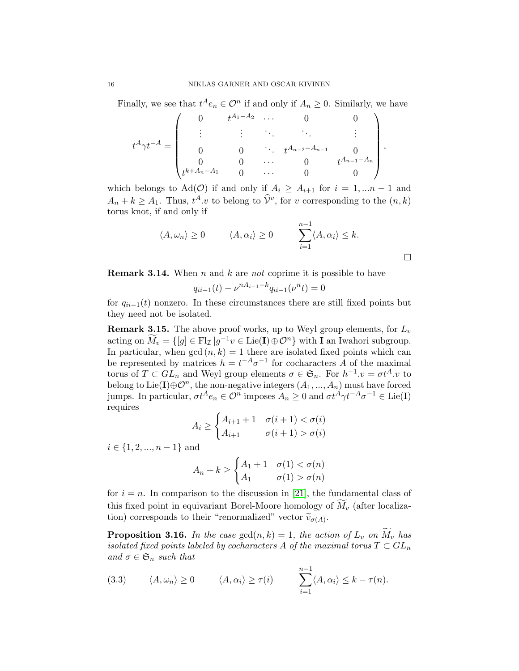Finally, we see that  $t^A e_n \in \mathcal{O}^n$  if and only if  $A_n \geq 0$ . Similarly, we have

$$
t^{A}\gamma t^{-A} = \begin{pmatrix} 0 & t^{A_1 - A_2} & \cdots & 0 & 0 \\ \vdots & \vdots & \ddots & \ddots & \vdots \\ 0 & 0 & \ddots & t^{A_{n-2} - A_{n-1}} & 0 \\ 0 & 0 & \cdots & 0 & t^{A_{n-1} - A_n} \\ t^{k + A_n - A_1} & 0 & \cdots & 0 & 0 \end{pmatrix},
$$

which belongs to Ad( $\mathcal{O}$ ) if and only if  $A_i \geq A_{i+1}$  for  $i = 1, ...n - 1$  and  $A_n + k \geq A_1$ . Thus,  $t^A \cdot v$  to belong to  $\hat{\mathcal{V}}^v$ , for v corresponding to the  $(n, k)$ torus knot, if and only if

$$
\langle A, \omega_n \rangle \ge 0 \qquad \langle A, \alpha_i \rangle \ge 0 \qquad \sum_{i=1}^{n-1} \langle A, \alpha_i \rangle \le k.
$$

**Remark 3.14.** When n and k are not coprime it is possible to have

 $q_{ii-1}(t) - \nu^{nA_{i-1} - k} q_{ii-1}(\nu^n t) = 0$ 

for  $q_{ii-1}(t)$  nonzero. In these circumstances there are still fixed points but they need not be isolated.

**Remark 3.15.** The above proof works, up to Weyl group elements, for  $L_v$ acting on  $\widetilde{M}_v = \{ [g] \in \mathrm{Fl}_{\mathcal{I}} | g^{-1}v \in \mathrm{Lie}(\mathbf{I}) \oplus \mathcal{O}^n \}$  with **I** an Iwahori subgroup. In particular, when  $gcd(n, k) = 1$  there are isolated fixed points which can be represented by matrices  $h = t^{-A} \sigma^{-1}$  for cocharacters A of the maximal torus of  $T \subset GL_n$  and Weyl group elements  $\sigma \in \mathfrak{S}_n$ . For  $h^{-1}.v = \sigma t^A.v$  to belong to Lie(I) $\oplus \mathcal{O}^n$ , the non-negative integers  $(A_1, ..., A_n)$  must have forced jumps. In particular,  $\sigma t^A e_n \in \mathcal{O}^n$  imposes  $A_n \geq 0$  and  $\sigma t^A \gamma t^{-A} \sigma^{-1} \in \text{Lie}(\mathbf{I})$ requires

$$
A_i \ge \begin{cases} A_{i+1} + 1 & \sigma(i+1) < \sigma(i) \\ A_{i+1} & \sigma(i+1) > \sigma(i) \end{cases}
$$

 $i \in \{1, 2, ..., n-1\}$  and

$$
A_n + k \ge \begin{cases} A_1 + 1 & \sigma(1) < \sigma(n) \\ A_1 & \sigma(1) > \sigma(n) \end{cases}
$$

for  $i = n$ . In comparison to the discussion in [\[21\]](#page-48-7), the fundamental class of this fixed point in equivariant Borel-Moore homology of  $M_v$  (after localization) corresponds to their "renormalized" vector  $\tilde{v}_{\sigma(A)}$ .

**Proposition 3.16.** In the case  $gcd(n, k) = 1$ , the action of  $L_v$  on  $\overline{M}_v$  has isolated fixed points labeled by cocharacters A of the maximal torus  $T \subset GL_n$ and  $\sigma \in \mathfrak{S}_n$  such that

(3.3) 
$$
\langle A, \omega_n \rangle \ge 0
$$
  $\langle A, \alpha_i \rangle \ge \tau(i)$   $\sum_{i=1}^{n-1} \langle A, \alpha_i \rangle \le k - \tau(n)$ .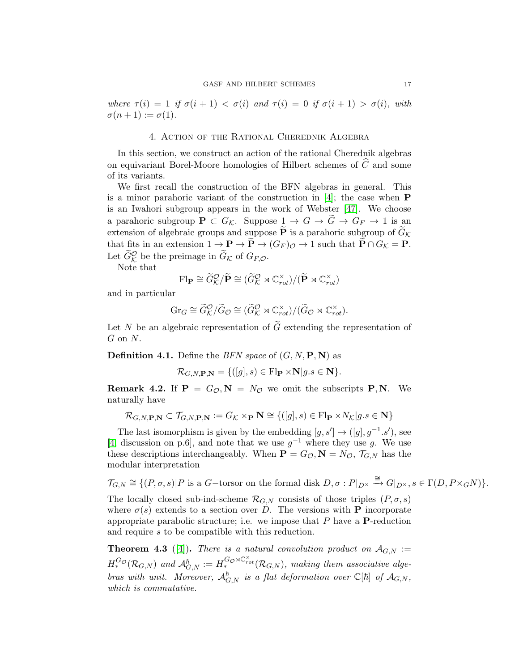where  $\tau(i) = 1$  if  $\sigma(i+1) < \sigma(i)$  and  $\tau(i) = 0$  if  $\sigma(i+1) > \sigma(i)$ , with  $\sigma(n+1) := \sigma(1).$ 

#### 4. Action of the Rational Cherednik Algebra

<span id="page-16-0"></span>In this section, we construct an action of the rational Cherednik algebras on equivariant Borel-Moore homologies of Hilbert schemes of  $\widehat{C}$  and some of its variants.

We first recall the construction of the BFN algebras in general. This is a minor parahoric variant of the construction in  $[4]$ ; the case when **P** is an Iwahori subgroup appears in the work of Webster [\[47\]](#page-49-10). We choose a parahoric subgroup  $P \subset G_{\mathcal{K}}$ . Suppose  $1 \to G \to \tilde{G} \to G_F \to 1$  is an extension of algebraic groups and suppose  $\widetilde{P}$  is a parahoric subgroup of  $\widetilde{G}_{\mathcal{K}}$ that fits in an extension  $1 \to \mathbf{P} \to \widetilde{\mathbf{P}} \to (G_F)_{\mathcal{O}} \to 1$  such that  $\widetilde{\mathbf{P}} \cap G_{\mathcal{K}} = \mathbf{P}$ . Let  $\widetilde{G}_{\mathcal{K}}^{\mathcal{O}}$  be the preimage in  $\widetilde{G}_{\mathcal{K}}$  of  $G_{F,\mathcal{O}}$ .

Note that

$$
\mathrm{Fl}_{\mathbf{P}} \cong \widetilde{G}_{\mathcal{K}}^{\mathcal{O}} / \widetilde{\mathbf{P}} \cong (\widetilde{G}_{\mathcal{K}}^{\mathcal{O}} \rtimes \mathbb{C}_{rot}^{\times}) / (\widetilde{\mathbf{P}} \rtimes \mathbb{C}_{rot}^{\times})
$$

and in particular

$$
\mathrm{Gr}_G \cong \widetilde{G}_{\mathcal{K}}^{\mathcal{O}} / \widetilde{G}_{\mathcal{O}} \cong (\widetilde{G}_{\mathcal{K}}^{\mathcal{O}} \rtimes \mathbb{C}_{rot}^{\times}) / (\widetilde{G}_{\mathcal{O}} \rtimes \mathbb{C}_{rot}^{\times}).
$$

Let N be an algebraic representation of  $\tilde{G}$  extending the representation of  $G$  on  $N$ .

**Definition 4.1.** Define the BFN space of  $(G, N, P, N)$  as

$$
\mathcal{R}_{G,N,\mathbf{P},\mathbf{N}} = \{([g],s) \in \mathrm{Fl}_{\mathbf{P}} \times \mathbf{N} | g.s \in \mathbf{N} \}.
$$

**Remark 4.2.** If  $P = G_{\mathcal{O}}, N = N_{\mathcal{O}}$  we omit the subscripts P, N. We naturally have

$$
\mathcal{R}_{G,N,\mathbf{P},\mathbf{N}} \subset \mathcal{T}_{G,N,\mathbf{P},\mathbf{N}} := G_{\mathcal{K}} \times_{\mathbf{P}} \mathbf{N} \cong \{([g],s) \in \mathrm{Fl}_{\mathbf{P}} \times N_{\mathcal{K}} | g.s \in \mathbf{N}\}
$$

The last isomorphism is given by the embedding  $[g, s'] \mapsto ([g], g^{-1}.s')$ , see [\[4,](#page-46-0) discussion on p.6], and note that we use  $g^{-1}$  where they use g. We use these descriptions interchangeably. When  $P = G_{\mathcal{O}}, N = N_{\mathcal{O}}, \mathcal{T}_{G,N}$  has the modular interpretation

$$
\mathcal{T}_{G,N}\cong\{(P,\sigma,s)|P\text{ is a }G-\text{torsor on the formal disk }D,\sigma:P|_{D^{\times}}\xrightarrow{\cong}G|_{D^{\times}},s\in\Gamma(D,P\times_G N)\}.
$$

The locally closed sub-ind-scheme  $\mathcal{R}_{G,N}$  consists of those triples  $(P, \sigma, s)$ where  $\sigma(s)$  extends to a section over D. The versions with **P** incorporate appropriate parabolic structure; i.e. we impose that  $P$  have a  $P$ -reduction and require s to be compatible with this reduction.

<span id="page-16-1"></span>**Theorem 4.3** ([\[4\]](#page-46-0)). There is a natural convolution product on  $\mathcal{A}_{G,N}$  :=  $H_*^{G_{\mathcal{O}}}(\mathcal{R}_{G,N})$  and  $\mathcal{A}_{G,N}^{\hbar} := H_*^{G_{\mathcal{O}} \rtimes \mathbb{C}_{rot}^{\times}}(\mathcal{R}_{G,N}),$  making them associative algebras with unit. Moreover,  $\mathcal{A}_{G,N}^{\hbar}$  is a flat deformation over  $\mathbb{C}[\hbar]$  of  $\mathcal{A}_{G,N}$ , which is commutative.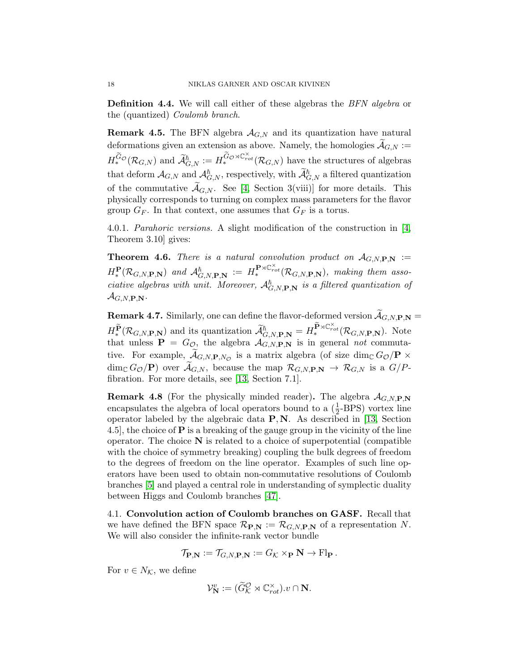**Definition 4.4.** We will call either of these algebras the *BFN algebra* or the (quantized) Coulomb branch.

**Remark 4.5.** The BFN algebra  $A_{G,N}$  and its quantization have natural deformations given an extension as above. Namely, the homologies  $\widetilde{\mathcal{A}}_{G,N}$  :=  $H_*^{\widetilde{G}_\mathcal{O}}(\mathcal{R}_{G,N})$  and  $\widetilde{\mathcal{A}}_{G,N}^{\hbar} := H_*^{\widetilde{G}_\mathcal{O} \rtimes \mathbb{C}^\times_{rot}}(\mathcal{R}_{G,N})$  have the structures of algebras that deform  $\mathcal{A}_{G,N}$  and  $\mathcal{A}_{G,N}^{\hbar}$ , respectively, with  $\mathcal{A}_{G,N}^{\hbar}$  a filtered quantization of the commutative  $\mathcal{A}_{G,N}$ . See [\[4,](#page-46-0) Section 3(viii)] for more details. This physically corresponds to turning on complex mass parameters for the flavor group  $G_F$ . In that context, one assumes that  $G_F$  is a torus.

4.0.1. Parahoric versions. A slight modification of the construction in [\[4,](#page-46-0) Theorem 3.10] gives:

**Theorem 4.6.** There is a natural convolution product on  $\mathcal{A}_{G,N,P,N}$  :=  $H^{\mathbf{P}}_*(\mathcal{R}_{G,N,\mathbf{P},\mathbf{N}})$  and  $\mathcal{A}_{G,N,\mathbf{P},\mathbf{N}}^{\hbar} := H^{\mathbf{P}\rtimes C_{rot}^{\times}}_*(\mathcal{R}_{G,N,\mathbf{P},\mathbf{N}})$ , making them associative algebras with unit. Moreover,  $\mathcal{A}_{G,N,\mathbf{P},\mathbf{N}}^{\hbar}$  is a filtered quantization of  $\mathcal{A}_{G.N.P.N.}$ 

**Remark 4.7.** Similarly, one can define the flavor-deformed version  $\widetilde{\mathcal{A}}_{G,N,\mathbf{P},\mathbf{N}} =$  $H^{\widetilde{\mathbf{P}}}_{*}(\mathcal{R}_{G,N,\mathbf{P},\mathbf{N}})$  and its quantization  $\widetilde{\mathcal{A}}_{G,N,\mathbf{P},\mathbf{N}}^{\hbar}=H^{\widetilde{\mathbf{P}}\rtimes\mathbb{C}^{\times}_{rot}}_{*}(\mathcal{R}_{G,N,\mathbf{P},\mathbf{N}})$ . Note that unless  $P = G_{\mathcal{O}_\mathcal{O}}$  the algebra  $\mathcal{A}_{G,N,P,N}$  is in general not commutative. For example,  $\mathcal{A}_{G,N,\mathbf{P},N_\mathcal{O}}$  is a matrix algebra (of size  $\dim_\mathbb{C} G_\mathcal{O}/\mathbf{P} \times$  $\dim_{\mathbb{C}} G_{\mathcal{O}}(\mathbf{P})$  over  $\mathcal{A}_{G,N}$ , because the map  $\mathcal{R}_{G,N,\mathbf{P},\mathbf{N}} \to \mathcal{R}_{G,N}$  is a  $G/P$ fibration. For more details, see [\[13,](#page-47-4) Section 7.1].

**Remark 4.8** (For the physically minded reader). The algebra  $\mathcal{A}_{G,N,\mathbf{P},\mathbf{N}}$ encapsulates the algebra of local operators bound to a  $(\frac{1}{2}$ -BPS) vortex line operator labeled by the algebraic data  $P, N$ . As described in [\[13,](#page-47-4) Section 4.5], the choice of  $P$  is a breaking of the gauge group in the vicinity of the line operator. The choice  $N$  is related to a choice of superpotential (compatible with the choice of symmetry breaking) coupling the bulk degrees of freedom to the degrees of freedom on the line operator. Examples of such line operators have been used to obtain non-commutative resolutions of Coulomb branches [\[5\]](#page-46-3) and played a central role in understanding of symplectic duality between Higgs and Coulomb branches [\[47\]](#page-49-10).

4.1. Convolution action of Coulomb branches on GASF. Recall that we have defined the BFN space  $\mathcal{R}_{P,N} := \mathcal{R}_{G,N,P,N}$  of a representation N. We will also consider the infinite-rank vector bundle

$$
\mathcal{T}_{\mathbf{P},\mathbf{N}} := \mathcal{T}_{G,N,\mathbf{P},\mathbf{N}} := G_{\mathcal{K}} \times_{\mathbf{P}} \mathbf{N} \to \mathrm{Fl}_{\mathbf{P}}.
$$

For  $v \in N_{\mathcal{K}}$ , we define

$$
\mathcal{V}_{\mathbf{N}}^v := (\widetilde{G}_{\mathcal{K}}^{\mathcal{O}} \rtimes \mathbb{C}_{rot}^\times).v \cap \mathbf{N}.
$$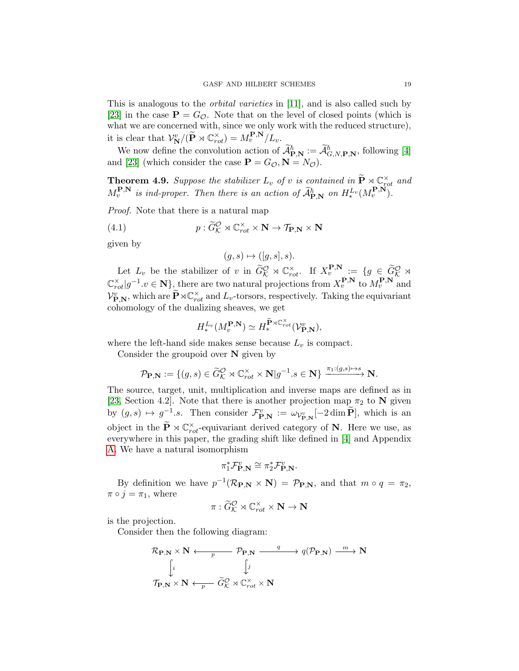This is analogous to the orbital varieties in [\[11\]](#page-47-1), and is also called such by [\[23\]](#page-48-8) in the case  $P = G_{\mathcal{O}}$ . Note that on the level of closed points (which is what we are concerned with, since we only work with the reduced structure), it is clear that  $\mathcal{V}_{\mathbf{N}}^v/(\widetilde{\mathbf{P}} \rtimes \mathbb{C}_{rot}^{\times}) = M_v^{\mathbf{P},\mathbf{N}}/L_v$ .

We now define the convolution action of  $\mathcal{A}^{\hbar}_{P,N} := \mathcal{A}^{\hbar}_{G,N,P,N}$ , following [\[4\]](#page-46-0) and [\[23\]](#page-48-8) (which consider the case  $\mathbf{P} = G_{\mathcal{O}}, \mathbf{N} = N_{\mathcal{O}}$ ).

<span id="page-18-0"></span>**Theorem 4.9.** Suppose the stabilizer  $L_v$  of v is contained in  $\widetilde{\mathbf{P}} \rtimes \mathbb{C}_{rot}^{\times}$  and  $M_v^{\mathbf{P},\mathbf{N}}$  is ind-proper. Then there is an action of  $\widetilde{\mathcal{A}}_{\mathbf{P},\mathbf{N}}^{\hbar}$  on  $H_*^{L_v}(M_v^{\mathbf{P},\mathbf{N}})$ .

Proof. Note that there is a natural map

(4.1) 
$$
p: \widetilde{G}_{\mathcal{K}}^{\mathcal{O}} \rtimes \mathbb{C}_{rot}^{\times} \times \mathbf{N} \to \mathcal{T}_{\mathbf{P},\mathbf{N}} \times \mathbf{N}
$$

given by

<span id="page-18-1"></span>
$$
(g, s) \mapsto ([g, s], s).
$$

Let  $L_v$  be the stabilizer of v in  $\widetilde{G}_\mathcal{K}^\mathcal{O} \rtimes \mathbb{C}^\times_{rot}$ . If  $X_v^{\mathbf{P},\mathbf{N}} := \{g \in \widetilde{G}_\mathcal{K}^\mathcal{O} \rtimes$  $\mathbb{C}_{rot}^{\times}|g^{-1}.v \in \mathbf{N}$ , there are two natural projections from  $X_v^{\mathbf{P},\mathbf{N}}$  to  $M_v^{\mathbf{P},\mathbf{N}}$  and  $\mathcal{V}_{\mathbf{P},\mathbf{N}}^{v}$ , which are  $\widetilde{\mathbf{P}} \rtimes \mathbb{C}^{\times}_{rot}$  and  $L_{v}$ -torsors, respectively. Taking the equivariant cohomology of the dualizing sheaves, we get

$$
H^{L_v}_*(M^{\mathbf{P},\mathbf{N}}_v)\simeq H^{\widetilde{\mathbf{P}}\rtimes \mathbb{C}^\times_{rot}}_*(\mathcal{V}^v_{\mathbf{P},\mathbf{N}}),
$$

where the left-hand side makes sense because  $L_v$  is compact.

Consider the groupoid over  $N$  given by

$$
\mathcal{P}_{\mathbf{P},\mathbf{N}} := \{ (g,s) \in \widetilde{G}_{\mathcal{K}}^{\mathcal{O}} \rtimes \mathbb{C}_{rot}^{\times} \times \mathbf{N} | g^{-1}.s \in \mathbf{N} \} \xrightarrow{\pi_1: (g,s) \mapsto s} \mathbf{N}.
$$

The source, target, unit, multiplication and inverse maps are defined as in [\[23,](#page-48-8) Section 4.2]. Note that there is another projection map  $\pi_2$  to N given by  $(g, s) \mapsto g^{-1}.s$ . Then consider  $\mathcal{F}_{\mathbf{P}, \mathbf{N}}^v := \omega_{\mathcal{V}_{\mathbf{P}, \mathbf{N}}^v}[-2 \dim \widetilde{\mathbf{P}}]$ , which is an object in the  $\widetilde{\mathbf{P}} \rtimes \mathbb{C}^{\times}_{rot}$ -equivariant derived category of **N**. Here we use, as everywhere in this paper, the grading shift like defined in [\[4\]](#page-46-0) and Appendix [A.](#page-42-0) We have a natural isomorphism

$$
\pi_1^* \mathcal{F}_{\mathbf{P},\mathbf{N}}^v \cong \pi_2^* \mathcal{F}_{\mathbf{P},\mathbf{N}}^v.
$$

By definition we have  $p^{-1}(\mathcal{R}_{\mathbf{P},\mathbf{N}} \times \mathbf{N}) = \mathcal{P}_{\mathbf{P},\mathbf{N}}$ , and that  $m \circ q = \pi_2$ ,  $\pi \circ j = \pi_1$ , where

$$
\pi : \widetilde{G}^{\mathcal{O}}_{\mathcal{K}} \rtimes \mathbb{C}^{\times}_{rot} \times \mathbf{N} \to \mathbf{N}
$$

is the projection.

Consider then the following diagram:

$$
\mathcal{R}_{\mathbf{P},\mathbf{N}} \times \mathbf{N} \longleftarrow p_{\mathbf{P},\mathbf{N}} \xrightarrow{q} q(\mathcal{P}_{\mathbf{P},\mathbf{N}}) \xrightarrow{m} \mathbf{N}
$$

$$
\downarrow \qquad \qquad \downarrow j
$$

$$
\mathcal{T}_{\mathbf{P},\mathbf{N}} \times \mathbf{N} \longleftarrow \widetilde{G}_{\mathcal{K}}^{\mathcal{O}} \rtimes \mathbb{C}_{rot}^{\times} \times \mathbf{N}
$$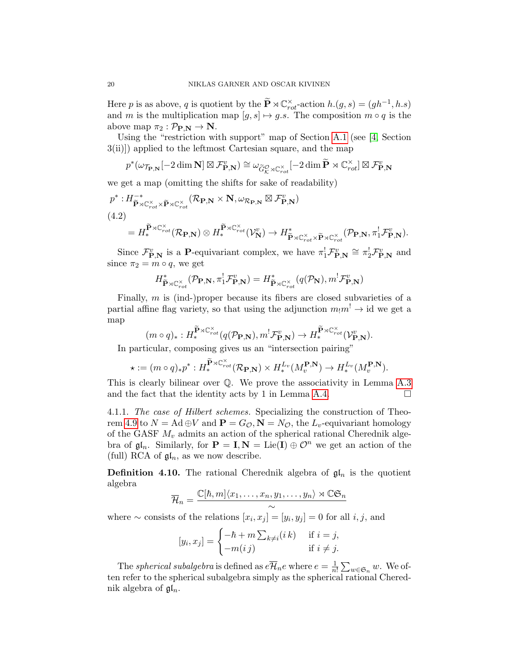Here p is as above, q is quotient by the  $\widetilde{\mathbf{P}} \rtimes \mathbb{C}^{\times}_{rot}$ -action  $h(g, s) = (gh^{-1}, h.s)$ and m is the multiplication map  $[g, s] \mapsto g.s$ . The composition  $m \circ q$  is the above map  $\pi_2 : \mathcal{P}_{\mathbf{P}.\mathbf{N}} \to \mathbf{N}$ .

Using the "restriction with support" map of Section [A.1](#page-42-1) (see [\[4,](#page-46-0) Section 3(ii)]) applied to the leftmost Cartesian square, and the map

$$
p^*(\omega_{\mathcal{T}_{\mathbf{P},\mathbf{N}}}[-2\dim \mathbf{N}] \boxtimes \mathcal{F}_{\mathbf{P},\mathbf{N}}^v) \cong \omega_{\widetilde{G}_{\mathcal{K}}^{\mathcal{O}} \rtimes \mathbb{C}_{rot}^{\times}}[-2\dim \widetilde{\mathbf{P}} \rtimes \mathbb{C}_{rot}^{\times}] \boxtimes \mathcal{F}_{\mathbf{P},\mathbf{N}}^v
$$

we get a map (omitting the shifts for sake of readability)

$$
p^* : H^{-*}_{\tilde{\mathbf{P}} \rtimes \mathbb{C}_{rot}^{\times} \times \tilde{\mathbf{P}} \rtimes \mathbb{C}_{rot}^{\times}} (\mathcal{R}_{\mathbf{P}, \mathbf{N}} \times \mathbf{N}, \omega_{\mathcal{R}_{\mathbf{P}, \mathbf{N}}} \boxtimes \mathcal{F}_{\mathbf{P}, \mathbf{N}}^{\upsilon})
$$
  
(4.2)  

$$
= H^{\tilde{\mathbf{P}} \rtimes \mathbb{C}_{rot}^{\times}}_{rot} (\mathcal{R}_{\mathbf{P}, \mathbf{N}}) \otimes H^{\tilde{\mathbf{P}} \rtimes \mathbb{C}_{rot}^{\times}}_{rot} (\mathcal{V}_{\mathbf{N}}^{\upsilon}) \to H^*_{\tilde{\mathbf{P}} \rtimes \mathbb{C}_{rot}^{\times} \times \tilde{\mathbf{P}} \rtimes \mathbb{C}_{rot}^{\times}} (\mathcal{P}_{\mathbf{P}, \mathbf{N}}, \pi_1^! \mathcal{F}_{\mathbf{P}, \mathbf{N}}^{\upsilon}).
$$

Since  $\mathcal{F}_{\mathbf{P},\mathbf{N}}^{v}$  is a **P**-equivariant complex, we have  $\pi_1^!\mathcal{F}_{\mathbf{P},\mathbf{N}}^{v} \cong \pi_2^!\mathcal{F}_{\mathbf{P},\mathbf{N}}^{v}$  and since  $\pi_2 = m \circ q$ , we get

$$
H^*_{\widetilde{\mathbf{P}} \rtimes \mathbb{C}^\times_{rot}}(\mathcal{P}_{\mathbf{P},\mathbf{N}},\pi_1^!\mathcal{F}^v_{\mathbf{P},\mathbf{N}}) = H^*_{\widetilde{\mathbf{P}} \rtimes \mathbb{C}^\times_{rot}}(q(\mathcal{P}_{\mathbf{N}}),m^!\mathcal{F}^v_{\mathbf{P},\mathbf{N}})
$$

Finally,  $m$  is (ind-)proper because its fibers are closed subvarieties of a partial affine flag variety, so that using the adjunction  $m_1m^! \rightarrow id$  we get a map

$$
(m \circ q)_{*}: H_{*}^{\widetilde{\mathbf{P}}\rtimes \mathbb{C}^{\times}_{rot}}(q(\mathcal{P}_{\mathbf{P},\mathbf{N}}), m^{!}\mathcal{F}_{\mathbf{P},\mathbf{N}}^{v}) \to H_{*}^{\widetilde{\mathbf{P}}\rtimes \mathbb{C}^{\times}_{rot}}(\mathcal{V}_{\mathbf{P},\mathbf{N}}^{v}).
$$

In particular, composing gives us an "intersection pairing"

$$
\star := (m \circ q)_* p^* : H_*^{\widetilde{\mathbf{P}} \rtimes \mathbb{C}^\times_{rot}}(\mathcal{R}_{\mathbf{P},\mathbf{N}}) \times H_*^{L_v}(M_v^{\mathbf{P},\mathbf{N}}) \to H_*^{L_v}(M_v^{\mathbf{P},\mathbf{N}}).
$$

This is clearly bilinear over Q. We prove the associativity in Lemma [A.3](#page-43-0) and the fact that the identity acts by 1 in Lemma [A.4.](#page-46-4)  $\Box$ 

4.1.1. The case of Hilbert schemes. Specializing the construction of Theo-rem [4.9](#page-18-0) to  $N = \text{Ad} \oplus V$  and  $\mathbf{P} = G_{\mathcal{O}}, \mathbf{N} = N_{\mathcal{O}},$  the  $L_v$ -equivariant homology of the GASF  $M_v$  admits an action of the spherical rational Cherednik algebra of  $\mathfrak{gl}_n$ . Similarly, for  $\mathbf{P} = \mathbf{I}, \mathbf{N} = \text{Lie}(\mathbf{I}) \oplus \mathcal{O}^n$  we get an action of the (full) RCA of  $\mathfrak{gl}_n$ , as we now describe.

<span id="page-19-0"></span>**Definition 4.10.** The rational Cherednik algebra of  $\mathfrak{gl}_n$  is the quotient algebra

$$
\overline{\mathcal{H}}_n = \frac{\mathbb{C}[\hbar, m] \langle x_1, \dots, x_n, y_1, \dots, y_n \rangle \rtimes \mathbb{C} \mathfrak{S}_n}{\sim}
$$

where  $\sim$  consists of the relations  $[x_i, x_j] = [y_i, y_j] = 0$  for all *i*, *j*, and

$$
[y_i, x_j] = \begin{cases} -\hbar + m \sum_{k \neq i} (i \, k) & \text{if } i = j, \\ -m(i \, j) & \text{if } i \neq j. \end{cases}
$$

The *spherical subalgebra* is defined as  $e\overline{\mathcal{H}}_n e$  where  $e = \frac{1}{n}$  $\frac{1}{n!}\sum_{w\in\mathfrak{S}_n}w$ . We often refer to the spherical subalgebra simply as the spherical rational Cherednik algebra of  $\mathfrak{gl}_n$ .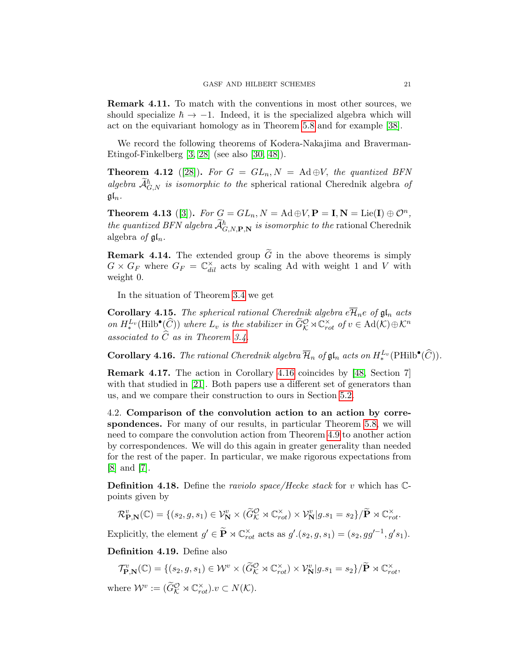Remark 4.11. To match with the conventions in most other sources, we should specialize  $\hbar \rightarrow -1$ . Indeed, it is the specialized algebra which will act on the equivariant homology as in Theorem [5.8](#page-34-0) and for example [\[38\]](#page-49-3).

We record the following theorems of Kodera-Nakajima and Braverman-Etingof-Finkelberg [\[3,](#page-46-2) [28\]](#page-48-9) (see also [\[30,](#page-48-12) [48\]](#page-50-1)).

<span id="page-20-0"></span>**Theorem 4.12** ([\[28\]](#page-48-9)). For  $G = GL_n, N = \text{Ad} \oplus V$ , the quantized BFN algebra  $\mathcal{A}_{G,N}^{\hbar}$  is isomorphic to the spherical rational Cherednik algebra of  $\mathfrak{gl}_n$ .

**Theorem 4.13** ([\[3\]](#page-46-2)). For  $G = GL_n, N = \text{Ad} \oplus V, P = I, N = \text{Lie}(I) \oplus \mathcal{O}^n$ , the quantized BFN algebra  $\mathcal{A}_{G,N,\mathbf{P},\mathbf{N}}^{\hbar}$  is isomorphic to the rational Cherednik algebra of  $\mathfrak{gl}_n$ .

**Remark 4.14.** The extended group  $\tilde{G}$  in the above theorems is simply  $G \times G_F$  where  $G_F = \mathbb{C}^{\times}_{dil}$  acts by scaling Ad with weight 1 and V with weight 0.

In the situation of Theorem [3.4](#page-9-0) we get

**Corollary 4.15.** The spherical rational Cherednik algebra  $e\overline{\mathcal{H}}_n e$  of  $\mathfrak{gl}_n$  acts on  $H^{L_v}_{*}(\text{Hilb}^{\bullet}(\widehat{C}))$  where  $L_v$  is the stabilizer in  $\widetilde{G}_{\mathcal{K}}^{\mathcal{O}} \rtimes \mathbb{C}_{rot}^{\times}$  of  $v \in \text{Ad}(\mathcal{K}) \oplus \mathcal{K}^n$ associated to  $C$  as in Theorem [3.4.](#page-9-0)

<span id="page-20-1"></span>**Corollary 4.16.** The rational Cherednik algebra  $\overline{\mathcal{H}}_n$  of  $\mathfrak{gl}_n$  acts on  $H_*^{L_v}(\text{PHilb}^{\bullet}(\widehat{C}))$ .

Remark 4.17. The action in Corollary [4.16](#page-20-1) coincides by [\[48,](#page-50-1) Section 7] with that studied in [\[21\]](#page-48-7). Both papers use a different set of generators than us, and we compare their construction to ours in Section [5.2.](#page-36-0)

<span id="page-20-2"></span>4.2. Comparison of the convolution action to an action by correspondences. For many of our results, in particular Theorem [5.8,](#page-34-0) we will need to compare the convolution action from Theorem [4.9](#page-18-0) to another action by correspondences. We will do this again in greater generality than needed for the rest of the paper. In particular, we make rigorous expectations from [\[8\]](#page-47-8) and [\[7\]](#page-47-3).

**Definition 4.18.** Define the *raviolo space/Hecke stack* for v which has  $\mathbb{C}$ points given by

$$
\mathcal{R}_{\mathbf{P},\mathbf{N}}^v(\mathbb{C}) = \{ (s_2, g, s_1) \in \mathcal{V}_\mathbf{N}^v \times (\widetilde{G}_\mathcal{K}^\mathcal{O} \rtimes \mathbb{C}_{rot}^\times) \times \mathcal{V}_\mathbf{N}^v | g.s_1 = s_2 \} / \widetilde{\mathbf{P}} \rtimes \mathbb{C}_{rot}^\times.
$$

Explicitly, the element  $g' \in \widetilde{\mathbf{P}} \rtimes \mathbb{C}^{\times}_{rot}$  acts as  $g'(s_2, g, s_1) = (s_2, gg'^{-1}, g's_1)$ .

Definition 4.19. Define also

 $\mathcal{T}_{\mathbf{P},\mathbf{N}}^{v}(\mathbb{C}) = \{ (s_2, g, s_1) \in \mathcal{W}^v \times (\widetilde{G}_{\mathcal{K}}^{\mathcal{O}} \rtimes \mathbb{C}_{rot}^{\times}) \times \mathcal{V}_{\mathbf{N}}^{v} | g.s_1 = s_2 \} / \widetilde{\mathbf{P}} \rtimes \mathbb{C}_{rot}^{\times},$ 

where  $\mathcal{W}^v := (\widetilde{G}_{\mathcal{K}}^{\mathcal{O}} \rtimes \mathbb{C}_{rot}^\times).v \subset N(\mathcal{K}).$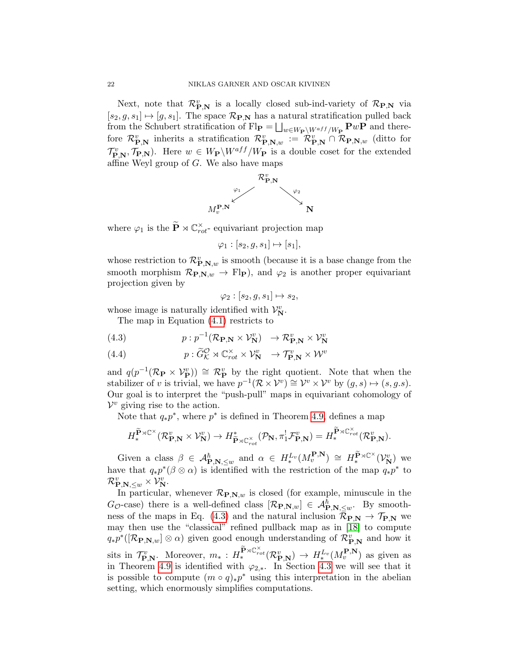Next, note that  $\mathcal{R}_{\mathbf{P},\mathbf{N}}^{v}$  is a locally closed sub-ind-variety of  $\mathcal{R}_{\mathbf{P},\mathbf{N}}$  via  $[s_2, g, s_1] \mapsto [g, s_1]$ . The space  $\mathcal{R}_{\mathbf{P},\mathbf{N}}$  has a natural stratification pulled back from the Schubert stratification of  $\text{Fl}_{\mathbf{P}} = \bigsqcup_{w \in W_{\mathbf{P}} \setminus W^{aff}/W_{\mathbf{P}}} \mathbf{P}w\mathbf{P}$  and therefore  $\mathcal{R}_{\mathbf{P},\mathbf{N}}^{v}$  inherits a stratification  $\mathcal{R}_{\mathbf{P},\mathbf{N},w}^{v} := \mathcal{R}_{\mathbf{P},\mathbf{N}}^{v} \cap \mathcal{R}_{\mathbf{P},\mathbf{N},w}$  (ditto for  $\mathcal{T}_{\mathbf{P},\mathbf{N}}^v$ ,  $\mathcal{T}_{\mathbf{P},\mathbf{N}}$ ). Here  $w \in W_{\mathbf{P}}\backslash W^{aff}/W_{\mathbf{P}}$  is a double coset for the extended affine Weyl group of  $G$ . We also have maps



where  $\varphi_1$  is the  $\widetilde{\mathbf{P}} \rtimes \mathbb{C}^{\times}_{rot}$ - equivariant projection map

 $\varphi_1 : [s_2, g, s_1] \mapsto [s_1],$ 

whose restriction to  $\mathcal{R}_{\mathbf{P},\mathbf{N},w}^{v}$  is smooth (because it is a base change from the smooth morphism  $\mathcal{R}_{\mathbf{P},\mathbf{N},w} \to \mathrm{Fl}_{\mathbf{P}}$ , and  $\varphi_2$  is another proper equivariant projection given by

<span id="page-21-0"></span>
$$
\varphi_2 : [s_2, g, s_1] \mapsto s_2,
$$

whose image is naturally identified with  $\mathcal{V}_{\mathbf{N}}^{v}$ .

The map in Equation [\(4.1\)](#page-18-1) restricts to

(4.3) 
$$
p: p^{-1}(\mathcal{R}_{\mathbf{P},\mathbf{N}} \times \mathcal{V}_{\mathbf{N}}^v) \to \mathcal{R}_{\mathbf{P},\mathbf{N}}^v \times \mathcal{V}_{\mathbf{N}}^v
$$

 $p: \widetilde{G}^\mathcal{O}_\mathcal{K} \rtimes {\mathbb C}^\times_{rot} \times \mathcal{V}^v_\mathbf{N} \ \ \rightarrow \mathcal{T}^v_{\mathbf{P},\mathbf{N}} \times \mathcal{W}^v$ (4.4)

and  $q(p^{-1}(\mathcal{R}_{\mathbf{P}} \times \mathcal{V}_{\mathbf{P}}^{v})) \cong \mathcal{R}_{\mathbf{P}}^{v}$  by the right quotient. Note that when the stabilizer of v is trivial, we have  $p^{-1}(\mathcal{R}\times\mathcal{V}^v) \cong \mathcal{V}^v \times \mathcal{V}^v$  by  $(g, s) \mapsto (s, g.s)$ . Our goal is to interpret the "push-pull" maps in equivariant cohomology of  $\mathcal{V}^v$  giving rise to the action.

Note that  $q_*p^*$ , where  $p^*$  is defined in Theorem [4.9,](#page-18-0) defines a map

$$
H_*^{\widetilde{\mathbf{P}} \rtimes {\mathbb C}^\times}(\mathcal{R}^v_{\mathbf{P},\mathbf{N}} \times \mathcal{V}^v_{\mathbf{N}}) \to H_{\widetilde{\mathbf{P}} \rtimes {\mathbb C}^\times_{rot}}^*(\mathcal{P}_\mathbf{N}, \pi^!_1\mathcal{F}^v_{\mathbf{P},\mathbf{N}}) = H_*^{\widetilde{\mathbf{P}} \rtimes {\mathbb C}^\times_{rot}}(\mathcal{R}^v_{\mathbf{P},\mathbf{N}}).
$$

Given a class  $\beta \in \mathcal{A}_{\mathbf{P},\mathbf{N},\leq w}^{\hbar}$  and  $\alpha \in H^{L_v}_*(M_v^{\mathbf{P},\mathbf{N}}) \cong H_*^{\widetilde{\mathbf{P}}\rtimes \mathbb{C}^{\times}}(\mathcal{V}_{\mathbf{N}}^v)$  we have that  $q_*p^*(\beta \otimes \alpha)$  is identified with the restriction of the map  $q_*p^*$  to  $\mathcal{R}^v_{\mathbf{P},\mathbf{N},\leq w}\times\mathcal{V}^v_\mathbf{N}.$ 

In particular, whenever  $\mathcal{R}_{\mathbf{P},\mathbf{N},w}$  is closed (for example, minuscule in the  $G_{\mathcal{O}}$ -case) there is a well-defined class  $[\mathcal{R}_{\mathbf{P},\mathbf{N},w}] \in \mathcal{A}_{\mathbf{P},\mathbf{N},\leq w}^{\hbar}$ . By smooth-ness of the maps in Eq. [\(4.3\)](#page-21-0) and the natural inclusion  $\mathcal{R}_{P,N} \to \mathcal{T}_{P,N}$  we may then use the "classical" refined pullback map as in [\[18\]](#page-47-11) to compute  $q_*p^*([\mathcal{R}_{\textbf{P},\textbf{N},w}]\otimes\alpha)$  given good enough understanding of  $\mathcal{R}_{\textbf{P},\textbf{N}}^v$  and how it sits in  $\mathcal{T}_{\mathbf{P},\mathbf{N}}^v$ . Moreover,  $m_* : H_*^{\widetilde{\mathbf{P}} \rtimes \mathbb{C}^\times_{rot}}(\mathcal{R}_{\mathbf{P},\mathbf{N}}^v) \to H_*^{L_v}(M_v^{\mathbf{P},\mathbf{N}})$  as given as in Theorem [4.9](#page-18-0) is identified with  $\varphi_{2,*}$ . In Section [4.3](#page-24-0) we will see that it is possible to compute  $(m \circ q)_*p^*$  using this interpretation in the abelian setting, which enormously simplifies computations.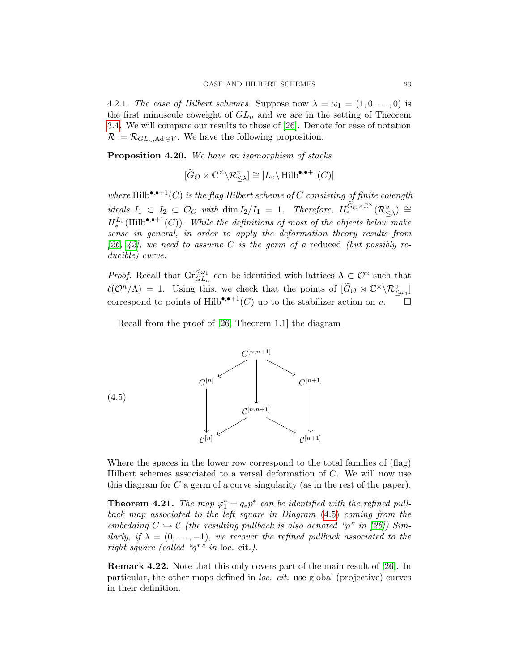4.2.1. The case of Hilbert schemes. Suppose now  $\lambda = \omega_1 = (1, 0, \ldots, 0)$  is the first minuscule coweight of  $GL_n$  and we are in the setting of Theorem [3.4.](#page-9-0) We will compare our results to those of [\[26\]](#page-48-2). Denote for ease of notation  $\mathcal{R} := \mathcal{R}_{GL_n,\text{Ad}\oplus V}$ . We have the following proposition.

Proposition 4.20. We have an isomorphism of stacks

$$
[\widetilde{G}_{\mathcal{O}} \rtimes \mathbb{C}^{\times} \backslash \mathcal{R}_{\leq \lambda}^{v}] \cong [L_{v} \backslash \mathrm{Hilb}^{\bullet, \bullet+1}(C)]
$$

where Hilb\* $\bullet$ <sup>+1</sup>(C) is the flag Hilbert scheme of C consisting of finite colength  $ideals I_1 \subset I_2 \subset \mathcal{O}_C$  with  $\dim I_2/I_1 = 1$ . Therefore,  $H_*^{\widetilde{G}_\mathcal{O}\rtimes\mathbb{C}^\times}(\mathcal{R}_{\leq\lambda}^v) \cong$  $H_*^{L_v}(\text{Hilb}^{\bullet,\bullet+1}(C)).$  While the definitions of most of the objects below make sense in general, in order to apply the deformation theory results from [\[26,](#page-48-2) [42\]](#page-49-13), we need to assume C is the germ of a reduced (but possibly reducible) curve.

*Proof.* Recall that  $\text{Gr}_{GL_n}^{\leq \omega_1}$  can be identified with lattices  $\Lambda \subset \mathcal{O}^n$  such that  $\ell(\mathcal{O}^n/\Lambda) = 1$ . Using this, we check that the points of  $[\widetilde{G}_{\mathcal{O}} \rtimes \mathbb{C}^\times \backslash \mathcal{R}_{\leq \omega_1}^v]$ correspond to points of Hilb<sup>•,•+1</sup>(C) up to the stabilizer action on v.

<span id="page-22-0"></span>Recall from the proof of [\[26,](#page-48-2) Theorem 1.1] the diagram



Where the spaces in the lower row correspond to the total families of (flag) Hilbert schemes associated to a versal deformation of C. We will now use this diagram for C a germ of a curve singularity (as in the rest of the paper).

**Theorem 4.21.** The map  $\varphi_1^* = q_*p^*$  can be identified with the refined pullback map associated to the left square in Diagram [\(4.5\)](#page-22-0) coming from the embedding  $C \hookrightarrow \mathcal{C}$  (the resulting pullback is also denoted "p" in [\[26\]](#page-48-2)) Similarly, if  $\lambda = (0, \ldots, -1)$ , we recover the refined pullback associated to the right square (called " $q^*$ " in loc. cit.).

Remark 4.22. Note that this only covers part of the main result of [\[26\]](#page-48-2). In particular, the other maps defined in loc. cit. use global (projective) curves in their definition.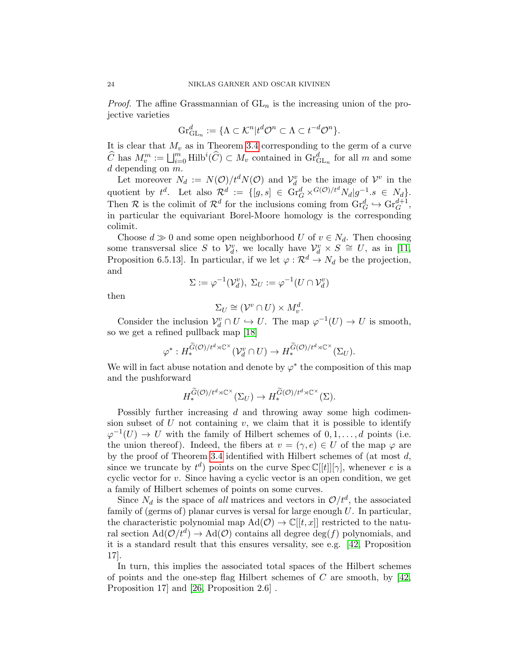*Proof.* The affine Grassmannian of  $GL_n$  is the increasing union of the projective varieties

$$
\mathrm{Gr}_{\mathrm{GL}_n}^d := \{ \Lambda \subset \mathcal{K}^n | t^d \mathcal{O}^n \subset \Lambda \subset t^{-d} \mathcal{O}^n \}.
$$

It is clear that  $M_v$  as in Theorem [3.4](#page-9-0) corresponding to the germ of a curve  $\widehat{C}$  has  $M_v^m := \bigsqcup_{i=0}^m \text{Hilb}^i(\widehat{C}) \subset M_v$  contained in  $\text{Gr}_{\text{GL}_n}^d$  for all m and some  $d$  depending on  $m$ .

Let moreover  $N_d := N(\mathcal{O})/t^d N(\mathcal{O})$  and  $\mathcal{V}_d^v$  be the image of  $\mathcal{V}^v$  in the quotient by  $t^d$ . Let also  $\mathcal{R}^d := \{ [g, s] \in \text{Gr}_G^d \times^{G(\mathcal{O})/t^d} N_d | g^{-1} s \in N_d \}.$ Then R is the colimit of  $\mathcal{R}^d$  for the inclusions coming from  $\mathrm{Gr}_G^d \hookrightarrow \mathrm{Gr}_G^{d+1}$ , in particular the equivariant Borel-Moore homology is the corresponding colimit.

Choose  $d \gg 0$  and some open neighborhood U of  $v \in N_d$ . Then choosing some transversal slice S to  $\mathcal{V}_d^v$ , we locally have  $\mathcal{V}_d^v \times S \cong U$ , as in [\[11,](#page-47-1) Proposition 6.5.13]. In particular, if we let  $\varphi : \mathcal{R}^d \to N_d$  be the projection, and

$$
\Sigma := \varphi^{-1}(\mathcal{V}_d^v), \ \Sigma_U := \varphi^{-1}(U \cap \mathcal{V}_d^v)
$$

then

$$
\Sigma_U \cong (\mathcal{V}^v \cap U) \times M_v^d.
$$

Consider the inclusion  $\mathcal{V}_d^v \cap U \hookrightarrow U$ . The map  $\varphi^{-1}(U) \to U$  is smooth, so we get a refined pullback map [\[18\]](#page-47-11)

$$
\varphi^*: H_*^{\widetilde{G}(\mathcal{O})/t^d \rtimes {\mathbb C}^\times}(\mathcal{V}_d^v \cap U) \to H_*^{\widetilde{G}(\mathcal{O})/t^d \rtimes {\mathbb C}^\times}(\Sigma_U).
$$

We will in fact abuse notation and denote by  $\varphi^*$  the composition of this map and the pushforward

$$
H_*^{\widetilde{G}(\mathcal{O})/t^d \rtimes {\mathbb C}^\times}(\Sigma_U) \to H_*^{\widetilde{G}(\mathcal{O})/t^d \rtimes {\mathbb C}^\times}(\Sigma).
$$

Possibly further increasing d and throwing away some high codimension subset of  $U$  not containing  $v$ , we claim that it is possible to identify  $\varphi^{-1}(U) \to U$  with the family of Hilbert schemes of  $0, 1, \ldots, d$  points (i.e. the union thereof). Indeed, the fibers at  $v = (\gamma, e) \in U$  of the map  $\varphi$  are by the proof of Theorem [3.4](#page-9-0) identified with Hilbert schemes of (at most d, since we truncate by  $t^d$ ) points on the curve Spec  $\mathbb{C}[[t]][\gamma]$ , whenever e is a cyclic vector for  $v$ . Since having a cyclic vector is an open condition, we get a family of Hilbert schemes of points on some curves.

Since  $N_d$  is the space of all matrices and vectors in  $\mathcal{O}/t^d$ , the associated family of (germs of) planar curves is versal for large enough  $U$ . In particular, the characteristic polynomial map  $\text{Ad}(\mathcal{O}) \to \mathbb{C}[[t,x]]$  restricted to the natural section  $\text{Ad}(\mathcal{O}/t^d) \to \text{Ad}(\mathcal{O})$  contains all degree  $\text{deg}(f)$  polynomials, and it is a standard result that this ensures versality, see e.g. [\[42,](#page-49-13) Proposition 17].

In turn, this implies the associated total spaces of the Hilbert schemes of points and the one-step flag Hilbert schemes of  $C$  are smooth, by [\[42,](#page-49-13) Proposition 17] and [\[26,](#page-48-2) Proposition 2.6] .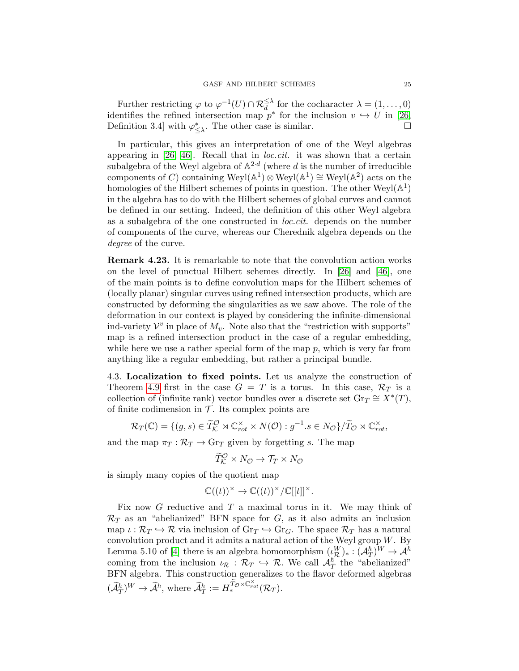Further restricting  $\varphi$  to  $\varphi^{-1}(U) \cap \mathcal{R}_d^{\leq \lambda}$  for the cocharacter  $\lambda = (1, \ldots, 0)$ identifies the refined intersection map  $p^*$  for the inclusion  $v \hookrightarrow U$  in [\[26,](#page-48-2) Definition 3.4] with  $\varphi^*_{\leq \lambda}$ . The other case is similar.

In particular, this gives an interpretation of one of the Weyl algebras appearing in [\[26,](#page-48-2) [46\]](#page-49-14). Recall that in *loc.cit.* it was shown that a certain subalgebra of the Weyl algebra of  $\mathbb{A}^{2 \cdot d}$  (where d is the number of irreducible components of C) containing  $Weyl(\mathbb{A}^1)\otimes Weyl(\mathbb{A}^1)\cong Weyl(\mathbb{A}^2)$  acts on the homologies of the Hilbert schemes of points in question. The other  $Weyl(\mathbb{A}^1)$ in the algebra has to do with the Hilbert schemes of global curves and cannot be defined in our setting. Indeed, the definition of this other Weyl algebra as a subalgebra of the one constructed in loc.cit. depends on the number of components of the curve, whereas our Cherednik algebra depends on the degree of the curve.

Remark 4.23. It is remarkable to note that the convolution action works on the level of punctual Hilbert schemes directly. In [\[26\]](#page-48-2) and [\[46\]](#page-49-14), one of the main points is to define convolution maps for the Hilbert schemes of (locally planar) singular curves using refined intersection products, which are constructed by deforming the singularities as we saw above. The role of the deformation in our context is played by considering the infinite-dimensional ind-variety  $\mathcal{V}^v$  in place of  $M_v$ . Note also that the "restriction with supports" map is a refined intersection product in the case of a regular embedding, while here we use a rather special form of the map  $p$ , which is very far from anything like a regular embedding, but rather a principal bundle.

<span id="page-24-0"></span>4.3. Localization to fixed points. Let us analyze the construction of Theorem [4.9](#page-18-0) first in the case  $G = T$  is a torus. In this case,  $\mathcal{R}_T$  is a collection of (infinite rank) vector bundles over a discrete set  $\text{Gr}_T \cong X^*(T)$ , of finite codimension in  $\mathcal T$ . Its complex points are

$$
\mathcal{R}_T(\mathbb{C}) = \{ (g, s) \in \widetilde{T}_\mathcal{K}^\mathcal{O} \rtimes \mathbb{C}^\times_{rot} \times N(\mathcal{O}) : g^{-1}.s \in N_\mathcal{O} \} / \widetilde{T}_\mathcal{O} \rtimes \mathbb{C}^\times_{rot},
$$

and the map  $\pi_T : \mathcal{R}_T \to \text{Gr}_T$  given by forgetting s. The map

$$
\widetilde{T}_{\mathcal{K}}^{\mathcal{O}} \times N_{\mathcal{O}} \to \mathcal{T}_{T} \times N_{\mathcal{O}}
$$

is simply many copies of the quotient map

$$
\mathbb{C}((t))^\times \to \mathbb{C}((t))^\times/\mathbb{C}[[t]]^\times.
$$

Fix now  $G$  reductive and  $T$  a maximal torus in it. We may think of  $\mathcal{R}_T$  as an "abelianized" BFN space for G, as it also admits an inclusion map  $\iota : \mathcal{R}_T \hookrightarrow \mathcal{R}$  via inclusion of  $\text{Gr}_T \hookrightarrow \text{Gr}_G$ . The space  $\mathcal{R}_T$  has a natural convolution product and it admits a natural action of the Weyl group  $W$ . By Lemma 5.10 of [\[4\]](#page-46-0) there is an algebra homomorphism  $(\iota_{\mathcal{R}}^W)_*: (\mathcal{A}_T^{\hbar})^W \to \mathcal{A}^{\hbar}$ coming from the inclusion  $\iota_{\mathcal{R}} : \mathcal{R}_T \hookrightarrow \mathcal{R}$ . We call  $\mathcal{A}^{\hbar}_T$  the "abelianized" BFN algebra. This construction generalizes to the flavor deformed algebras  $(\widetilde{\mathcal{A}}_T^{\hbar})^W\to \widetilde{\mathcal{A}}^{\hbar}, \text{ where } \widetilde{\mathcal{A}}_T^{\hbar}:=H_*^{\widetilde{T}_{\mathcal{O}}\rtimes \mathbb{C}^{\times}_{rot}}(\mathcal{R}_T).$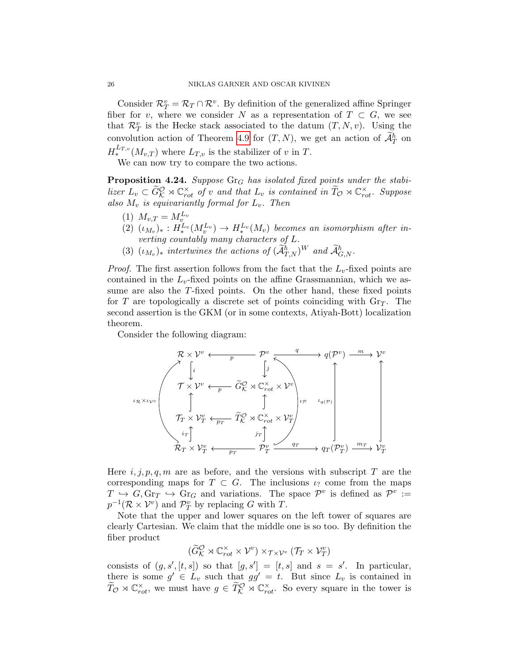Consider  $\mathcal{R}_T^v = \mathcal{R}_T \cap \mathcal{R}^v$ . By definition of the generalized affine Springer fiber for v, where we consider N as a representation of  $T \subset G$ , we see that  $\mathcal{R}_T^v$  is the Hecke stack associated to the datum  $(T, N, v)$ . Using the convolution action of Theorem [4.9](#page-18-0) for  $(T, N)$ , we get an action of  $\mathcal{A}_T^{\hbar}$  on  $H^{L_{T,v}}_*(M_{v,T})$  where  $L_{T,v}$  is the stabilizer of v in T.

We can now try to compare the two actions.

<span id="page-25-0"></span>**Proposition 4.24.** Suppose  $\text{Gr}_G$  has isolated fixed points under the stabilizer  $L_v \subset \widetilde{G}_{\mathcal{K}}^{\mathcal{O}} \rtimes \mathbb{C}^{\times}_{rot}$  of v and that  $L_v$  is contained in  $\widetilde{T}_{\mathcal{O}} \rtimes \mathbb{C}^{\times}_{rot}$ . Suppose also  $M_v$  is equivariantly formal for  $L_v$ . Then

- (1)  $M_{v,T} = M_{v}^{L_v}$
- $(2)$   $(\iota_{M_v})_* : H_*^{L_v}(M_v) \to H_*^{L_v}(M_v)$  becomes an isomorphism after inverting countably many characters of L.
- (3)  $(\iota_{M_v})_*$  intertwines the actions of  $(\widetilde{\mathcal{A}}_{T,N}^{\hbar})^W$  and  $\widetilde{\mathcal{A}}_{G,N}^{\hbar}$ .

*Proof.* The first assertion follows from the fact that the  $L_v$ -fixed points are contained in the  $L_v$ -fixed points on the affine Grassmannian, which we assume are also the T-fixed points. On the other hand, these fixed points for T are topologically a discrete set of points coinciding with  $\text{Gr}_{T}$ . The second assertion is the GKM (or in some contexts, Atiyah-Bott) localization theorem.

Consider the following diagram:

$$
\begin{array}{ccc}\n\mathcal{R} \times \mathcal{V}^v & \xrightarrow{\qquad p} & \mathcal{P}^v & \xrightarrow{q} & q(\mathcal{P}^v) & \xrightarrow{m} & \mathcal{V}^v \\
\downarrow \downarrow & & & & & & \\
\mathcal{T} \times \mathcal{V}^v & \xleftarrow{\qquad p} & \widetilde{G}_{\mathcal{K}}^{\mathcal{O}} \rtimes \mathbb{C}_{rot}^{\times} \times \mathcal{V}^v \\
\uparrow & & & & \\
\mathcal{T}_T \times \mathcal{V}_T^v & \xleftarrow{\qquad p} & \widetilde{T}_{\mathcal{K}}^{\mathcal{O}} \rtimes \mathbb{C}_{rot}^{\times} \times \mathcal{V}_T^v \\
\downarrow & & & & \\
\mathcal{T}_T \times \mathcal{V}_T^v & \xleftarrow{\qquad p} & \widetilde{T}_{\mathcal{K}}^{\mathcal{O}} \rtimes \mathbb{C}_{rot}^{\times} \times \mathcal{V}_T^v \\
\downarrow & & & \\
\mathcal{R}_T \times \mathcal{V}_T^v & \xleftarrow{\qquad p} & \mathcal{P}_T^v & \xrightarrow{q} & \mathcal{q}_T(\mathcal{P}_T^v) & \xrightarrow{m} & \mathcal{V}_T^v\n\end{array}
$$

Here  $i, j, p, q, m$  are as before, and the versions with subscript T are the corresponding maps for  $T \subset G$ . The inclusions  $\iota$ ? come from the maps  $T \rightarrow G$ ,  $\text{Gr}_T \hookrightarrow \text{Gr}_G$  and variations. The space  $\mathcal{P}^v$  is defined as  $\mathcal{P}^v :=$  $p^{-1}(\mathcal{R}\times\mathcal{V}^v)$  and  $\mathcal{P}_T^v$  by replacing G with T.

Note that the upper and lower squares on the left tower of squares are clearly Cartesian. We claim that the middle one is so too. By definition the fiber product

$$
(\widetilde{G}_{\mathcal{K}}^{\mathcal{O}} \rtimes \mathbb{C}_{rot}^{\times} \times \mathcal{V}^v) \times_{\mathcal{T} \times \mathcal{V}^v} (\mathcal{T}_T \times \mathcal{V}_T^v)
$$

consists of  $(g, s', [t, s])$  so that  $[g, s'] = [t, s]$  and  $s = s'$ . In particular, there is some  $g' \in L_v$  such that  $gg' = t$ . But since  $L_v$  is contained in  $\widetilde{T}_{\mathcal{O}} \rtimes \mathbb{C}^{\times}_{rot}$ , we must have  $g \in \widetilde{T}_{\mathcal{K}}^{\mathcal{O}} \rtimes \mathbb{C}^{\times}_{rot}$ . So every square in the tower is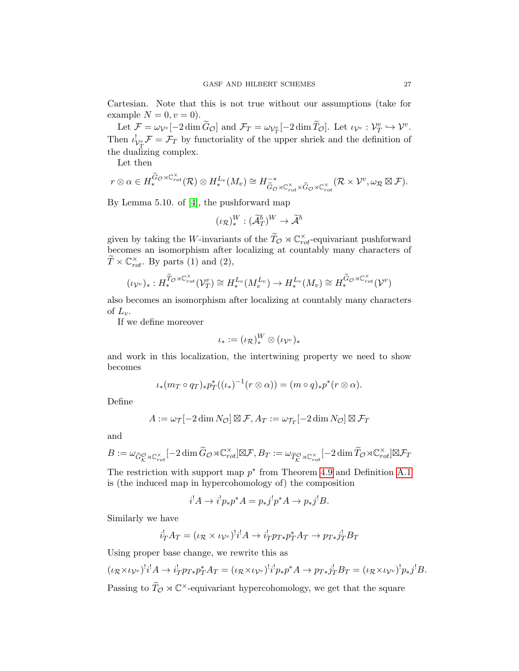Cartesian. Note that this is not true without our assumptions (take for example  $N = 0, v = 0$ .

Let  $\mathcal{F} = \omega_{\mathcal{V}^v}[-2 \dim \widetilde{G}_{\mathcal{O}}]$  and  $\mathcal{F}_T = \omega_{\mathcal{V}^v_T}[-2 \dim \widetilde{T}_{\mathcal{O}}]$ . Let  $\iota_{\mathcal{V}^v} : \mathcal{V}^v_T \hookrightarrow \mathcal{V}^v$ . Then  $\iota_{\mathcal{V}_T^v}^{\dagger} \mathcal{F} = \mathcal{F}_T$  by functoriality of the upper shriek and the definition of the dualizing complex.

Let then

$$
r\otimes \alpha\in H_*^{\widetilde{G}_\mathcal{O}\rtimes {\mathbb C}^\times_{rot}}(\mathcal{R})\otimes H_*^{L_v}(M_v)\cong H^{-*}_{\widetilde{G}_\mathcal{O}\rtimes {\mathbb C}^\times_{rot}\times \widetilde{G}_\mathcal{O}\rtimes {\mathbb C}^\times_{rot}}(\mathcal{R}\times \mathcal{V}^v,\omega_{\mathcal{R}}\boxtimes \mathcal{F}).
$$

By Lemma 5.10. of [\[4\]](#page-46-0), the pushforward map

$$
(\iota_{\mathcal{R}})^{W}_{*} : (\widetilde{\mathcal{A}}^{\hbar}_T)^{W} \to \widetilde{\mathcal{A}}^{\hbar}
$$

given by taking the W-invariants of the  $\widetilde{T}_{\mathcal{O}} \rtimes \mathbb{C}^{\times}_{rot}$ -equivariant pushforward becomes an isomorphism after localizing at countably many characters of  $\widetilde{T} \times \mathbb{C}^{\times}_{rot}$ . By parts (1) and (2),

$$
(\iota_{\mathcal{V}^v})_* : H_*^{\widetilde{T}_{\mathcal{O}} \rtimes \mathbb{C}^\times_{rot}}(\mathcal{V}^v_T) \cong H_*^{L_v}(M_v^{L_v}) \to H_*^{L_v}(M_v) \cong H_*^{\widetilde{G}_{\mathcal{O}} \rtimes \mathbb{C}^\times_{rot}}(\mathcal{V}^v)
$$

also becomes an isomorphism after localizing at countably many characters of  $L_v$ .

If we define moreover

$$
\iota_*:=(\iota_{\mathcal{R}})^W_*\otimes(\iota_{\mathcal{V}^v})_*
$$

and work in this localization, the intertwining property we need to show becomes

$$
\iota_*(m_T \circ q_T)_* p_T^*((\iota_*)^{-1}(r \otimes \alpha)) = (m \circ q)_* p^*(r \otimes \alpha).
$$

Define

$$
A := \omega_{\mathcal{T}}[-2 \dim N_{\mathcal{O}}] \boxtimes \mathcal{F}, A_T := \omega_{\mathcal{T}_T}[-2 \dim N_{\mathcal{O}}] \boxtimes \mathcal{F}_T
$$

and

$$
B:=\omega_{\widetilde{G}_{\mathcal{K}}^{\mathcal{O}}\rtimes {\mathbb C}^\times_{rot}}[-2\dim \widetilde{G}_\mathcal{O}\rtimes {\mathbb C}^\times_{rot}]\boxtimes \mathcal{F}, B_T:=\omega_{\widetilde{T}_{\mathcal{K}}^{\mathcal{O}}\rtimes {\mathbb C}^\times_{rot}}[-2\dim \widetilde{T}_{\mathcal{O}}\rtimes {\mathbb C}^\times_{rot}]\boxtimes \mathcal{F}_T
$$

The restriction with support map  $p^*$  from Theorem [4.9](#page-18-0) and Definition [A.1](#page-42-2) is (the induced map in hypercohomology of) the composition

$$
i^!A \to i^!p_*p^*A = p_*j^!p^*A \to p_*j^!B.
$$

Similarly we have

$$
i_T^! A_T = (\iota_{\mathcal{R}} \times \iota_{\mathcal{V}^v})^! i^! A \to i_T^! p_{T*} p_T^* A_T \to p_{T*} j_T^! B_T
$$

Using proper base change, we rewrite this as

$$
(\iota_{\mathcal{R}} \times \iota_{\mathcal{V}^v})^! i^! A \to i^!_{T} p_{T*} p_T^* A_T = (\iota_{\mathcal{R}} \times \iota_{\mathcal{V}^v})^! i^! p_* p^* A \to p_{T*} j^!_{T} B_T = (\iota_{\mathcal{R}} \times \iota_{\mathcal{V}^v})^! p_* j^! B.
$$
  
Passing to  $\widetilde{T}_{\mathcal{O}} \rtimes \mathbb{C}^{\times}$ -equivariant hypercohomology, we get that the square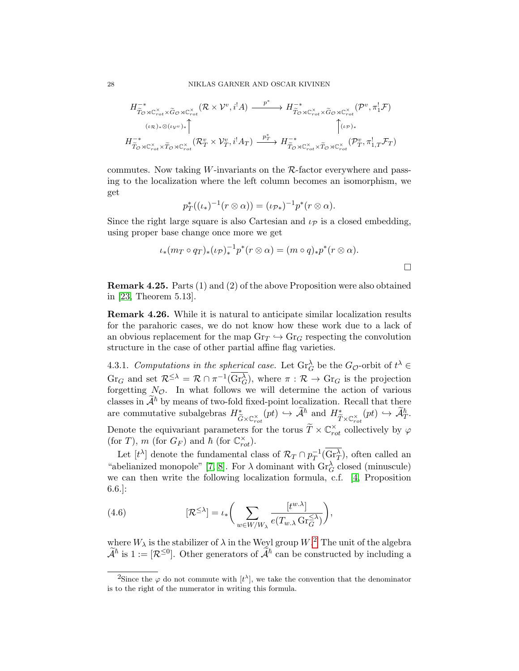$$
H^{-*}_{\widetilde{T}_{\mathcal{O}}\rtimes\mathbb{C}^{\times}_{rot}\times\widetilde{G}_{\mathcal{O}}\rtimes\mathbb{C}^{\times}_{rot}}(\mathcal{R}\times\mathcal{V}^v,i^!A)\xrightarrow{\qquad p^*}\tH^{-*}_{\widetilde{T}_{\mathcal{O}}\rtimes\mathbb{C}^{\times}_{rot}\times\widetilde{G}_{\mathcal{O}}\rtimes\mathbb{C}^{\times}_{rot}}(\mathcal{P}^v,\pi_1^!\mathcal{F})
$$
\n
$$
\iota_{\mathcal{R}}\downarrow_{\mathcal{V}^v\rtimes\mathcal{V}^v\rtimes\mathcal{V}^v\rtimes\mathcal{V}^v\rtimes\mathcal{V}^v\rtimes\mathcal{V}^v\rtimes\mathcal{V}^v\rtimes\mathcal{V}^v\rtimes\mathcal{V}^v\rtimes\mathcal{V}^v\rtimes\mathcal{V}^v\rtimes\mathcal{V}^v\rtimes\mathcal{V}^v\rtimes\mathcal{V}^v\rtimes\mathcal{V}^v\rtimes\mathcal{V}^v\rtimes\mathcal{V}^v\rtimes\mathcal{V}^v\rtimes\mathcal{V}^v\rtimes\mathcal{V}^v\rtimes\mathcal{V}^v\rtimes\mathcal{V}^v\rtimes\mathcal{V}^v\rtimes\mathcal{V}^v\rtimes\mathcal{V}^v\rtimes\mathcal{V}^v\rtimes\mathcal{V}^v\rtimes\mathcal{V}^v\rtimes\mathcal{V}^v\rtimes\mathcal{V}^v\rtimes\mathcal{V}^v\rtimes\mathcal{V}^v\rtimes\mathcal{V}^v\rtimes\mathcal{V}^v\rtimes\mathcal{V}^v\rtimes\mathcal{V}^v\rtimes\mathcal{V}^v\rtimes\mathcal{V}^v\rtimes\mathcal{V}^v\rtimes\mathcal{V}^v\rtimes\mathcal{V}^v\rtimes\mathcal{V}^v\rtimes\mathcal{V}^v\rtimes\mathcal{V}^v\rtimes\mathcal{V}^v\rtimes\mathcal{V}^v\rtimes\mathcal{V}^v\rtimes\mathcal{V}^v\rtimes\mathcal{V}^v\rtimes\mathcal{V}^v\rtimes\mathcal{V}^v\rtimes\mathcal{V}
$$

commutes. Now taking W-invariants on the  $\mathcal{R}\text{-}$  factor everywhere and passing to the localization where the left column becomes an isomorphism, we get

$$
p_T^*((\iota_*)^{-1}(r\otimes\alpha))=(\iota_{\mathcal{P}^*})^{-1}p^*(r\otimes\alpha).
$$

Since the right large square is also Cartesian and  $\iota_{\mathcal{P}}$  is a closed embedding, using proper base change once more we get

$$
\iota_*(m_T \circ q_T)_*(\iota_{\mathcal{P}})_*^{-1}p^*(r \otimes \alpha) = (m \circ q)_*p^*(r \otimes \alpha).
$$

Remark 4.25. Parts (1) and (2) of the above Proposition were also obtained in [\[23,](#page-48-8) Theorem 5.13].

Remark 4.26. While it is natural to anticipate similar localization results for the parahoric cases, we do not know how these work due to a lack of an obvious replacement for the map  $\text{Gr}_{T} \hookrightarrow \text{Gr}_{G}$  respecting the convolution structure in the case of other partial affine flag varieties.

4.3.1. Computations in the spherical case. Let  $\text{Gr}_{G}^{\lambda}$  be the  $G_{\mathcal{O}}$ -orbit of  $t^{\lambda} \in$  $\text{Gr}_G$  and set  $\mathcal{R}^{\leq \lambda} = \mathcal{R} \cap \pi^{-1}(\text{Gr}_G^{\lambda}),$  where  $\pi : \mathcal{R} \to \text{Gr}_G$  is the projection forgetting  $N_{\mathcal{O}}$ . In what follows we will determine the action of various classes in  $\mathcal{A}^{\hbar}$  by means of two-fold fixed-point localization. Recall that there are commutative subalgebras  $H^*_{\tilde{\epsilon}}$  $\widetilde{G} \times \mathbb{C}_{rot}^{\times}(pt) \hookrightarrow \widetilde{\mathcal{A}}^{\hbar}$  and  $H_{\widetilde{T} \times \mathbb{C}_{rot}^{\times}}^*(pt) \hookrightarrow \widetilde{\mathcal{A}}_T^{\hbar}.$ Denote the equivariant parameters for the torus  $\widetilde{T} \times \mathbb{C}^{\times}_{rot}$  collectively by  $\varphi$ (for T), m (for  $G_F$ ) and  $\hbar$  (for  $\mathbb{C}_{rot}^{\times}$ ).

Let  $[t^{\lambda}]$  denote the fundamental class of  $\mathcal{R}_T \cap p_T^{-1}$  $T^1(\text{Gr}^{\lambda}_{T})$ , often called an "abelianized monopole" [\[7,](#page-47-3) [8\]](#page-47-8). For  $\lambda$  dominant with  $\text{Gr}_G^{\lambda}$  closed (minuscule) we can then write the following localization formula, c.f. [\[4,](#page-46-0) Proposition 6.6.]:

(4.6) 
$$
[\mathcal{R}^{\leq \lambda}] = \iota_* \bigg( \sum_{w \in W/W_{\lambda}} \frac{[t^{w.\lambda}]}{e(T_{w.\lambda} \operatorname{Gr}_{G}^{\leq \lambda})} \bigg),
$$

where  $W_{\lambda}$  is the stabilizer of  $\lambda$  in the Weyl group  $W$ .<sup>[2](#page-27-0)</sup> The unit of the algebra  $\tilde{\mathcal{A}}^{\hbar}$  is  $1 := [\mathcal{R}^{\leq 0}]$ . Other generators of  $\tilde{\mathcal{A}}^{\hbar}$  can be constructed by including a

<span id="page-27-0"></span><sup>&</sup>lt;sup>2</sup>Since the  $\varphi$  do not commute with  $[t^{\lambda}]$ , we take the convention that the denominator is to the right of the numerator in writing this formula.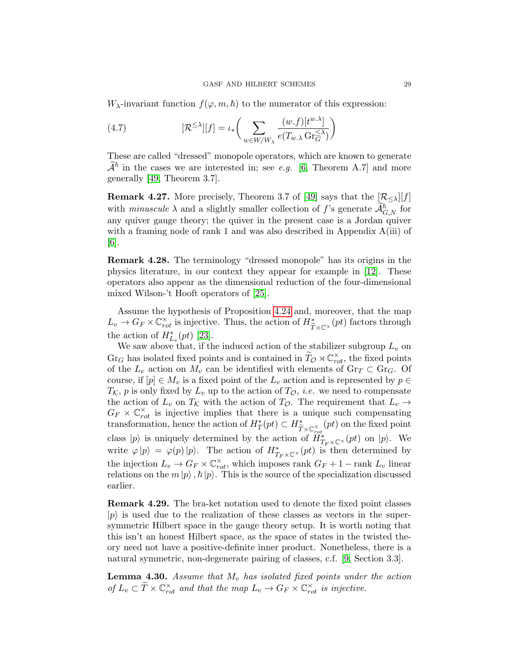$W_{\lambda}$ -invariant function  $f(\varphi, m, \hbar)$  to the numerator of this expression:

<span id="page-28-0"></span>(4.7) 
$$
[\mathcal{R}^{\leq \lambda}][f] = \iota_* \bigg(\sum_{w \in W/W_{\lambda}} \frac{(w.f)[t^{w.\lambda}]}{e(T_{w.\lambda} \operatorname{Gr}_{G}^{\leq \lambda})}\bigg)
$$

These are called "dressed" monopole operators, which are known to generate  $\mathcal{A}^{\hbar}$  in the cases we are interested in; see e.g. [\[6,](#page-47-2) Theorem A.7] and more generally [\[49,](#page-50-3) Theorem 3.7].

**Remark 4.27.** More precisely, Theorem 3.7 of [\[49\]](#page-50-3) says that the  $\mathcal{R}_{\leq \lambda}[[f]]$ with *minuscule*  $\lambda$  and a slightly smaller collection of f's generate  $\mathcal{A}_{G,N}^{\hbar}$  for any quiver gauge theory; the quiver in the present case is a Jordan quiver with a framing node of rank 1 and was also described in Appendix A(iii) of [\[6\]](#page-47-2).

Remark 4.28. The terminology "dressed monopole" has its origins in the physics literature, in our context they appear for example in [\[12\]](#page-47-12). These operators also appear as the dimensional reduction of the four-dimensional mixed Wilson-'t Hooft operators of [\[25\]](#page-48-13).

Assume the hypothesis of Proposition [4.24](#page-25-0) and, moreover, that the map  $L_v \to G_F \times \mathbb{C}^\times_{rot}$  is injective. Thus, the action of  $H^*_{\widetilde{T} \times \mathbb{C}^\times}(pt)$  factors through the action of  $H_{L_v}^*(pt)$  [\[23\]](#page-48-8).

We saw above that, if the induced action of the stabilizer subgroup  $L_v$  on  $\text{Gr}_G$  has isolated fixed points and is contained in  $\widetilde{T}_{\mathcal{O}} \rtimes \mathbb{C}^\times_{rot}$ , the fixed points of the  $L_v$  action on  $M_v$  can be identified with elements of  $\text{Gr}_T \subset \text{Gr}_G$ . Of course, if  $[p] \in M_v$  is a fixed point of the  $L_v$  action and is represented by  $p \in$  $T_{\mathcal{K}}$ , p is only fixed by  $L_v$  up to the action of  $T_{\mathcal{O}}$ , *i.e.* we need to compensate the action of  $L_v$  on  $T_K$  with the action of  $T_{\mathcal{O}}$ . The requirement that  $L_v \rightarrow$  $G_F \times \mathbb{C}_{rot}^{\times}$  is injective implies that there is a unique such compensating transformation, hence the action of  $H^*_T(pt) \subset H^*_{\widetilde{T} \times \mathbb{C}^\times_{rot}}(pt)$  on the fixed point class  $|p\rangle$  is uniquely determined by the action of  $\ddot{H}_{T_F \times \mathbb{C}^{\times}}^*(pt)$  on  $|p\rangle$ . We write  $\varphi |p\rangle = \varphi(p) |p\rangle$ . The action of  $H^*_{T_F \times \mathbb{C}^{\times}}(pt)$  is then determined by the injection  $L_v \to G_F \times \mathbb{C}^\times_{rot}$ , which imposes rank  $G_F + 1$  – rank  $L_v$  linear relations on the  $m |p\rangle$ ,  $\hbar |p\rangle$ . This is the source of the specialization discussed earlier.

Remark 4.29. The bra-ket notation used to denote the fixed point classes  $|p\rangle$  is used due to the realization of these classes as vectors in the supersymmetric Hilbert space in the gauge theory setup. It is worth noting that this isn't an honest Hilbert space, as the space of states in the twisted theory need not have a positive-definite inner product. Nonetheless, there is a natural symmetric, non-degenerate pairing of classes, c.f. [\[9,](#page-47-7) Section 3.3].

<span id="page-28-1"></span>**Lemma 4.30.** Assume that  $M_v$  has isolated fixed points under the action of  $L_v \subset \widetilde{T} \times \mathbb{C}^\times_{rot}$  and that the map  $L_v \to G_F \times \mathbb{C}^\times_{rot}$  is injective.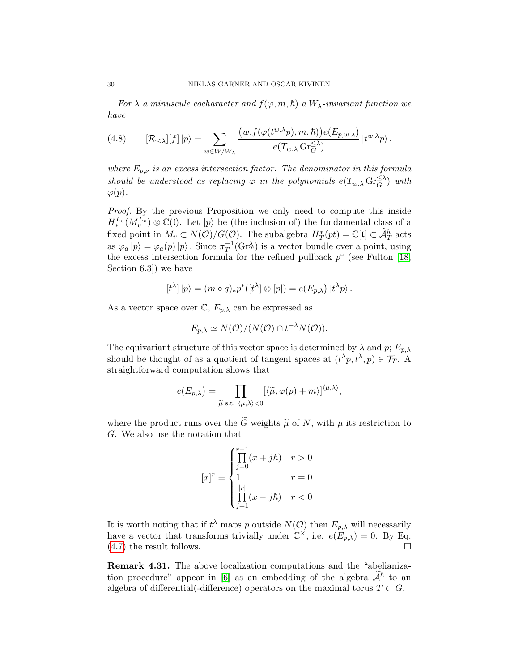For  $\lambda$  a minuscule cocharacter and  $f(\varphi, m, \hbar)$  a  $W_{\lambda}$ -invariant function we have

<span id="page-29-0"></span>(4.8) 
$$
[\mathcal{R}_{\leq \lambda}][f]|p\rangle = \sum_{w \in W/W_{\lambda}} \frac{(w.f(\varphi(t^{w.\lambda}p), m, \hbar))e(E_{p,w.\lambda})}{e(T_{w.\lambda} \operatorname{Gr}_{G}^{\leq \lambda})} |t^{w.\lambda}p\rangle,
$$

where  $E_{p,\nu}$  is an excess intersection factor. The denominator in this formula should be understood as replacing  $\varphi$  in the polynomials  $e(T_{w} \triangle \text{Gr}_{G}^{\leq \lambda})$  with  $\varphi(p)$ .

Proof. By the previous Proposition we only need to compute this inside  $H_*^{L_v}(M_v^{L_v})\otimes \mathbb{C}(\mathfrak{l})$ . Let  $|p\rangle$  be (the inclusion of) the fundamental class of a fixed point in  $M_v \subset N(\mathcal{O})/G(\mathcal{O})$ . The subalgebra  $H^*_T(pt) = \mathbb{C}[\mathfrak{t}] \subset \widetilde{\mathcal{A}}_T^{\hbar}$  acts as  $\varphi_a |p\rangle = \varphi_a(p) |p\rangle$ . Since  $\pi_T^{-1}$  $T^{\text{-}1}(\text{Gr}_T^{\lambda})$  is a vector bundle over a point, using the excess intersection formula for the refined pullback  $p^*$  (see Fulton [\[18,](#page-47-11) Section 6.3]) we have

$$
[t^{\lambda}] |p\rangle = (m \circ q)_{*} p^{*}([t^{\lambda}] \otimes [p]) = e(E_{p,\lambda}) |t^{\lambda} p\rangle.
$$

As a vector space over  $\mathbb{C}, E_{p,\lambda}$  can be expressed as

$$
E_{p,\lambda} \simeq N(\mathcal{O})/(N(\mathcal{O}) \cap t^{-\lambda}N(\mathcal{O})).
$$

The equivariant structure of this vector space is determined by  $\lambda$  and  $p$ ;  $E_{p,\lambda}$ should be thought of as a quotient of tangent spaces at  $(t^{\lambda}p, t^{\lambda}, p) \in \mathcal{T}_T$ . A straightforward computation shows that

$$
e(E_{p,\lambda}) = \prod_{\widetilde{\mu} \text{ s.t. } \langle \mu, \lambda \rangle < 0} [\langle \widetilde{\mu}, \varphi(p) + m \rangle]^{\langle \mu, \lambda \rangle},
$$

where the product runs over the  $\tilde{G}$  weights  $\tilde{\mu}$  of N, with  $\mu$  its restriction to G. We also use the notation that

$$
[x]^{r} = \begin{cases} \prod_{j=0}^{r-1} (x+j\hbar) & r > 0\\ 1 & r = 0\\ \prod_{j=1}^{|r|} (x-j\hbar) & r < 0 \end{cases}
$$

It is worth noting that if  $t^{\lambda}$  maps p outside  $N(\mathcal{O})$  then  $E_{p,\lambda}$  will necessarily have a vector that transforms trivially under  $\mathbb{C}^{\times}$ , i.e.  $e(E_{p,\lambda}) = 0$ . By Eq. [\(4.7\)](#page-28-0) the result follows.

Remark 4.31. The above localization computations and the "abelianiza-tion procedure" appear in [\[6\]](#page-47-2) as an embedding of the algebra  $\mathcal{A}^{\hbar}$  to an algebra of differential(-difference) operators on the maximal torus  $T \subset G$ .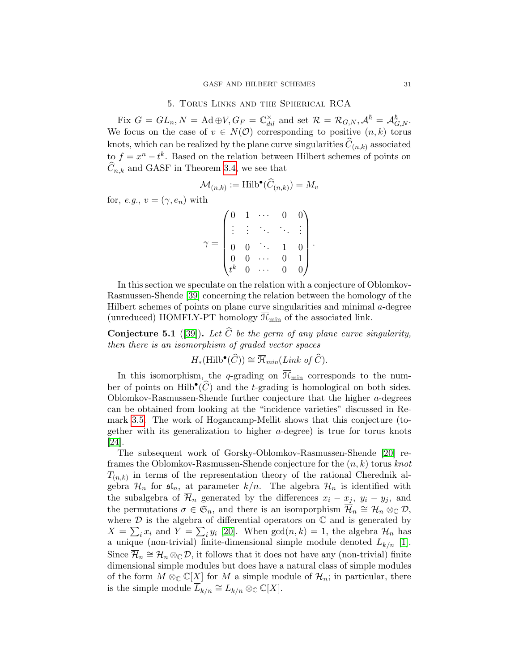# 5. Torus Links and the Spherical RCA

<span id="page-30-0"></span>Fix  $G = GL_n, N = \text{Ad} \oplus V, G_F = \mathbb{C}^\times_{dil}$  and set  $\mathcal{R} = \mathcal{R}_{G,N}, \mathcal{A}^{\hbar} = \mathcal{A}_{G,N}^{\hbar}.$ We focus on the case of  $v \in N(\mathcal{O})$  corresponding to positive  $(n, k)$  torus knots, which can be realized by the plane curve singularities  $C_{(n,k)}$  associated to  $f = x^n - t^k$ . Based on the relation between Hilbert schemes of points on  $C_{n,k}$  and GASF in Theorem [3.4,](#page-9-0) we see that

$$
\mathcal{M}_{(n,k)} := \operatorname{Hilb}^{\bullet}(\widehat{C}_{(n,k)}) = M_v
$$

for, e.g.,  $v = (\gamma, e_n)$  with

$$
\gamma = \begin{pmatrix} 0 & 1 & \cdots & 0 & 0 \\ \vdots & \vdots & \ddots & \ddots & \vdots \\ 0 & 0 & \ddots & 1 & 0 \\ 0 & 0 & \cdots & 0 & 1 \\ t^k & 0 & \cdots & 0 & 0 \end{pmatrix}.
$$

In this section we speculate on the relation with a conjecture of Oblomkov-Rasmussen-Shende [\[39\]](#page-49-1) concerning the relation between the homology of the Hilbert schemes of points on plane curve singularities and minimal a-degree (unreduced) HOMFLY-PT homology  $\overline{\mathcal{H}}_{\text{min}}$  of the associated link.

<span id="page-30-1"></span>**Conjecture 5.1** ([\[39\]](#page-49-1)). Let  $\widehat{C}$  be the germ of any plane curve singularity, then there is an isomorphism of graded vector spaces

$$
H_*(\mathrm{Hilb}^{\bullet}(\widehat{C})) \cong \overline{\mathcal{H}}_{min}(Link\ of\ \widehat{C}).
$$

In this isomorphism, the q-grading on  $\overline{\mathcal{H}}_{min}$  corresponds to the number of points on  $\text{Hilb}^{\bullet}(\widehat{C})$  and the t-grading is homological on both sides. Oblomkov-Rasmussen-Shende further conjecture that the higher a-degrees can be obtained from looking at the "incidence varieties" discussed in Remark [3.5.](#page-11-0) The work of Hogancamp-Mellit shows that this conjecture (together with its generalization to higher a-degree) is true for torus knots [\[24\]](#page-48-10).

The subsequent work of Gorsky-Oblomkov-Rasmussen-Shende [\[20\]](#page-48-1) reframes the Oblomkov-Rasmussen-Shende conjecture for the  $(n, k)$  torus knot  $T_{(n,k)}$  in terms of the representation theory of the rational Cherednik algebra  $\mathcal{H}_n$  for  $\mathfrak{sl}_n$ , at parameter  $k/n$ . The algebra  $\mathcal{H}_n$  is identified with the subalgebra of  $\overline{\mathcal{H}}_n$  generated by the differences  $x_i - x_j$ ,  $y_i - y_j$ , and the permutations  $\sigma \in \mathfrak{S}_n$ , and there is an isomporphism  $\mathcal{H}_n \cong \mathcal{H}_n \otimes_{\mathbb{C}} \mathcal{D}$ , where  $D$  is the algebra of differential operators on  $\mathbb C$  and is generated by  $X = \sum_i x_i$  and  $Y = \sum_i y_i$  [\[20\]](#page-48-1). When  $gcd(n, k) = 1$ , the algebra  $\mathcal{H}_n$  has a unique (non-trivial) finite-dimensional simple module denoted  $L_{k/n}$  [\[1\]](#page-46-5). Since  $\mathcal{H}_n \cong \mathcal{H}_n \otimes_{\mathbb{C}} \mathcal{D}$ , it follows that it does not have any (non-trivial) finite dimensional simple modules but does have a natural class of simple modules of the form  $M \otimes_{\mathbb{C}} \mathbb{C}[X]$  for M a simple module of  $\mathcal{H}_n$ ; in particular, there is the simple module  $\overline{L}_{k/n} \cong L_{k/n} \otimes_{\mathbb{C}} \mathbb{C}[X].$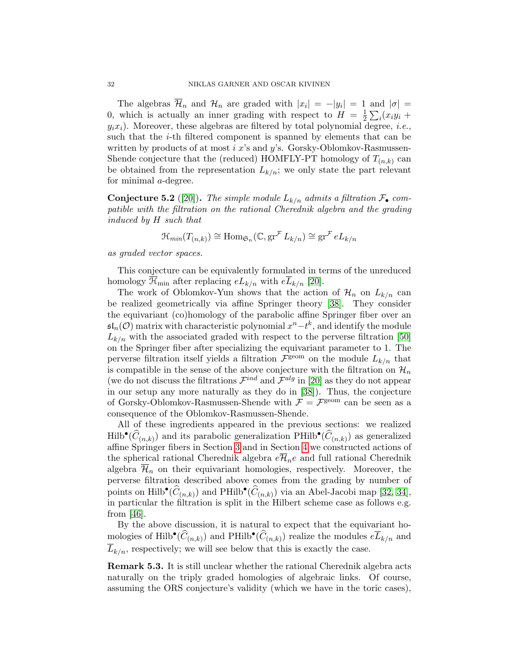The algebras  $\mathcal{H}_n$  and  $\mathcal{H}_n$  are graded with  $|x_i| = -|y_i| = 1$  and  $|\sigma| =$ 0, which is actually an inner grading with respect to  $H = \frac{1}{2}$  $\frac{1}{2}\sum_i (x_iy_i +$  $y_i x_i$ ). Moreover, these algebras are filtered by total polynomial degree, *i.e.*, such that the i-th filtered component is spanned by elements that can be written by products of at most  $i$  x's and y's. Gorsky-Oblomkov-Rasmussen-Shende conjecture that the (reduced) HOMFLY-PT homology of  $T_{(n,k)}$  can be obtained from the representation  $L_{k/n}$ ; we only state the part relevant for minimal a-degree.

**Conjecture 5.2** ([\[20\]](#page-48-1)). The simple module  $L_{k/n}$  admits a filtration  $\mathcal{F}_{\bullet}$  compatible with the filtration on the rational Cherednik algebra and the grading induced by H such that

$$
\mathcal{H}_{min}(T_{(n,k)}) \cong \text{Hom}_{\mathfrak{S}_n}(\mathbb{C}, \text{gr}^{\mathcal{F}} L_{k/n}) \cong \text{gr}^{\mathcal{F}} e L_{k/n}
$$

as graded vector spaces.

This conjecture can be equivalently formulated in terms of the unreduced homology  $\overline{\mathcal{H}}_{\text{min}}$  after replacing  $eL_{k/n}$  with  $e\overline{L}_{k/n}$  [\[20\]](#page-48-1).

The work of Oblomkov-Yun shows that the action of  $\mathcal{H}_n$  on  $L_{k/n}$  can be realized geometrically via affine Springer theory [\[38\]](#page-49-3). They consider the equivariant (co)homology of the parabolic affine Springer fiber over an  $\mathfrak{sl}_n(\mathcal{O})$  matrix with characteristic polynomial  $x^n - t^k$ , and identify the module  $L_{k/n}$  with the associated graded with respect to the perverse filtration [\[50\]](#page-50-2) on the Springer fiber after specializing the equivariant parameter to 1. The perverse filtration itself yields a filtration  $\mathcal{F}^{\text{geom}}$  on the module  $L_{k/n}$  that is compatible in the sense of the above conjecture with the filtration on  $\mathcal{H}_n$ (we do not discuss the filtrations  $\mathcal{F}^{ind}$  and  $\mathcal{F}^{alg}$  in [\[20\]](#page-48-1) as they do not appear in our setup any more naturally as they do in [\[38\]](#page-49-3)). Thus, the conjecture of Gorsky-Oblomkov-Rasmussen-Shende with  $\mathcal{F} = \mathcal{F}^{\text{geom}}$  can be seen as a consequence of the Oblomkov-Rasmussen-Shende.

All of these ingredients appeared in the previous sections: we realized  $\text{Hilb}^{\bullet}(\widehat{C}_{(n,k)})$  and its parabolic generalization PHilb<sup>•</sup>( $\widehat{C}_{(n,k)}$ ) as generalized affine Springer fibers in Section [3](#page-8-0) and in Section [4](#page-16-0) we constructed actions of the spherical rational Cherednik algebra  $e\overline{\mathcal{H}}_n e$  and full rational Cherednik algebra  $\overline{\mathcal{H}}_n$  on their equivariant homologies, respectively. Moreover, the perverse filtration described above comes from the grading by number of points on Hilb• $(\widehat{C}_{(n,k)})$  and PHilb• $(\widehat{C}_{(n,k)})$  via an Abel-Jacobi map [\[32,](#page-48-6) [34\]](#page-49-7), in particular the filtration is split in the Hilbert scheme case as follows e.g. from  $|46|$ .

By the above discussion, it is natural to expect that the equivariant homologies of Hilb<sup>•</sup>( $\widehat{C}_{(n,k)}$ ) and PHilb<sup>•</sup>( $\widehat{C}_{(n,k)}$ ) realize the modules  $e\overline{L}_{k/n}$  and  $L_{k/n}$ , respectively; we will see below that this is exactly the case.

Remark 5.3. It is still unclear whether the rational Cherednik algebra acts naturally on the triply graded homologies of algebraic links. Of course, assuming the ORS conjecture's validity (which we have in the toric cases),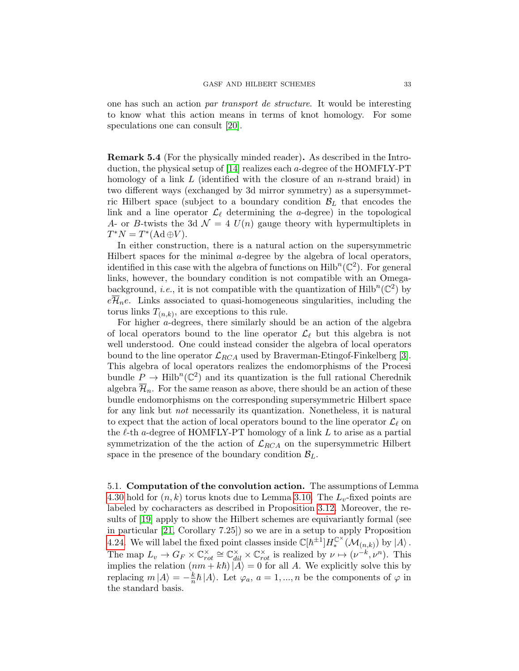one has such an action par transport de structure. It would be interesting to know what this action means in terms of knot homology. For some speculations one can consult [\[20\]](#page-48-1).

Remark 5.4 (For the physically minded reader). As described in the Introduction, the physical setup of [\[14\]](#page-47-6) realizes each a-degree of the HOMFLY-PT homology of a link  $L$  (identified with the closure of an *n*-strand braid) in two different ways (exchanged by 3d mirror symmetry) as a supersymmetric Hilbert space (subject to a boundary condition  $\mathcal{B}_L$  that encodes the link and a line operator  $\mathcal{L}_{\ell}$  determining the *a*-degree) in the topological A- or B-twists the 3d  $\mathcal{N} = 4$   $U(n)$  gauge theory with hypermultiplets in  $T^*N = T^*(\text{Ad}\oplus V).$ 

In either construction, there is a natural action on the supersymmetric Hilbert spaces for the minimal a-degree by the algebra of local operators, identified in this case with the algebra of functions on  $\mathrm{Hilb}^n(\mathbb{C}^2)$ . For general links, however, the boundary condition is not compatible with an Omegabackground, *i.e.*, it is not compatible with the quantization of  $\text{Hilb}^n(\mathbb{C}^2)$  by  $e\mathcal{H}_n e$ . Links associated to quasi-homogeneous singularities, including the torus links  $T_{(n,k)}$ , are exceptions to this rule.

For higher a-degrees, there similarly should be an action of the algebra of local operators bound to the line operator  $\mathcal{L}_{\ell}$  but this algebra is not well understood. One could instead consider the algebra of local operators bound to the line operator  $\mathcal{L}_{RCA}$  used by Braverman-Etingof-Finkelberg [\[3\]](#page-46-2). This algebra of local operators realizes the endomorphisms of the Procesi bundle  $\underline{P} \to \text{Hilb}^n(\mathbb{C}^2)$  and its quantization is the full rational Cherednik algebra  $\overline{\mathcal{H}}_n$ . For the same reason as above, there should be an action of these bundle endomorphisms on the corresponding supersymmetric Hilbert space for any link but not necessarily its quantization. Nonetheless, it is natural to expect that the action of local operators bound to the line operator  $\mathcal{L}_{\ell}$  on the  $\ell$ -th a-degree of HOMFLY-PT homology of a link L to arise as a partial symmetrization of the the action of  $\mathcal{L}_{RCA}$  on the supersymmetric Hilbert space in the presence of the boundary condition  $\mathcal{B}_L$ .

5.1. Computation of the convolution action. The assumptions of Lemma [4.30](#page-28-1) hold for  $(n, k)$  torus knots due to Lemma [3.10.](#page-13-1) The  $L_v$ -fixed points are labeled by cocharacters as described in Proposition [3.12.](#page-13-2) Moreover, the results of [\[19\]](#page-48-0) apply to show the Hilbert schemes are equivariantly formal (see in particular [\[21,](#page-48-7) Corollary 7.25]) so we are in a setup to apply Proposition [4.24.](#page-25-0) We will label the fixed point classes inside  $\mathbb{C}[\hbar^{\pm 1}]H_*^{\mathbb{C}^{\times}}(\mathcal{M}_{(n,k)})$  by  $|A\rangle$ . The map  $L_v \to G_F \times \mathbb{C}^\times_{rot} \cong \mathbb{C}^\times_{dil} \times \mathbb{C}^\times_{rot}$  is realized by  $\nu \mapsto (\nu^{-k}, \nu^n)$ . This implies the relation  $(nm + k\hbar)|A\rangle = 0$  for all A. We explicitly solve this by replacing  $m |A\rangle = -\frac{k}{n}$  $\frac{k}{n}\hbar |A\rangle$ . Let  $\varphi_a$ ,  $a = 1, ..., n$  be the components of  $\varphi$  in the standard basis.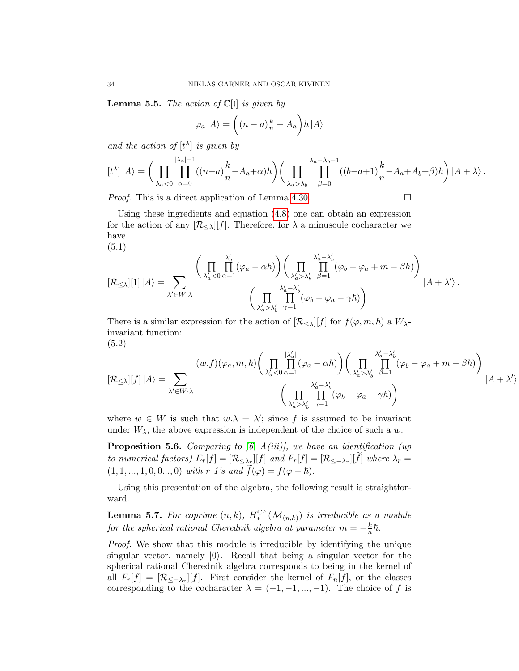**Lemma 5.5.** The action of  $\mathbb{C}[t]$  is given by

$$
\varphi_a | A \rangle = \left( (n-a) \frac{k}{n} - A_a \right) \hbar | A \rangle
$$

and the action of  $[t^{\lambda}]$  is given by

$$
[t^{\lambda}] |A\rangle = \bigg(\prod_{\lambda_a < 0} \prod_{\alpha=0}^{|\lambda_a|-1} ((n-a)\frac{k}{n} - A_a + \alpha)\hbar \bigg) \bigg(\prod_{\lambda_a > \lambda_b} \prod_{\beta=0}^{\lambda_a - \lambda_b - 1} ((b-a+1)\frac{k}{n} - A_a + A_b + \beta)\hbar \bigg) |A + \lambda \rangle.
$$

*Proof.* This is a direct application of Lemma [4.30.](#page-28-1)

Using these ingredients and equation [\(4.8\)](#page-29-0) one can obtain an expression for the action of any  $[\mathcal{R}_{<}][f]$ . Therefore, for  $\lambda$  a minuscule cocharacter we have (5.1)

<span id="page-33-0"></span>
$$
[\mathcal{R}_{\leq \lambda}][1]\, |A\rangle = \sum_{\lambda' \in W \cdot \lambda} \frac{\bigg(\prod_{\lambda'_a < 0} \prod_{\alpha = 1}^{|\lambda'_a|} (\varphi_a - \alpha \hbar)\bigg)\bigg(\prod_{\lambda'_a > \lambda'_b} \prod_{\beta = 1}^{\lambda'_a - \lambda'_b} (\varphi_b - \varphi_a + m - \beta \hbar)\bigg)}{\bigg(\prod_{\lambda'_a > \lambda'_b} \prod_{\gamma = 1}^{\lambda'_a - \lambda'_b} (\varphi_b - \varphi_a - \gamma \hbar)\bigg)} \, |A + \lambda'\rangle\,.
$$

There is a similar expression for the action of  $[\mathcal{R}_{\leq \lambda}][f]$  for  $f(\varphi, m, \hbar)$  a  $W_{\lambda}$ invariant function: (5.2)

<span id="page-33-1"></span>
$$
[\mathcal{R}_{\leq \lambda}][f] | A \rangle = \sum_{\lambda' \in W \cdot \lambda} \frac{(w.f)(\varphi_a, m, \hbar) \left( \prod_{\lambda'_a < 0} \prod_{\alpha=1}^{|\lambda'_a|} (\varphi_a - \alpha \hbar) \right) \left( \prod_{\lambda'_a > \lambda'_b} \prod_{\beta=1}^{\lambda'_a - \lambda'_b} (\varphi_b - \varphi_a + m - \beta \hbar) \right)}{\left( \prod_{\lambda'_a > \lambda'_b} \prod_{\gamma=1}^{\lambda'_a - \lambda'_b} (\varphi_b - \varphi_a - \gamma \hbar) \right)} |A + \lambda' \rangle
$$

where  $w \in W$  is such that  $w.\lambda = \lambda'$ ; since f is assumed to be invariant under  $W_{\lambda}$ , the above expression is independent of the choice of such a w.

**Proposition 5.6.** Comparing to [\[6,](#page-47-2)  $A(iii)$ ], we have an identification (up to numerical factors)  $E_r[f] = [\mathcal{R}_{\leq \lambda_{\mathcal{I}}}] [f]$  and  $F_r[f] = [\mathcal{R}_{\leq -\lambda_r}] [f]$  where  $\lambda_r =$  $(1, 1, ..., 1, 0, 0, ..., 0)$  with r 1's and  $\tilde{f}(\varphi) = f(\varphi - \hbar)$ .

Using this presentation of the algebra, the following result is straightforward.

**Lemma 5.7.** For coprime  $(n, k)$ ,  $H_*^{\mathbb{C}^{\times}}(\mathcal{M}_{(n,k)})$  is irreducible as a module for the spherical rational Cherednik algebra at parameter  $m = -\frac{k}{n}$  $\frac{\kappa}{n}\hbar$ .

Proof. We show that this module is irreducible by identifying the unique singular vector, namely  $|0\rangle$ . Recall that being a singular vector for the spherical rational Cherednik algebra corresponds to being in the kernel of all  $F_r[f] = [\mathcal{R}_{\leq -\lambda_r}][f]$ . First consider the kernel of  $F_n[f]$ , or the classes corresponding to the cocharacter  $\lambda = (-1, -1, ..., -1)$ . The choice of f is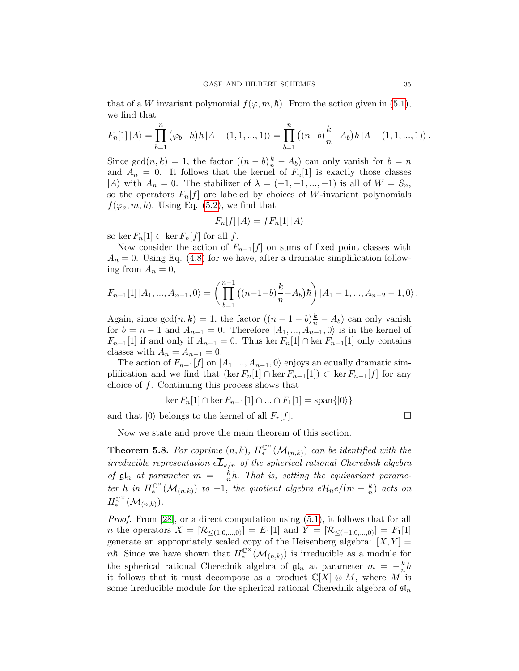that of a W invariant polynomial  $f(\varphi, m, \hbar)$ . From the action given in [\(5.1\)](#page-33-0), we find that

$$
F_n[1] |A\rangle = \prod_{b=1}^n (\varphi_b - \hbar) \hbar |A - (1, 1, ..., 1)\rangle = \prod_{b=1}^n ((n-b)\frac{k}{n} - A_b) \hbar |A - (1, 1, ..., 1)\rangle.
$$

Since  $gcd(n, k) = 1$ , the factor  $((n - b)\frac{k}{n} - A_b)$  can only vanish for  $b = n$ and  $A_n = 0$ . It follows that the kernel of  $F_n[1]$  is exactly those classes |A) with  $A_n = 0$ . The stabilizer of  $\lambda = (-1, -1, ..., -1)$  is all of  $W = S_n$ , so the operators  $F_n[f]$  are labeled by choices of W-invariant polynomials  $f(\varphi_a, m, \hbar)$ . Using Eq. [\(5.2\)](#page-33-1), we find that

$$
F_n[f] | A \rangle = f F_n[1] | A \rangle
$$

so ker  $F_n[1] \subset \text{ker } F_n[f]$  for all f.

Now consider the action of  $F_{n-1}[f]$  on sums of fixed point classes with  $A_n = 0$ . Using Eq. [\(4.8\)](#page-29-0) for we have, after a dramatic simplification following from  $A_n = 0$ ,

$$
F_{n-1}[1] | A_1, ..., A_{n-1}, 0 \rangle = \left( \prod_{b=1}^{n-1} ((n-1-b)\frac{k}{n} - A_b) \hbar \right) | A_1 - 1, ..., A_{n-2} - 1, 0 \rangle.
$$

Again, since  $gcd(n, k) = 1$ , the factor  $((n - 1 - b)\frac{k}{n} - A_b)$  can only vanish for  $b = n - 1$  and  $A_{n-1} = 0$ . Therefore  $|A_1, ..., A_{n-1}, 0\rangle$  is in the kernel of  $F_{n-1}[1]$  if and only if  $A_{n-1}=0$ . Thus ker  $F_n[1] \cap \text{ker } F_{n-1}[1]$  only contains classes with  $A_n = A_{n-1} = 0$ .

The action of  $F_{n-1}[f]$  on  $|A_1, ..., A_{n-1}, 0\rangle$  enjoys an equally dramatic simplification and we find that  $(\ker F_n[1] \cap \ker F_{n-1}[1]) \subset \ker F_{n-1}[f]$  for any choice of f. Continuing this process shows that

$$
\ker F_n[1] \cap \ker F_{n-1}[1] \cap \dots \cap F_1[1] = \mathrm{span}\{|0\rangle\}
$$

and that  $|0\rangle$  belongs to the kernel of all  $F_r[f]$ .

Now we state and prove the main theorem of this section.

<span id="page-34-0"></span>**Theorem 5.8.** For coprime  $(n, k)$ ,  $H_*^{\mathbb{C}^{\times}}(\mathcal{M}_{(n,k)})$  can be identified with the irreducible representation  $e\overline{L}_{k/n}$  of the spherical rational Cherednik algebra of  $\mathfrak{gl}_n$  at parameter  $m = -\frac{k}{n}$  $\frac{k}{n}\hbar$ . That is, setting the equivariant parameter  $\hbar$  in  $H_*^{\mathbb{C}^{\times}}(\mathcal{M}_{(n,k)})$  to  $-1$ , the quotient algebra  $e\mathcal{H}_n e/(m-\frac{k}{n})$  $\frac{k}{n}$ ) acts on  $H_*^{\mathbb{C}^{\times}}(\mathcal{M}_{(n,k)}).$ 

Proof. From [\[28\]](#page-48-9), or a direct computation using [\(5.1\)](#page-33-0), it follows that for all *n* the operators  $X = [\mathcal{R}_{\leq (1,0,...,0)}] = E_1[1]$  and  $Y = [\mathcal{R}_{\leq (-1,0,...,0)}] = F_1[1]$ generate an appropriately scaled copy of the Heisenberg algebra:  $[X, Y] =$ *nh*. Since we have shown that  $H_*^{\mathbb{C}^{\times}}(\mathcal{M}_{(n,k)})$  is irreducible as a module for the spherical rational Cherednik algebra of  $\mathfrak{gl}_n$  at parameter  $m = -\frac{k}{n}$  $\frac{\kappa}{n}\hbar$ it follows that it must decompose as a product  $\mathbb{C}[X] \otimes M$ , where M is some irreducible module for the spherical rational Cherednik algebra of  $\mathfrak{sl}_n$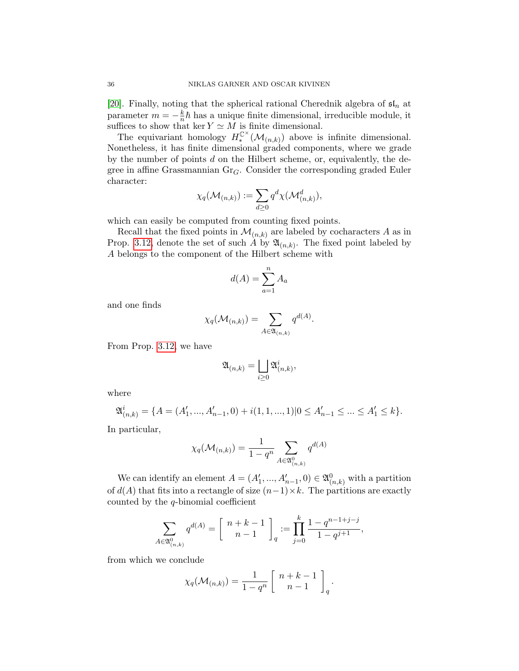[\[20\]](#page-48-1). Finally, noting that the spherical rational Cherednik algebra of  $\mathfrak{sl}_n$  at parameter  $m = -\frac{k}{n}$  $\frac{k}{n}\hbar$  has a unique finite dimensional, irreducible module, it suffices to show that ker  $Y \simeq M$  is finite dimensional.

The equivariant homology  $H_*^{\mathbb{C}^{\times}}(\mathcal{M}_{(n,k)})$  above is infinite dimensional. Nonetheless, it has finite dimensional graded components, where we grade by the number of points  $d$  on the Hilbert scheme, or, equivalently, the degree in affine Grassmannian  $Gr_G$ . Consider the corresponding graded Euler character:

$$
\chi_q(\mathcal{M}_{(n,k)}) := \sum_{d \geq 0} q^d \chi(\mathcal{M}_{(n,k)}^d),
$$

which can easily be computed from counting fixed points.

Recall that the fixed points in  $\mathcal{M}_{(n,k)}$  are labeled by cocharacters A as in Prop. [3.12,](#page-13-2) denote the set of such A by  $\mathfrak{A}_{(n,k)}$ . The fixed point labeled by A belongs to the component of the Hilbert scheme with

$$
d(A) = \sum_{a=1}^{n} A_a
$$

and one finds

$$
\chi_q(\mathcal{M}_{(n,k)}) = \sum_{A \in \mathfrak{A}_{(n,k)}} q^{d(A)}.
$$

From Prop. [3.12,](#page-13-2) we have

$$
\mathfrak{A}_{(n,k)} = \bigsqcup_{i \geq 0} \mathfrak{A}_{(n,k)}^i,
$$

where

$$
\mathfrak{A}_{(n,k)}^i = \{ A = (A'_1, ..., A'_{n-1}, 0) + i(1, 1, ..., 1) | 0 \le A'_{n-1} \le ... \le A'_1 \le k \}.
$$

In particular,

$$
\chi_q(\mathcal{M}_{(n,k)}) = \frac{1}{1-q^n} \sum_{A \in \mathfrak{A}_{(n,k)}^0} q^{d(A)}
$$

We can identify an element  $A = (A'_1, ..., A'_{n-1}, 0) \in \mathfrak{A}_{(n,k)}^0$  with a partition of  $d(A)$  that fits into a rectangle of size  $(n-1)\times k$ . The partitions are exactly counted by the  $q$ -binomial coefficient

$$
\sum_{A \in \mathfrak{A}_{(n,k)}^0} q^{d(A)} = \begin{bmatrix} n+k-1 \\ n-1 \end{bmatrix}_q := \prod_{j=0}^k \frac{1-q^{n-1+j-j}}{1-q^{j+1}},
$$

from which we conclude

$$
\chi_q(\mathcal{M}_{(n,k)}) = \frac{1}{1-q^n} \left[ \begin{array}{c} n+k-1 \\ n-1 \end{array} \right]_q.
$$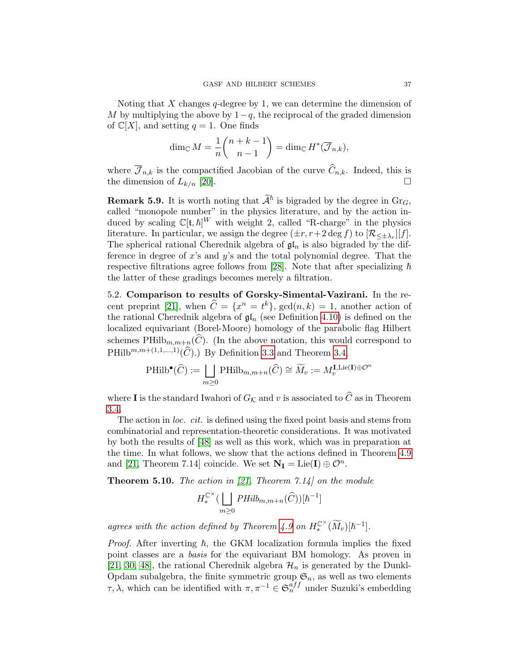Noting that X changes q-degree by 1, we can determine the dimension of M by multiplying the above by  $1-q$ , the reciprocal of the graded dimension of  $\mathbb{C}[X]$ , and setting  $q = 1$ . One finds

$$
\dim_{\mathbb{C}} M = \frac{1}{n} {n+k-1 \choose n-1} = \dim_{\mathbb{C}} H^*(\overline{\mathcal{J}}_{n,k}),
$$

where  $\overline{\mathcal{J}}_{n,k}$  is the compactified Jacobian of the curve  $\widehat{C}_{n,k}$ . Indeed, this is the dimension of  $L_{k/n}$  [20]. the dimension of  $L_{k/n}$  [\[20\]](#page-48-1).

**Remark 5.9.** It is worth noting that  $\mathcal{A}^{\hbar}$  is bigraded by the degree in Gr<sub>G</sub>, called "monopole number" in the physics literature, and by the action induced by scaling  $\mathbb{C}[\mathfrak{t},\hbar]^W$  with weight 2, called "R-charge" in the physics literature. In particular, we assign the degree  $(\pm r, r+2 \deg f)$  to  $[\mathcal{R}_{\leq \pm \lambda_r}][f]$ . The spherical rational Cherednik algebra of  $\mathfrak{gl}_n$  is also bigraded by the difference in degree of  $x$ 's and  $y$ 's and the total polynomial degree. That the respective filtrations agree follows from [\[28\]](#page-48-9). Note that after specializing  $\hbar$ the latter of these gradings becomes merely a filtration.

<span id="page-36-0"></span>5.2. Comparison to results of Gorsky-Simental-Vazirani. In the re-cent preprint [\[21\]](#page-48-7), when  $\widehat{C} = \{x^n = t^k\}$ ,  $gcd(n, k) = 1$ , another action of the rational Cherednik algebra of  $\mathfrak{gl}_n$  (see Definition [4.10\)](#page-19-0) is defined on the localized equivariant (Borel-Moore) homology of the parabolic flag Hilbert schemes  $\text{PHilb}_{m,m+n}(C)$ . (In the above notation, this would correspond to PHilb<sup>m,m+(1,1,...,1)</sup> $(\widehat{C})$ .) By Definition [3.3](#page-9-2) and Theorem [3.4,](#page-9-0)

$$
\operatorname{PHilb}^{\bullet}(\widehat{C}) := \bigsqcup_{m \geq 0} \operatorname{PHilb}_{m,m+n}(\widehat{C}) \cong \widetilde{M}_v := M_v^{\operatorname{I}, \operatorname{Lie}(\operatorname{I}) \oplus \mathcal{O}^n}
$$

where **I** is the standard Iwahori of  $G_K$  and v is associated to  $\widehat{C}$  as in Theorem [3.4.](#page-9-0)

The action in *loc.* cit. is defined using the fixed point basis and stems from combinatorial and representation-theoretic considerations. It was motivated by both the results of [\[48\]](#page-50-1) as well as this work, which was in preparation at the time. In what follows, we show that the actions defined in Theorem [4.9](#page-18-0) and [\[21,](#page-48-7) Theorem 7.14] coincide. We set  $N_I = \text{Lie}(I) \oplus \mathcal{O}^n$ .

<span id="page-36-1"></span>**Theorem 5.10.** The action in [\[21,](#page-48-7) Theorem 7.14] on the module

$$
H_*^{\mathbb{C}^{\times}}(\bigsqcup_{m\geq 0}PHilb_{m,m+n}(\widehat{C}))[\hbar^{-1}]
$$

agrees with the action defined by Theorem [4.9](#page-18-0) on  $H_*^{\mathbb{C}^{\times}}(\widetilde{M}_v)[\hbar^{-1}].$ 

*Proof.* After inverting  $\hbar$ , the GKM localization formula implies the fixed point classes are a basis for the equivariant BM homology. As proven in [\[21,](#page-48-7) [30,](#page-48-12) [48\]](#page-50-1), the rational Cherednik algebra  $\mathcal{H}_n$  is generated by the Dunkl-Opdam subalgebra, the finite symmetric group  $\mathfrak{S}_n$ , as well as two elements  $τ, λ$ , which can be identified with  $π, π<sup>-1</sup> ∈  $\mathfrak{S}_n^{aff}$  under Suzuki's embedding$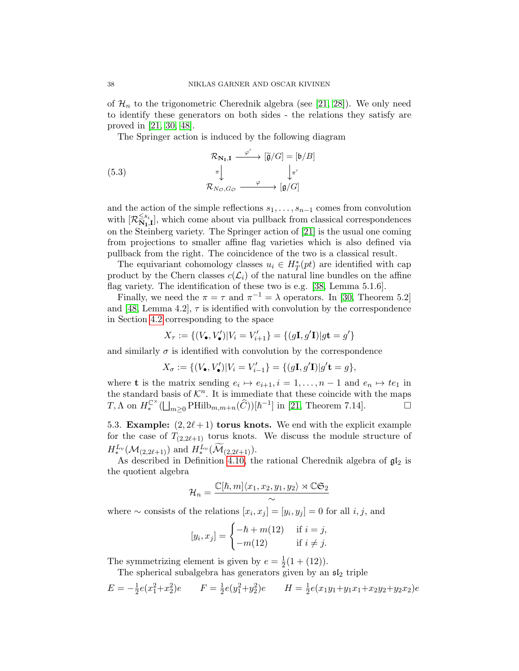of  $\mathcal{H}_n$  to the trigonometric Cherednik algebra (see [\[21,](#page-48-7) [28\]](#page-48-9)). We only need to identify these generators on both sides - the relations they satisfy are proved in [\[21,](#page-48-7) [30,](#page-48-12) [48\]](#page-50-1).

The Springer action is induced by the following diagram

(5.3)  
\n
$$
\begin{array}{ccc}\n\mathcal{R}_{\mathbf{N}_{\mathbf{I}},\mathbf{I}} & \xrightarrow{\varphi'} & [\widetilde{\mathfrak{g}}/G] = [\mathfrak{b}/B] \\
\pi & & \downarrow_{\pi'} \\
\mathcal{R}_{N_{\mathcal{O}},G_{\mathcal{O}}} & \xrightarrow{\varphi} & [\mathfrak{g}/G]\n\end{array}
$$

and the action of the simple reflections  $s_1, \ldots, s_{n-1}$  comes from convolution with  $[\mathcal{R}_{\mathbf{N}_{\mathbf{I}}}^{\leq s_{i}}]$  $\sum_{N,I,I}^{s_i}$ , which come about via pullback from classical correspondences on the Steinberg variety. The Springer action of [\[21\]](#page-48-7) is the usual one coming from projections to smaller affine flag varieties which is also defined via pullback from the right. The coincidence of the two is a classical result.

The equivariant cohomology classes  $u_i \in H^*_T(pt)$  are identified with cap product by the Chern classes  $c(\mathcal{L}_i)$  of the natural line bundles on the affine flag variety. The identification of these two is e.g. [\[38,](#page-49-3) Lemma 5.1.6].

Finally, we need the  $\pi = \tau$  and  $\pi^{-1} = \lambda$  operators. In [\[30,](#page-48-12) Theorem 5.2] and [\[48,](#page-50-1) Lemma 4.2],  $\tau$  is identified with convolution by the correspondence in Section [4.2](#page-20-2) corresponding to the space

$$
X_{\tau} := \{ (V_{\bullet}, V_{\bullet}') | V_i = V_{i+1}' \} = \{ (g\mathbf{I}, g'\mathbf{I}) | g\mathbf{t} = g' \}
$$

and similarly  $\sigma$  is identified with convolution by the correspondence

$$
X_{\sigma} := \{ (V_{\bullet}, V_{\bullet}') | V_i = V_{i-1}' \} = \{ (g\mathbf{I}, g'\mathbf{I}) | g'\mathbf{t} = g \},
$$

where **t** is the matrix sending  $e_i \mapsto e_{i+1}, i = 1, \ldots, n-1$  and  $e_n \mapsto te_1$  in the standard basis of  $\mathcal{K}^n$ . It is immediate that these coincide with the maps T,  $\Lambda$  on  $H_*^{\mathbb{C}^{\times}}(\bigsqcup_{m\geq 0} \mathrm{PHilb}_{m,m+n}(\widehat{C}))[\hbar^{-1}]$  in [\[21,](#page-48-7) Theorem 7.14].

<span id="page-37-0"></span>5.3. Example:  $(2, 2\ell + 1)$  torus knots. We end with the explicit example for the case of  $T_{(2,2\ell+1)}$  torus knots. We discuss the module structure of  $H^{L_v}_{*}(\mathcal{M}_{(2,2\ell+1)})$  and  $H^{L_v}_{*}(\mathcal{M}_{(2,2\ell+1)}).$ 

As described in Definition [4.10,](#page-19-0) the rational Cherednik algebra of  $\mathfrak{gl}_2$  is the quotient algebra

$$
\mathcal{H}_n = \frac{\mathbb{C}[\hbar, m] \langle x_1, x_2, y_1, y_2 \rangle \rtimes \mathbb{C} \mathfrak{S}_2}{\sim}
$$

where  $\sim$  consists of the relations  $[x_i, x_j] = [y_i, y_j] = 0$  for all  $i, j$ , and

$$
[y_i, x_j] = \begin{cases} -\hbar + m(12) & \text{if } i = j, \\ -m(12) & \text{if } i \neq j. \end{cases}
$$

The symmetrizing element is given by  $e = \frac{1}{2}$  $rac{1}{2}(1+(12)).$ 

The spherical subalgebra has generators given by an  $\mathfrak{sl}_2$  triple

$$
E = -\frac{1}{2}e(x_1^2 + x_2^2)e \qquad F = \frac{1}{2}e(y_1^2 + y_2^2)e \qquad H = \frac{1}{2}e(x_1y_1 + y_1x_1 + x_2y_2 + y_2x_2)e
$$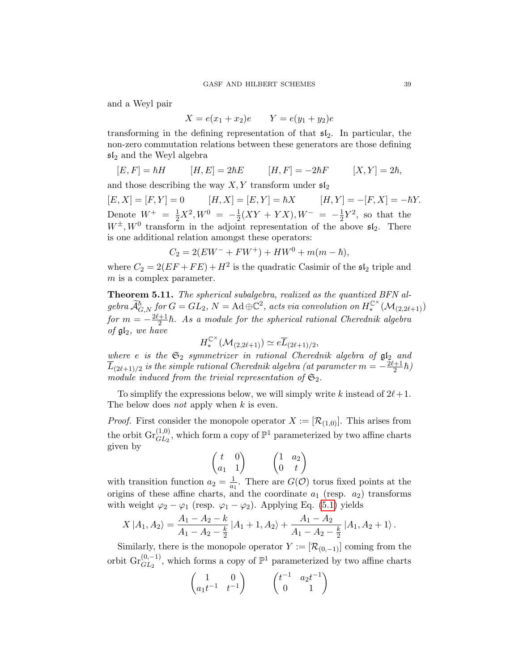and a Weyl pair

$$
X = e(x_1 + x_2)e \t Y = e(y_1 + y_2)e
$$

transforming in the defining representation of that  $\mathfrak{sl}_2$ . In particular, the non-zero commutation relations between these generators are those defining  $sI_2$  and the Weyl algebra

$$
[E,F] = \hbar H \qquad [H,E] = 2\hbar E \qquad [H,F] = -2\hbar F \qquad [X,Y] = 2\hbar,
$$

and those describing the way  $X, Y$  transform under  $\mathfrak{sl}_2$ 

 $[E, X] = [F, Y] = 0$   $[H, X] = [E, Y] = \hbar X$   $[H, Y] = -[F, X] = -\hbar Y.$ Denote  $W^+ = \frac{1}{2}X^2, W^0 = -\frac{1}{2}$  $\frac{1}{2}(XY + YX), W^- = -\frac{1}{2}$  $\frac{1}{2}Y^2$ , so that the  $W^{\pm}$ ,  $W^0$  transform in the adjoint representation of the above  $\mathfrak{sl}_2$ . There is one additional relation amongst these operators:

$$
C_2 = 2(EW^- + FW^+) + HW^0 + m(m - \hbar),
$$

where  $C_2 = 2(EF + FE) + H^2$  is the quadratic Casimir of the  $\mathfrak{sl}_2$  triple and m is a complex parameter.

Theorem 5.11. The spherical subalgebra, realized as the quantized BFN al $gebra \widetilde{\mathcal{A}}_{G,N}^{\hbar}$  for  $G=GL_2, N=\mathrm{Ad}\oplus \mathbb{C}^2$ , acts via convolution on  $H_*^{\mathbb{C}^{\times}}(\mathcal{M}_{(2,2\ell+1)})$ for  $m = -\frac{2\ell+1}{2}$  $\frac{+1}{2}\hbar$ . As a module for the spherical rational Cherednik algebra of  $\mathfrak{gl}_2$ , we have

$$
H_*^{\mathbb{C}^{\times}}(\mathcal{M}_{(2,2\ell+1)}) \simeq e \overline{L}_{(2\ell+1)/2},
$$

where e is the  $\mathfrak{S}_2$  symmetrizer in rational Cherednik algebra of  $\mathfrak{gl}_2$  and  $\overline{L}_{(2\ell+1)/2}$  is the simple rational Cherednik algebra (at parameter  $m = -\frac{2\ell+1}{2}$  $\frac{1}{2}$  $\hbar$ ) module induced from the trivial representation of  $\mathfrak{S}_2$ .

To simplify the expressions below, we will simply write k instead of  $2\ell+1$ . The below does *not* apply when k is even.

*Proof.* First consider the monopole operator  $X := [\mathcal{R}_{(1,0)}]$ . This arises from the orbit  $\text{Gr}_{GL_2}^{(1,0)}$ , which form a copy of  $\mathbb{P}^1$  parameterized by two affine charts given by

$$
\begin{pmatrix} t & 0 \\ a_1 & 1 \end{pmatrix} \qquad \begin{pmatrix} 1 & a_2 \\ 0 & t \end{pmatrix}
$$

with transition function  $a_2 = \frac{1}{a_1}$  $\frac{1}{a_1}$ . There are  $G(\mathcal{O})$  torus fixed points at the origins of these affine charts, and the coordinate  $a_1$  (resp.  $a_2$ ) transforms with weight  $\varphi_2 - \varphi_1$  (resp.  $\varphi_1 - \varphi_2$ ). Applying Eq. [\(5.1\)](#page-33-0) yields

$$
X | A_1, A_2 \rangle = \frac{A_1 - A_2 - k}{A_1 - A_2 - \frac{k}{2}} | A_1 + 1, A_2 \rangle + \frac{A_1 - A_2}{A_1 - A_2 - \frac{k}{2}} | A_1, A_2 + 1 \rangle.
$$

Similarly, there is the monopole operator  $Y := [\mathcal{R}_{(0,-1)}]$  coming from the orbit  $\text{Gr}_{GL_2}^{(0,-1)}$ , which forms a copy of  $\mathbb{P}^1$  parameterized by two affine charts

$$
\begin{pmatrix}\n1 & 0 \\
a_1 t^{-1} & t^{-1}\n\end{pmatrix}\n\qquad\n\begin{pmatrix}\nt^{-1} & a_2 t^{-1} \\
0 & 1\n\end{pmatrix}
$$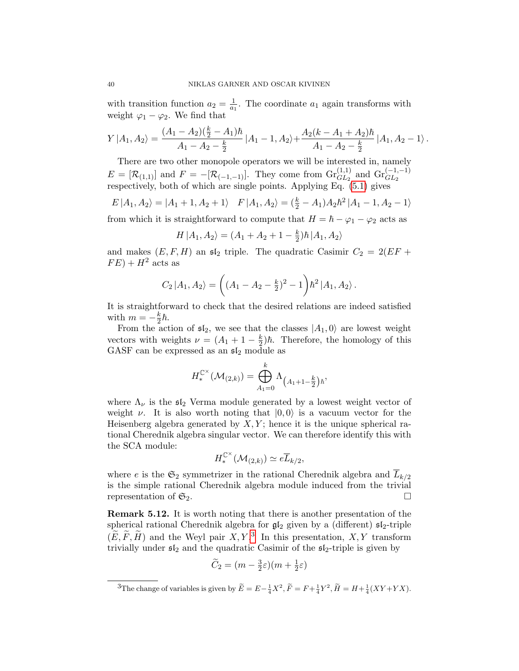with transition function  $a_2 = \frac{1}{a_1}$  $\frac{1}{a_1}$ . The coordinate  $a_1$  again transforms with weight  $\varphi_1 - \varphi_2$ . We find that

$$
Y|A_1,A_2\rangle = \frac{(A_1-A_2)(\frac{k}{2}-A_1)\hbar}{A_1-A_2-\frac{k}{2}}|A_1-1,A_2\rangle + \frac{A_2(k-A_1+A_2)\hbar}{A_1-A_2-\frac{k}{2}}|A_1,A_2-1\rangle.
$$

There are two other monopole operators we will be interested in, namely  $E = [\mathcal{R}_{(1,1)}]$  and  $F = -[\mathcal{R}_{(-1,-1)}]$ . They come from  $\text{Gr}_{GL_2}^{(1,1)}$  and  $\text{Gr}_{GL_2}^{(-1,-1)}$ respectively, both of which are single points. Applying Eq. [\(5.1\)](#page-33-0) gives

$$
E | A_1, A_2 \rangle = | A_1 + 1, A_2 + 1 \rangle \quad F | A_1, A_2 \rangle = \left( \frac{k}{2} - A_1 \right) A_2 \hbar^2 | A_1 - 1, A_2 - 1 \rangle
$$

from which it is straightforward to compute that  $H = \hbar - \varphi_1 - \varphi_2$  acts as

$$
H | A_1, A_2 \rangle = (A_1 + A_2 + 1 - \frac{k}{2}) \hbar | A_1, A_2 \rangle
$$

and makes  $(E, F, H)$  an  $\mathfrak{sl}_2$  triple. The quadratic Casimir  $C_2 = 2(EF +$  $FE$ ) +  $H^2$  acts as

$$
C_2 |A_1, A_2\rangle = \left( (A_1 - A_2 - \frac{k}{2})^2 - 1 \right) \hbar^2 |A_1, A_2\rangle.
$$

It is straightforward to check that the desired relations are indeed satisfied with  $m = -\frac{k}{2}$  $rac{\kappa}{2}\hbar$ .

From the action of  $\mathfrak{sl}_2$ , we see that the classes  $|A_1, 0\rangle$  are lowest weight vectors with weights  $\nu = (A_1 + 1 - \frac{k}{2})$  $\frac{k}{2}$ ) $\hbar$ . Therefore, the homology of this GASF can be expressed as an  $\mathfrak{sl}_2$  module as

$$
H_*^{\mathbb{C}^{\times}}(\mathcal{M}_{(2,k)}) = \bigoplus_{A_1=0}^k \Lambda_{\left(A_1+1-\frac{k}{2}\right)\hbar},
$$

where  $\Lambda_{\nu}$  is the  $\mathfrak{sl}_2$  Verma module generated by a lowest weight vector of weight  $\nu$ . It is also worth noting that  $|0, 0\rangle$  is a vacuum vector for the Heisenberg algebra generated by  $X, Y$ ; hence it is the unique spherical rational Cherednik algebra singular vector. We can therefore identify this with the SCA module:

$$
H^{\mathbb{C}^{\times}}_{*}(\mathcal{M}_{(2,k)})\simeq e\overline{L}_{k/2},
$$

where e is the  $\mathfrak{S}_2$  symmetrizer in the rational Cherednik algebra and  $\overline{L}_{k/2}$ is the simple rational Cherednik algebra module induced from the trivial representation of  $\mathfrak{S}_2$ .

Remark 5.12. It is worth noting that there is another presentation of the spherical rational Cherednik algebra for  $\mathfrak{gl}_2$  given by a (different)  $\mathfrak{sl}_2$ -triple  $(\widetilde{E}, \widetilde{F}, \widetilde{H})$  and the Weyl pair  $X, Y$ .<sup>[3](#page-39-0)</sup> In this presentation,  $X, Y$  transform trivially under  $sI_2$  and the quadratic Casimir of the  $sI_2$ -triple is given by

$$
\widetilde{C}_2 = (m - \frac{3}{2}\varepsilon)(m + \frac{1}{2}\varepsilon)
$$

<span id="page-39-0"></span><sup>&</sup>lt;sup>3</sup>The change of variables is given by  $\widetilde{E} = E - \frac{1}{4}X^2$ ,  $\widetilde{F} = F + \frac{1}{4}Y^2$ ,  $\widetilde{H} = H + \frac{1}{4}(XY + YX)$ .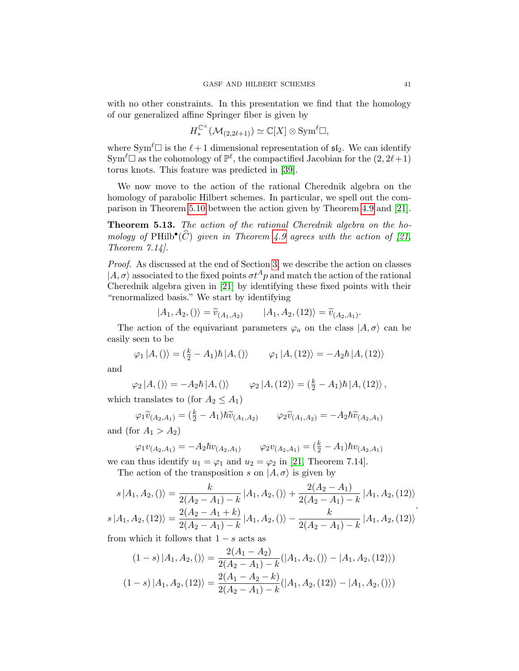with no other constraints. In this presentation we find that the homology of our generalized affine Springer fiber is given by

$$
H_*^{\mathbb{C}^{\times}}(\mathcal{M}_{(2,2\ell+1)}) \simeq \mathbb{C}[X] \otimes \text{Sym}^{\ell} \square,
$$

where Sym<sup> $\ell \Box$ </sup> is the  $\ell + 1$  dimensional representation of  $\mathfrak{sl}_2$ . We can identify  $\text{Sym}^{\ell} \square$  as the cohomology of  $\mathbb{P}^{\ell}$ , the compactified Jacobian for the  $(2, 2\ell+1)$ torus knots. This feature was predicted in [\[39\]](#page-49-1).

We now move to the action of the rational Cherednik algebra on the homology of parabolic Hilbert schemes. In particular, we spell out the comparison in Theorem [5.10](#page-36-1) between the action given by Theorem [4.9](#page-18-0) and [\[21\]](#page-48-7).

Theorem 5.13. The action of the rational Cherednik algebra on the homology of PHilb<sup>•</sup>( $\widehat{C}$ ) given in Theorem [4.9](#page-18-0) agrees with the action of [\[21,](#page-48-7) Theorem 7.14].

Proof. As discussed at the end of Section [3,](#page-8-0) we describe the action on classes  $|A,\sigma\rangle$  associated to the fixed points  $\sigma t^A p$  and match the action of the rational Cherednik algebra given in [\[21\]](#page-48-7) by identifying these fixed points with their "renormalized basis." We start by identifying

$$
|A_1, A_2, ()\rangle = \tilde{v}_{(A_1, A_2)} \qquad |A_1, A_2, (12)\rangle = \tilde{v}_{(A_2, A_1)}.
$$

The action of the equivariant parameters  $\varphi_a$  on the class  $|A,\sigma\rangle$  can be easily seen to be

$$
\varphi_1 | A, () \rangle = (\frac{k}{2} - A_1) \hbar | A, () \rangle
$$
  $\varphi_1 | A, (12) \rangle = -A_2 \hbar | A, (12) \rangle$ 

and

$$
\varphi_2 | A, () \rangle = -A_2 \hbar | A, () \rangle \qquad \varphi_2 | A, (12) \rangle = (\frac{k}{2} - A_1) \hbar | A, (12) \rangle ,
$$

which translates to (for  $A_2 \leq A_1$ )

$$
\varphi_1 \widetilde{v}_{(A_2, A_1)} = (\frac{k}{2} - A_1) \hbar \widetilde{v}_{(A_1, A_2)} \qquad \varphi_2 \widetilde{v}_{(A_1, A_2)} = -A_2 \hbar \widetilde{v}_{(A_2, A_1)}
$$
\n(for  $A_1 > A_2$ )

and (for 
$$
A_1 > A_2
$$
)

$$
\varphi_1 v_{(A_2, A_1)} = -A_2 \hbar v_{(A_2, A_1)} \qquad \varphi_2 v_{(A_2, A_1)} = \left(\frac{k}{2} - A_1\right) \hbar v_{(A_2, A_1)}
$$

we can thus identify  $u_1 = \varphi_1$  and  $u_2 = \varphi_2$  in [\[21,](#page-48-7) Theorem 7.14]. The action of the transposition s on  $|A,\sigma\rangle$  is given by

$$
s | A_1, A_2, () \rangle = \frac{k}{2(A_2 - A_1) - k} | A_1, A_2, () \rangle + \frac{2(A_2 - A_1)}{2(A_2 - A_1) - k} | A_1, A_2, (12) \rangle
$$
  

$$
s | A_1, A_2, (12) \rangle = \frac{2(A_2 - A_1 + k)}{2(A_2 - A_1) - k} | A_1, A_2, () \rangle - \frac{k}{2(A_2 - A_1) - k} | A_1, A_2, (12) \rangle
$$

from which it follows that  $1 - s$  acts as

$$
(1-s) | A_1, A_2, () \rangle = \frac{2(A_1 - A_2)}{2(A_2 - A_1) - k} ( | A_1, A_2, () \rangle - | A_1, A_2, (12) \rangle )
$$

$$
(1-s) | A_1, A_2, (12) \rangle = \frac{2(A_1 - A_2 - k)}{2(A_2 - A_1) - k} ( | A_1, A_2, (12) \rangle - | A_1, A_2, () \rangle )
$$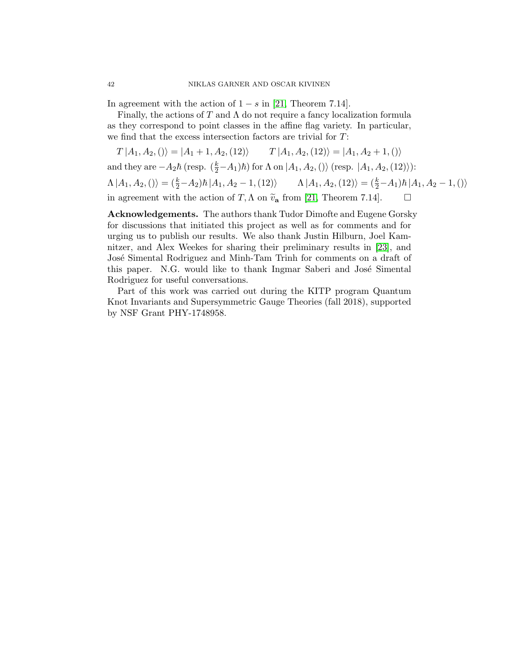In agreement with the action of  $1 - s$  in [\[21,](#page-48-7) Theorem 7.14].

Finally, the actions of T and  $\Lambda$  do not require a fancy localization formula as they correspond to point classes in the affine flag variety. In particular, we find that the excess intersection factors are trivial for T:

 $T | A_1, A_2, () \rangle = | A_1 + 1, A_2, (12) \rangle$   $T | A_1, A_2, (12) \rangle = | A_1, A_2 + 1, () \rangle$ 

and they are  $-A_2\hbar$  (resp.  $(\frac{k}{2}-A_1)\hbar$ ) for  $\Lambda$  on  $|A_1, A_2, ()\rangle$  (resp.  $|A_1, A_2, (12)\rangle$ ):  $\Lambda |A_1, A_2, () \rangle = (\frac{k}{2} - A_2) \hbar |A_1, A_2 - 1, (12) \rangle$   $\Lambda |A_1, A_2, (12) \rangle = (\frac{k}{2} - A_1) \hbar |A_1, A_2 - 1, () \rangle$ in agreement with the action of  $T, \Lambda$  on  $\tilde{v}_a$  from [\[21,](#page-48-7) Theorem 7.14].  $\Box$ 

Acknowledgements. The authors thank Tudor Dimofte and Eugene Gorsky for discussions that initiated this project as well as for comments and for urging us to publish our results. We also thank Justin Hilburn, Joel Kamnitzer, and Alex Weekes for sharing their preliminary results in [\[23\]](#page-48-8), and José Simental Rodriguez and Minh-Tam Trinh for comments on a draft of this paper. N.G. would like to thank Ingmar Saberi and José Simental Rodriguez for useful conversations.

Part of this work was carried out during the KITP program Quantum Knot Invariants and Supersymmetric Gauge Theories (fall 2018), supported by NSF Grant PHY-1748958.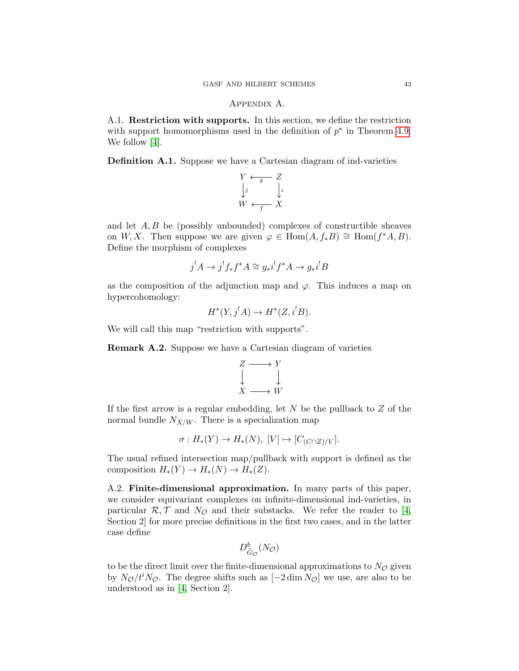# Appendix A.

<span id="page-42-1"></span><span id="page-42-0"></span>A.1. Restriction with supports. In this section, we define the restriction with support homomorphisms used in the definition of  $p^*$  in Theorem [4.9.](#page-18-0) We follow [\[4\]](#page-46-0).

<span id="page-42-2"></span>Definition A.1. Suppose we have a Cartesian diagram of ind-varieties

$$
Y \xleftarrow{g} Z
$$
  

$$
\downarrow j
$$
  

$$
W \xleftarrow{f} X
$$

and let  $A, B$  be (possibly unbounded) complexes of constructible sheaves on W, X. Then suppose we are given  $\varphi \in \text{Hom}(A, f_*B) \cong \text{Hom}(f^*A, B)$ . Define the morphism of complexes

$$
j^!A \to j^!f_*f^*A \cong g_*i^!f^*A \to g_*i^!B
$$

as the composition of the adjunction map and  $\varphi$ . This induces a map on hypercohomology:

$$
H^*(Y, j^!A) \to H^*(Z, i^!B).
$$

We will call this map "restriction with supports".

Remark A.2. Suppose we have a Cartesian diagram of varieties

$$
Z \longrightarrow Y
$$
  

$$
\downarrow \qquad \qquad \downarrow
$$
  

$$
X \longrightarrow W
$$

If the first arrow is a regular embedding, let  $N$  be the pullback to  $Z$  of the normal bundle  $N_{X/W}$ . There is a specialization map

$$
\sigma: H_*(Y) \to H_*(N), [V] \mapsto [C_{(C \cap Z)/V}].
$$

The usual refined intersection map/pullback with support is defined as the composition  $H_*(Y) \to H_*(N) \to H_*(Z)$ .

A.2. Finite-dimensional approximation. In many parts of this paper, we consider equivariant complexes on infinite-dimensional ind-varieties, in particular  $\mathcal{R}, \mathcal{T}$  and  $N_{\mathcal{O}}$  and their substacks. We refer the reader to [\[4,](#page-46-0) Section 2] for more precise definitions in the first two cases, and in the latter case define

$$
D^b_{\tilde{G}_{\mathcal{O}}}(N_{\mathcal{O}})
$$

to be the direct limit over the finite-dimensional approximations to  $N_{\mathcal{O}}$  given by  $N_{\mathcal{O}}/t^iN_{\mathcal{O}}$ . The degree shifts such as  $[-2 \dim N_{\mathcal{O}}]$  we use, are also to be understood as in [\[4,](#page-46-0) Section 2].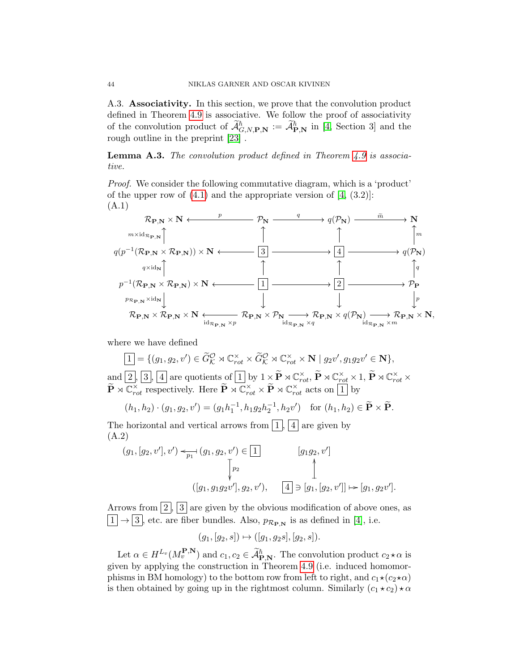A.3. Associativity. In this section, we prove that the convolution product defined in Theorem [4.9](#page-18-0) is associative. We follow the proof of associativity of the convolution product of  $\mathcal{A}_{G,N,\mathbf{P},\mathbf{N}}^{\hbar} := \mathcal{A}_{\mathbf{P},\mathbf{N}}^{\hbar}$  in [\[4,](#page-46-0) Section 3] and the rough outline in the preprint [\[23\]](#page-48-8) .

<span id="page-43-0"></span>**Lemma A.3.** The convolution product defined in Theorem  $\angle 4.9$  $\angle 4.9$  is associative.

Proof. We consider the following commutative diagram, which is a 'product' of the upper row of  $(4.1)$  and the appropriate version of  $[4, (3.2)]$ : (A.1)



where we have defined

 $\boxed{1} = \{(g_1, g_2, v') \in \widetilde{G}_{\mathcal{K}}^{\mathcal{O}} \rtimes \mathbb{C}_{rot}^{\times} \times \widetilde{G}_{\mathcal{K}}^{\mathcal{O}} \rtimes \mathbb{C}_{rot}^{\times} \times \mathbf{N} \mid g_2v', g_1g_2v' \in \mathbf{N} \},\$ and  $\boxed{2}$ ,  $\boxed{3}$ ,  $\boxed{4}$  are quotients of  $\boxed{1}$  by  $1 \times \widetilde{P} \rtimes \mathbb{C}_{rot}^{\times}$ ,  $\widetilde{P} \rtimes \mathbb{C}_{rot}^{\times} \times 1$ ,  $\widetilde{P} \rtimes \mathbb{C}_{rot}^{\times} \times$  $\widetilde{\mathbf{P}} \rtimes \mathbb{C}^{\times}_{rot}$  respectively. Here  $\widetilde{\mathbf{P}} \rtimes \mathbb{C}^{\times}_{rot} \times \widetilde{\mathbf{P}} \rtimes \mathbb{C}^{\times}_{rot}$  acts on  $\boxed{1}$  by

$$
(h_1, h_2) \cdot (g_1, g_2, v') = (g_1 h_1^{-1}, h_1 g_2 h_2^{-1}, h_2 v')
$$
 for  $(h_1, h_2) \in \widetilde{P} \times \widetilde{P}$ .

The horizontal and vertical arrows from  $\vert 1 \vert, \vert 4 \vert$  are given by (A.2)

$$
(g_1, [g_2, v'], v') \leq p_1 \quad (g_1, g_2, v') \in [1]
$$
\n
$$
\begin{bmatrix} p_2 \\ p_3 \end{bmatrix} \quad [g_1g_2, v']
$$
\n
$$
([g_1, g_1g_2v'], g_2, v'), \quad [4] \ni [g_1, [g_2, v']] \mapsto [g_1, g_2v'].
$$

Arrows from  $\vert 2 \vert$ ,  $\vert 3 \vert$  are given by the obvious modification of above ones, as  $\lfloor 1 \rfloor \rightarrow \lfloor 3 \rfloor$ , etc. are fiber bundles. Also,  $p_{\mathcal{R}_{\mathbf{P},\mathbf{N}}}$  is as defined in [\[4\]](#page-46-0), i.e.

$$
(g_1, [g_2, s]) \mapsto ([g_1, g_2s], [g_2, s]).
$$

Let  $\alpha \in H^{L_v}(M_v^{\mathbf{P},\mathbf{N}})$  and  $c_1, c_2 \in \widetilde{\mathcal{A}}_{\mathbf{P},\mathbf{N}}^{\hbar}$ . The convolution product  $c_2 \star \alpha$  is given by applying the construction in Theorem [4.9](#page-18-0) (i.e. induced homomorphisms in BM homology) to the bottom row from left to right, and  $c_1\star(c_2\star\alpha)$ is then obtained by going up in the rightmost column. Similarly  $(c_1 \star c_2) \star \alpha$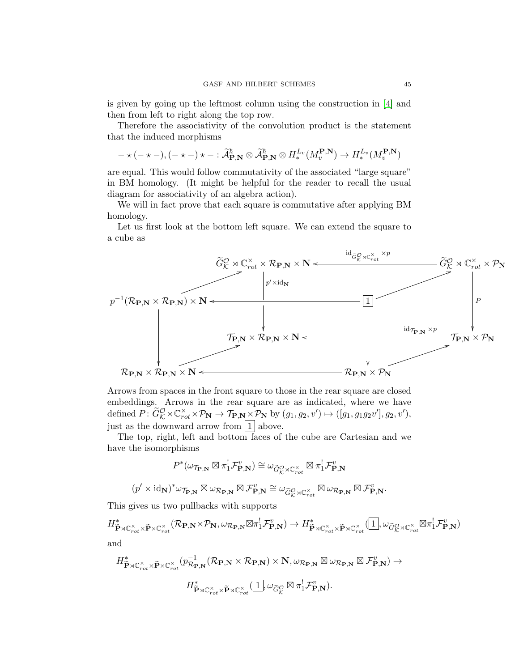is given by going up the leftmost column using the construction in [\[4\]](#page-46-0) and then from left to right along the top row.

Therefore the associativity of the convolution product is the statement that the induced morphisms

$$
-\star(-\star-),(-\star-)\star-:\widetilde{\mathcal{A}}_{\mathbf{P},\mathbf{N}}^{\hbar}\otimes\widetilde{\mathcal{A}}_{\mathbf{P},\mathbf{N}}^{\hbar}\otimes H^{L_v}_*(M_v^{\mathbf{P},\mathbf{N}})\to H^{L_v}_*(M_v^{\mathbf{P},\mathbf{N}})
$$

are equal. This would follow commutativity of the associated "large square" in BM homology. (It might be helpful for the reader to recall the usual diagram for associativity of an algebra action).

We will in fact prove that each square is commutative after applying BM homology.

Let us first look at the bottom left square. We can extend the square to a cube as



Arrows from spaces in the front square to those in the rear square are closed embeddings. Arrows in the rear square are as indicated, where we have defined  $P: \widetilde{G}_{\mathcal{K}}^{\mathcal{O}} \rtimes \mathbb{C}^{\times}_{rot} \times \mathcal{P}_{\mathbf{N}} \to \mathcal{T}_{\mathbf{P},\mathbf{N}} \times \mathcal{P}_{\mathbf{N}}$  by  $(g_1, g_2, v') \mapsto ([g_1, g_1g_2v'], g_2, v'),$ just as the downward arrow from  $\boxed{1}$  above.

The top, right, left and bottom faces of the cube are Cartesian and we have the isomorphisms

$$
P^*(\omega_{\mathcal{T}_{\mathbf{P},\mathbf{N}}}\boxtimes \pi_1^!\mathcal{F}_{\mathbf{P},\mathbf{N}}^v)\cong \omega_{\widetilde{G}_K^{\mathcal{O}}\rtimes \mathbb{C}_{rot}^{\times}}\boxtimes \pi_1^!\mathcal{F}_{\mathbf{P},\mathbf{N}}^v
$$

$$
(p'\times \mathrm{id}_{\mathbf{N}})^*\omega_{\mathcal{T}_{\mathbf{P},\mathbf{N}}}\boxtimes \omega_{\mathcal{R}_{\mathbf{P},\mathbf{N}}}\boxtimes \mathcal{F}_{\mathbf{P},\mathbf{N}}^v\cong \omega_{\widetilde{G}_K^{\mathcal{O}}\rtimes \mathbb{C}_{rot}^{\times}}\boxtimes \omega_{\mathcal{R}_{\mathbf{P},\mathbf{N}}}\boxtimes \mathcal{F}_{\mathbf{P},\mathbf{N}}^v.
$$

This gives us two pullbacks with supports

$$
H^*_{\widetilde{\mathbf{P}} \rtimes \mathbb{C}^\times_{rot} \times \widetilde{\mathbf{P}} \rtimes \mathbb{C}^\times_{rot}}(\mathcal{R}_{\mathbf{P},\mathbf{N}} \times \mathcal{P}_{\mathbf{N}}, \omega_{\mathcal{R}_{\mathbf{P},\mathbf{N}}} \boxtimes \pi_1^! \mathcal{F}_{\mathbf{P},\mathbf{N}}^v) \to H^*_{\widetilde{\mathbf{P}} \rtimes \mathbb{C}^\times_{rot} \times \widetilde{\mathbf{P}} \rtimes \mathbb{C}^\times_{rot}}(\boxed{1}, \omega_{\widetilde{G}_K^{\mathcal{O}} \rtimes \mathbb{C}^\times_{rot}} \boxtimes \pi_1^! \mathcal{F}_{\mathbf{P},\mathbf{N}}^v)
$$
 and

$$
H_{\widetilde{\mathbf{P}} \rtimes \mathbb{C}^{\times}_{rot} \times \widetilde{\mathbf{P}} \rtimes \mathbb{C}^{\times}_{rot}}^{\times} (p_{\mathcal{R}_{\mathbf{P},\mathbf{N}}}^{-1}(\mathcal{R}_{\mathbf{P},\mathbf{N}} \times \mathcal{R}_{\mathbf{P},\mathbf{N}}) \times \mathbf{N}, \omega_{\mathcal{R}_{\mathbf{P},\mathbf{N}}} \boxtimes \omega_{\mathcal{R}_{\mathbf{P},\mathbf{N}}} \boxtimes \mathcal{F}_{\mathbf{P},\mathbf{N}}^{v}) \rightarrow
$$

$$
H_{\widetilde{\mathbf{P}} \rtimes \mathbb{C}^{\times}_{rot} \times \widetilde{\mathbf{P}} \rtimes \mathbb{C}^{\times}_{rot}}^{\times} (\overline{1}, \omega_{\widetilde{G}_{\mathcal{K}}^{O}} \boxtimes \pi_{1}^{!} \mathcal{F}_{\mathbf{P},\mathbf{N}}^{v}).
$$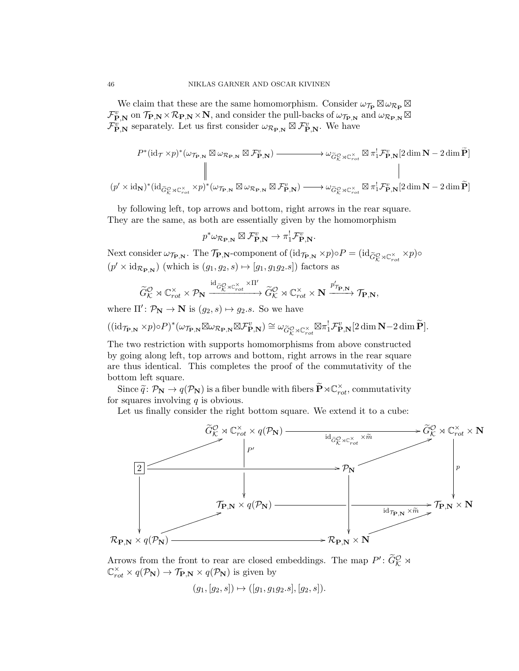We claim that these are the same homomorphism. Consider  $\omega_{\mathcal{T}_{\mathbf{P}}}\boxtimes \omega_{\mathcal{R}_{\mathbf{P}}}\boxtimes$  $\mathcal{F}_{\bf P,N}^v$  on  $\mathcal{T}_{\bf P,N} \times \mathcal{R}_{\bf P,N} \times \bf N$ , and consider the pull-backs of  $\omega_{\mathcal{T}_{\bf P,N}}$  and  $\omega_{\mathcal{R}_{\bf P,N}} \boxtimes$  $\mathcal{F}_{\bf P,N}^{v}$  separately. Let us first consider  $\omega_{\mathcal{R}_{\bf P,N}} \boxtimes \mathcal{F}_{\bf P,N}^{v}$ . We have

$$
p^*(\mathrm{id}_{\mathcal{T}} \times p)^*(\omega_{\mathcal{T}_{\mathbf{P},\mathbf{N}}} \boxtimes \omega_{\mathcal{R}_{\mathbf{P},\mathbf{N}}}) \longrightarrow \omega_{\widetilde{G}_{\mathcal{K}}^{\mathcal{O}} \rtimes \mathbb{C}_{rot}^{\times}} \boxtimes \pi_1^! \mathcal{F}_{\mathbf{P},\mathbf{N}}^v[2 \dim \mathbf{N} - 2 \dim \widetilde{\mathbf{P}}]
$$
\n
$$
\parallel
$$
\n
$$
(p' \times \mathrm{id}_{\mathbf{N}})^*(\mathrm{id}_{\widetilde{G}_{\mathcal{K}}^{\mathcal{O}} \rtimes \mathbb{C}_{rot}^{\times}} \times p)^*(\omega_{\mathcal{T}_{\mathbf{P},\mathbf{N}}} \boxtimes \omega_{\mathcal{R}_{\mathbf{P},\mathbf{N}}} \boxtimes \mathcal{F}_{\mathbf{P},\mathbf{N}}^v) \longrightarrow \omega_{\widetilde{G}_{\mathcal{K}}^{\mathcal{O}} \rtimes \mathbb{C}_{rot}^{\times}} \boxtimes \pi_1^! \mathcal{F}_{\mathbf{P},\mathbf{N}}^v[2 \dim \mathbf{N} - 2 \dim \widetilde{\mathbf{P}}]
$$

by following left, top arrows and bottom, right arrows in the rear square. They are the same, as both are essentially given by the homomorphism

$$
p^*\omega_{\mathcal{R}_{\mathbf{P},\mathbf{N}}} \boxtimes \mathcal{F}_{\mathbf{P},\mathbf{N}}^v \to \pi_1^!\mathcal{F}_{\mathbf{P},\mathbf{N}}^v.
$$

Next consider  $\omega_{\mathcal{T}_{\mathbf{P},\mathbf{N}}}$ . The  $\mathcal{T}_{\mathbf{P},\mathbf{N}}$ -component of  $(\mathrm{id}_{\mathcal{T}_{\mathbf{P},\mathbf{N}}} \times p) \circ P = (\mathrm{id}_{\widetilde{G}_{\mathcal{K}}^{\mathcal{O}} \rtimes \mathbb{C}_{rot}^{\times}} \times p) \circ$  $(p' \times \mathrm{id}_{\mathcal{R}_{\textbf{P},\textbf{N}}})$  (which is  $(g_1, g_2, s) \mapsto [g_1, g_1 g_2.s]$ ) factors as

$$
\widetilde{G}^{\mathcal{O}}_{\mathcal{K}}\rtimes {\mathbb C}^{\times}_{rot} \times {\mathcal P}_{\mathbf{N}} \xrightarrow{\operatorname{id}_{\widetilde{G}^{\mathcal{O}}_{\mathcal{K}}\rtimes {\mathbb C}^{\times}_{rot}} \widetilde{G}^{\mathcal{O}}_{\mathcal{K}}\rtimes {\mathbb C}^{\times}_{rot}} \widetilde{G}^{\mathcal{O}}_{rot}}\rtimes {\mathbb C}^{\times}_{rot} \times {\mathbf N} \xrightarrow{p_{\mathcal{T}_{\mathbf{P},\mathbf{N}}}} \mathcal{T}_{\mathbf{P},\mathbf{N}},
$$

where  $\Pi' : \mathcal{P}_{\mathbf{N}} \to \mathbf{N}$  is  $(g_2, s) \mapsto g_2.s$ . So we have

$$
((\mathrm{id}_{\mathcal{T}_{\mathbf{P},\mathbf{N}}}\times p)\circ P)^*(\omega_{\mathcal{T}_{\mathbf{P},\mathbf{N}}}\boxtimes \omega_{\mathcal{R}_{\mathbf{P},\mathbf{N}}}\boxtimes \mathcal{F}_{\mathbf{P},\mathbf{N}}^v)\cong \omega_{\widetilde{G}_K^{\mathcal{O}}\rtimes \mathbb{C}_{rot}^{\times}}\boxtimes \pi_1^!\mathcal{F}_{\mathbf{P},\mathbf{N}}^v[2\dim \mathbf{N}-2\dim \widetilde{\mathbf{P}}].
$$

The two restriction with supports homomorphisms from above constructed by going along left, top arrows and bottom, right arrows in the rear square are thus identical. This completes the proof of the commutativity of the bottom left square.

Since  $\widetilde{q} \colon \mathcal{P}_{\mathbf{N}} \to q(\mathcal{P}_{\mathbf{N}})$  is a fiber bundle with fibers  $\widetilde{\mathbf{P}} \rtimes \mathbb{C}^{\times}_{rot}$ , commutativity for squares involving  $q$  is obvious.

Let us finally consider the right bottom square. We extend it to a cube:



Arrows from the front to rear are closed embeddings. The map  $P' : \widetilde{G}_{\mathcal{K}}^{\mathcal{O}} \rtimes$  $\mathbb{C}_{rot}^{\times} \times q(\mathcal{P}_{N}) \to \mathcal{T}_{P,N} \times q(\mathcal{P}_{N})$  is given by

 $(q_1, [q_2, s]) \mapsto ([q_1, q_1q_2, s], [q_2, s]).$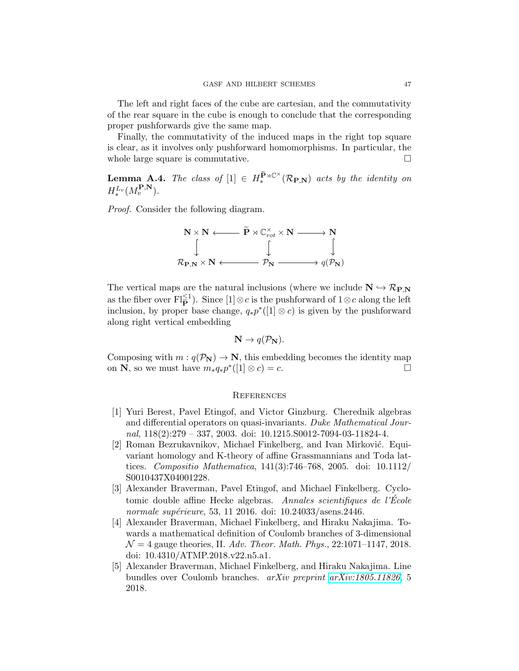The left and right faces of the cube are cartesian, and the commutativity of the rear square in the cube is enough to conclude that the corresponding proper pushforwards give the same map.

Finally, the commutativity of the induced maps in the right top square is clear, as it involves only pushforward homomorphisms. In particular, the whole large square is commutative.

<span id="page-46-4"></span>**Lemma A.4.** The class of  $[1] \in H_*^{\widetilde{\mathbf{P}} \rtimes \mathbb{C}^{\times}}(\mathcal{R}_{\mathbf{P},\mathbf{N}})$  acts by the identity on  $H_*^{L_v}(M_v^{\mathbf{P},\mathbf{N}}).$ 

Proof. Consider the following diagram.



The vertical maps are the natural inclusions (where we include  $N \hookrightarrow \mathcal{R}_{P,N}$ as the fiber over  $\text{Fl}_{\mathbf{P}}^{\leq 1}$ . Since  $[1] \otimes c$  is the pushforward of  $1 \otimes c$  along the left inclusion, by proper base change,  $q_*p^*([1] \otimes c)$  is given by the pushforward along right vertical embedding

$$
\mathbf{N} \to q(\mathcal{P}_{\mathbf{N}}).
$$

Composing with  $m : q(\mathcal{P}_{\mathbf{N}}) \to \mathbf{N}$ , this embedding becomes the identity map on **N**, so we must have  $m_*q_*p^*([1] \otimes c) = c$ . on **N**, so we must have  $m_* q_* p^*([1] \otimes c) = c$ .  $□$ 

#### **REFERENCES**

- <span id="page-46-5"></span>[1] Yuri Berest, Pavel Etingof, and Victor Ginzburg. Cherednik algebras and differential operators on quasi-invariants. Duke Mathematical Journal, 118(2):279 – 337, 2003. doi: 10.1215.S0012-7094-03-11824-4.
- <span id="page-46-1"></span>[2] Roman Bezrukavnikov, Michael Finkelberg, and Ivan Mirković. Equivariant homology and K-theory of affine Grassmannians and Toda lattices. *Compositio Mathematica*,  $141(3):746-768$ , 2005. doi:  $10.1112/$ S0010437X04001228.
- <span id="page-46-2"></span>[3] Alexander Braverman, Pavel Etingof, and Michael Finkelberg. Cyclotomic double affine Hecke algebras. Annales scientifiques de l'École normale supérieure, 53, 11 2016. doi: 10.24033/asens.2446.
- <span id="page-46-0"></span>[4] Alexander Braverman, Michael Finkelberg, and Hiraku Nakajima. Towards a mathematical definition of Coulomb branches of 3-dimensional  $\mathcal{N} = 4$  gauge theories, II. Adv. Theor. Math. Phys., 22:1071-1147, 2018. doi: 10.4310/ATMP.2018.v22.n5.a1.
- <span id="page-46-3"></span>[5] Alexander Braverman, Michael Finkelberg, and Hiraku Nakajima. Line bundles over Coulomb branches. arXiv preprint [arXiv:1805.11826](http://arxiv.org/abs/1805.11826), 5 2018.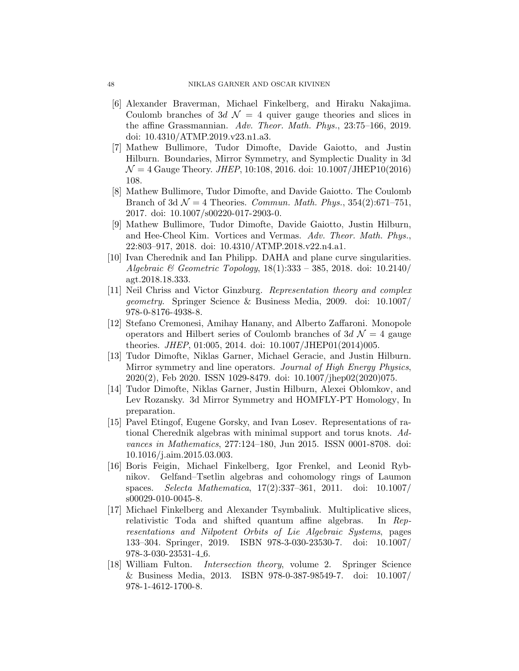- <span id="page-47-2"></span>[6] Alexander Braverman, Michael Finkelberg, and Hiraku Nakajima. Coulomb branches of 3d  $\mathcal{N} = 4$  quiver gauge theories and slices in the affine Grassmannian. Adv. Theor. Math. Phys., 23:75–166, 2019. doi: 10.4310/ATMP.2019.v23.n1.a3.
- <span id="page-47-3"></span>[7] Mathew Bullimore, Tudor Dimofte, Davide Gaiotto, and Justin Hilburn. Boundaries, Mirror Symmetry, and Symplectic Duality in 3d  $\mathcal{N} = 4$  Gauge Theory. *JHEP*, 10:108, 2016. doi: 10.1007/JHEP10(2016) 108.
- <span id="page-47-8"></span>[8] Mathew Bullimore, Tudor Dimofte, and Davide Gaiotto. The Coulomb Branch of 3d  $\mathcal{N}=4$  Theories. Commun. Math. Phys., 354(2):671–751, 2017. doi: 10.1007/s00220-017-2903-0.
- <span id="page-47-7"></span>[9] Mathew Bullimore, Tudor Dimofte, Davide Gaiotto, Justin Hilburn, and Hee-Cheol Kim. Vortices and Vermas. Adv. Theor. Math. Phys., 22:803–917, 2018. doi: 10.4310/ATMP.2018.v22.n4.a1.
- <span id="page-47-10"></span>[10] Ivan Cherednik and Ian Philipp. DAHA and plane curve singularities. Algebraic & Geometric Topology,  $18(1):333 - 385$ , 2018. doi:  $10.2140/$ agt.2018.18.333.
- <span id="page-47-1"></span>[11] Neil Chriss and Victor Ginzburg. Representation theory and complex geometry. Springer Science & Business Media, 2009. doi: 10.1007/ 978-0-8176-4938-8.
- <span id="page-47-12"></span>[12] Stefano Cremonesi, Amihay Hanany, and Alberto Zaffaroni. Monopole operators and Hilbert series of Coulomb branches of  $3d \mathcal{N} = 4$  gauge theories. JHEP, 01:005, 2014. doi: 10.1007/JHEP01(2014)005.
- <span id="page-47-4"></span>[13] Tudor Dimofte, Niklas Garner, Michael Geracie, and Justin Hilburn. Mirror symmetry and line operators. Journal of High Energy Physics, 2020(2), Feb 2020. ISSN 1029-8479. doi: 10.1007/jhep02(2020)075.
- <span id="page-47-6"></span>[14] Tudor Dimofte, Niklas Garner, Justin Hilburn, Alexei Oblomkov, and Lev Rozansky. 3d Mirror Symmetry and HOMFLY-PT Homology, In preparation.
- <span id="page-47-0"></span>[15] Pavel Etingof, Eugene Gorsky, and Ivan Losev. Representations of rational Cherednik algebras with minimal support and torus knots. Advances in Mathematics, 277:124–180, Jun 2015. ISSN 0001-8708. doi: 10.1016/j.aim.2015.03.003.
- <span id="page-47-5"></span>[16] Boris Feigin, Michael Finkelberg, Igor Frenkel, and Leonid Rybnikov. Gelfand–Tsetlin algebras and cohomology rings of Laumon spaces. Selecta Mathematica, 17(2):337–361, 2011. doi: 10.1007/ s00029-010-0045-8.
- <span id="page-47-9"></span>[17] Michael Finkelberg and Alexander Tsymbaliuk. Multiplicative slices, relativistic Toda and shifted quantum affine algebras. In Representations and Nilpotent Orbits of Lie Algebraic Systems, pages 133–304. Springer, 2019. ISBN 978-3-030-23530-7. doi: 10.1007/ 978-3-030-23531-4 6.
- <span id="page-47-11"></span>[18] William Fulton. Intersection theory, volume 2. Springer Science & Business Media, 2013. ISBN 978-0-387-98549-7. doi: 10.1007/ 978-1-4612-1700-8.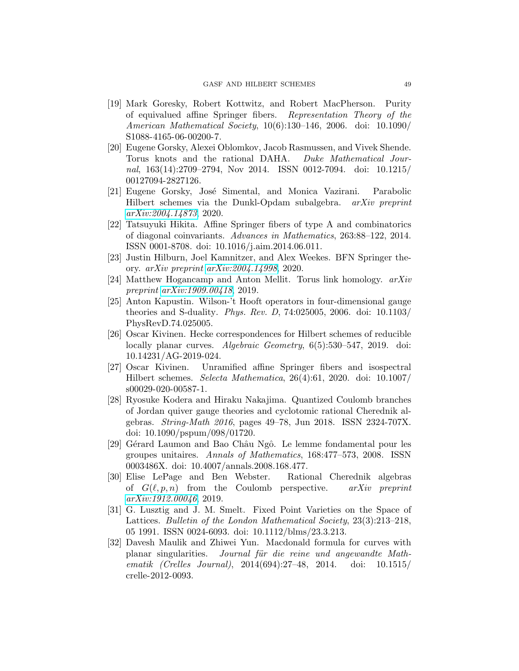- <span id="page-48-0"></span>[19] Mark Goresky, Robert Kottwitz, and Robert MacPherson. Purity of equivalued affine Springer fibers. Representation Theory of the American Mathematical Society, 10(6):130–146, 2006. doi: 10.1090/ S1088-4165-06-00200-7.
- <span id="page-48-1"></span>[20] Eugene Gorsky, Alexei Oblomkov, Jacob Rasmussen, and Vivek Shende. Torus knots and the rational DAHA. Duke Mathematical Journal, 163(14):2709–2794, Nov 2014. ISSN 0012-7094. doi: 10.1215/ 00127094-2827126.
- <span id="page-48-7"></span>[21] Eugene Gorsky, José Simental, and Monica Vazirani. Parabolic Hilbert schemes via the Dunkl-Opdam subalgebra. arXiv preprint [arXiv:2004.14873](http://arxiv.org/abs/2004.14873), 2020.
- <span id="page-48-3"></span>[22] Tatsuyuki Hikita. Affine Springer fibers of type A and combinatorics of diagonal coinvariants. Advances in Mathematics, 263:88–122, 2014. ISSN 0001-8708. doi: 10.1016/j.aim.2014.06.011.
- <span id="page-48-8"></span>[23] Justin Hilburn, Joel Kamnitzer, and Alex Weekes. BFN Springer theory. arXiv preprint [arXiv:2004.14998](http://arxiv.org/abs/2004.14998), 2020.
- <span id="page-48-10"></span>[24] Matthew Hogancamp and Anton Mellit. Torus link homology. arXiv preprint [arXiv:1909.00418](http://arxiv.org/abs/1909.00418), 2019.
- <span id="page-48-13"></span>[25] Anton Kapustin. Wilson-'t Hooft operators in four-dimensional gauge theories and S-duality. Phys. Rev. D, 74:025005, 2006. doi: 10.1103/ PhysRevD.74.025005.
- <span id="page-48-2"></span>[26] Oscar Kivinen. Hecke correspondences for Hilbert schemes of reducible locally planar curves. Algebraic Geometry, 6(5):530-547, 2019. doi: 10.14231/AG-2019-024.
- <span id="page-48-11"></span>[27] Oscar Kivinen. Unramified affine Springer fibers and isospectral Hilbert schemes. Selecta Mathematica, 26(4):61, 2020. doi: 10.1007/ s00029-020-00587-1.
- <span id="page-48-9"></span>[28] Ryosuke Kodera and Hiraku Nakajima. Quantized Coulomb branches of Jordan quiver gauge theories and cyclotomic rational Cherednik algebras. String-Math 2016, pages 49–78, Jun 2018. ISSN 2324-707X. doi: 10.1090/pspum/098/01720.
- <span id="page-48-5"></span>[29] Gérard Laumon and Bao Châu Ngô. Le lemme fondamental pour les groupes unitaires. Annals of Mathematics, 168:477–573, 2008. ISSN 0003486X. doi: 10.4007/annals.2008.168.477.
- <span id="page-48-12"></span>[30] Elise LePage and Ben Webster. Rational Cherednik algebras of  $G(\ell, p, n)$  from the Coulomb perspective. arXiv preprint [arXiv:1912.00046](http://arxiv.org/abs/1912.00046), 2019.
- <span id="page-48-4"></span>[31] G. Lusztig and J. M. Smelt. Fixed Point Varieties on the Space of Lattices. Bulletin of the London Mathematical Society, 23(3):213–218, 05 1991. ISSN 0024-6093. doi: 10.1112/blms/23.3.213.
- <span id="page-48-6"></span>[32] Davesh Maulik and Zhiwei Yun. Macdonald formula for curves with planar singularities. Journal für die reine und angewandte Mathematik (Crelles Journal), 2014(694):27–48, 2014. doi: 10.1515/ crelle-2012-0093.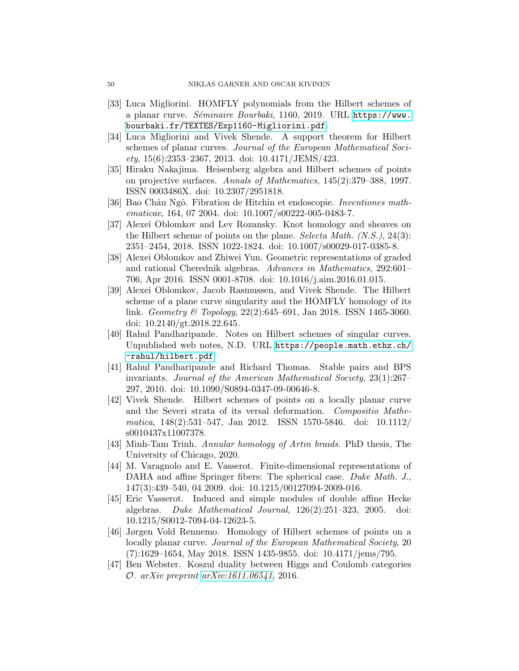- <span id="page-49-12"></span>[33] Luca Migliorini. HOMFLY polynomials from the Hilbert schemes of a planar curve. Séminaire Bourbaki, 1160, 2019. URL [https://www.](https://www.bourbaki.fr/TEXTES/Exp1160-Migliorini.pdf) [bourbaki.fr/TEXTES/Exp1160-Migliorini.pdf](https://www.bourbaki.fr/TEXTES/Exp1160-Migliorini.pdf).
- <span id="page-49-7"></span>[34] Luca Migliorini and Vivek Shende. A support theorem for Hilbert schemes of planar curves. Journal of the European Mathematical Soci- $ety, 15(6):2353-2367, 2013.$  doi:  $10.4171/JEMS/423.$
- <span id="page-49-2"></span>[35] Hiraku Nakajima. Heisenberg algebra and Hilbert schemes of points on projective surfaces. Annals of Mathematics, 145(2):379–388, 1997. ISSN 0003486X. doi: 10.2307/2951818.
- <span id="page-49-0"></span>[36] Bao Châu Ngô. Fibration de Hitchin et endoscopie. *Inventiones math*ematicae, 164, 07 2004. doi: 10.1007/s00222-005-0483-7.
- <span id="page-49-9"></span>[37] Alexei Oblomkov and Lev Rozansky. Knot homology and sheaves on the Hilbert scheme of points on the plane. Selecta Math.  $(N.S.), 24(3)$ : 2351–2454, 2018. ISSN 1022-1824. doi: 10.1007/s00029-017-0385-8.
- <span id="page-49-3"></span>[38] Alexei Oblomkov and Zhiwei Yun. Geometric representations of graded and rational Cherednik algebras. Advances in Mathematics, 292:601– 706, Apr 2016. ISSN 0001-8708. doi: 10.1016/j.aim.2016.01.015.
- <span id="page-49-1"></span>[39] Alexei Oblomkov, Jacob Rasmussen, and Vivek Shende. The Hilbert scheme of a plane curve singularity and the HOMFLY homology of its link. Geometry & Topology,  $22(2):645-691$ , Jan 2018. ISSN 1465-3060. doi: 10.2140/gt.2018.22.645.
- <span id="page-49-4"></span>[40] Rahul Pandharipande. Notes on Hilbert schemes of singular curves. Unpublished web notes, N.D. URL [https://people.math.ethz.ch/](https://people.math.ethz.ch/~rahul/hilbert.pdf) [~rahul/hilbert.pdf](https://people.math.ethz.ch/~rahul/hilbert.pdf).
- <span id="page-49-5"></span>[41] Rahul Pandharipande and Richard Thomas. Stable pairs and BPS invariants. Journal of the American Mathematical Society, 23(1):267– 297, 2010. doi: 10.1090/S0894-0347-09-00646-8.
- <span id="page-49-13"></span>[42] Vivek Shende. Hilbert schemes of points on a locally planar curve and the Severi strata of its versal deformation. Compositio Mathematica, 148(2):531–547, Jan 2012. ISSN 1570-5846. doi: 10.1112/ s0010437x11007378.
- <span id="page-49-8"></span>[43] Minh-Tam Trinh. Annular homology of Artin braids. PhD thesis, The University of Chicago, 2020.
- <span id="page-49-6"></span>[44] M. Varagnolo and E. Vasserot. Finite-dimensional representations of DAHA and affine Springer fibers: The spherical case. Duke Math. J., 147(3):439–540, 04 2009. doi: 10.1215/00127094-2009-016.
- <span id="page-49-11"></span>[45] Eric Vasserot. Induced and simple modules of double affine Hecke algebras. Duke Mathematical Journal, 126(2):251–323, 2005. doi: 10.1215/S0012-7094-04-12623-5.
- <span id="page-49-14"></span>[46] Jørgen Vold Rennemo. Homology of Hilbert schemes of points on a locally planar curve. Journal of the European Mathematical Society, 20 (7):1629–1654, May 2018. ISSN 1435-9855. doi: 10.4171/jems/795.
- <span id="page-49-10"></span>[47] Ben Webster. Koszul duality between Higgs and Coulomb categories O. arXiv preprint [arXiv:1611.06541](http://arxiv.org/abs/1611.06541), 2016.